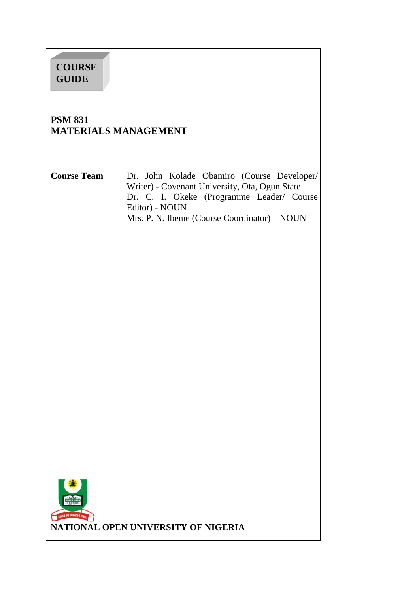# **COURSE GUIDE**

# **PSM 831 MATERIALS MANAGEMENT**

**Course Team** Dr. John Kolade Obamiro (Course Developer/ Writer) - Covenant University, Ota, Ogun State Dr. C. I. Okeke (Programme Leader/ Course Editor) - NOUN Mrs. P. N. Ibeme (Course Coordinator) – NOUN

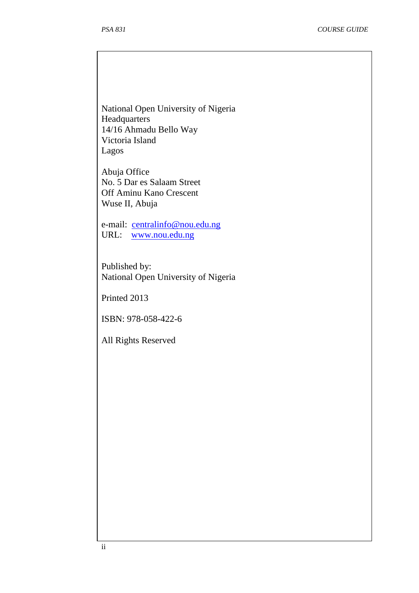National Open University of Nigeria **Headquarters** 14/16 Ahmadu Bello Way Victoria Island Lagos

Abuja Office No. 5 Dar es Salaam Street Off Aminu Kano Crescent Wuse II, Abuja

e-mail: centralinfo@nou.edu.ng URL: www.nou.edu.ng

Published by: National Open University of Nigeria

Printed 2013

ISBN: 978-058-422-6

All Rights Reserved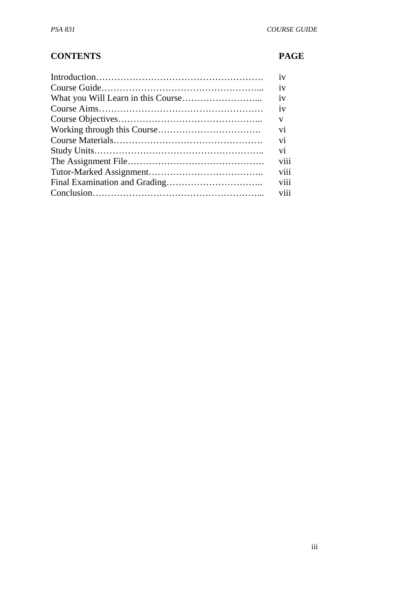# **CONTENTS PAGE**

| 1V              |
|-----------------|
| 1V              |
| 1V              |
| 1V              |
| V               |
| V <sub>1</sub>  |
| vi              |
| vi              |
| viii            |
| viii            |
| viii            |
| V <sub>11</sub> |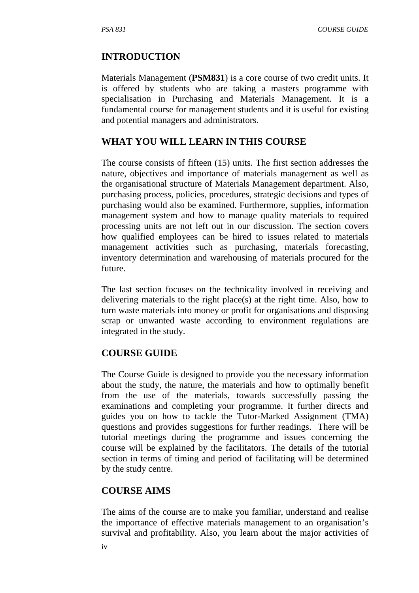## **INTRODUCTION**

Materials Management (**PSM831**) is a core course of two credit units. It is offered by students who are taking a masters programme with specialisation in Purchasing and Materials Management. It is a fundamental course for management students and it is useful for existing and potential managers and administrators.

## **WHAT YOU WILL LEARN IN THIS COURSE**

The course consists of fifteen (15) units. The first section addresses the nature, objectives and importance of materials management as well as the organisational structure of Materials Management department. Also, purchasing process, policies, procedures, strategic decisions and types of purchasing would also be examined. Furthermore, supplies, information management system and how to manage quality materials to required processing units are not left out in our discussion. The section covers how qualified employees can be hired to issues related to materials management activities such as purchasing, materials forecasting, inventory determination and warehousing of materials procured for the future.

The last section focuses on the technicality involved in receiving and delivering materials to the right place(s) at the right time. Also, how to turn waste materials into money or profit for organisations and disposing scrap or unwanted waste according to environment regulations are integrated in the study.

## **COURSE GUIDE**

The Course Guide is designed to provide you the necessary information about the study, the nature, the materials and how to optimally benefit from the use of the materials, towards successfully passing the examinations and completing your programme. It further directs and guides you on how to tackle the Tutor-Marked Assignment (TMA) questions and provides suggestions for further readings. There will be tutorial meetings during the programme and issues concerning the course will be explained by the facilitators. The details of the tutorial section in terms of timing and period of facilitating will be determined by the study centre.

## **COURSE AIMS**

The aims of the course are to make you familiar, understand and realise the importance of effective materials management to an organisation's survival and profitability. Also, you learn about the major activities of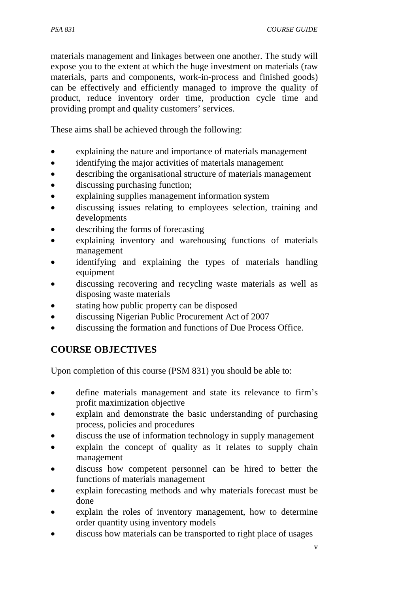materials management and linkages between one another. The study will expose you to the extent at which the huge investment on materials (raw materials, parts and components, work-in-process and finished goods) can be effectively and efficiently managed to improve the quality of product, reduce inventory order time, production cycle time and providing prompt and quality customers' services.

These aims shall be achieved through the following:

- explaining the nature and importance of materials management
- identifying the major activities of materials management
- describing the organisational structure of materials management
- discussing purchasing function;
- explaining supplies management information system
- discussing issues relating to employees selection, training and developments
- describing the forms of forecasting
- explaining inventory and warehousing functions of materials management
- identifying and explaining the types of materials handling equipment
- discussing recovering and recycling waste materials as well as disposing waste materials
- stating how public property can be disposed
- discussing Nigerian Public Procurement Act of 2007
- discussing the formation and functions of Due Process Office.

# **COURSE OBJECTIVES**

Upon completion of this course (PSM 831) you should be able to:

- define materials management and state its relevance to firm's profit maximization objective
- explain and demonstrate the basic understanding of purchasing process, policies and procedures
- discuss the use of information technology in supply management
- explain the concept of quality as it relates to supply chain management
- discuss how competent personnel can be hired to better the functions of materials management
- explain forecasting methods and why materials forecast must be done
- explain the roles of inventory management, how to determine order quantity using inventory models
- discuss how materials can be transported to right place of usages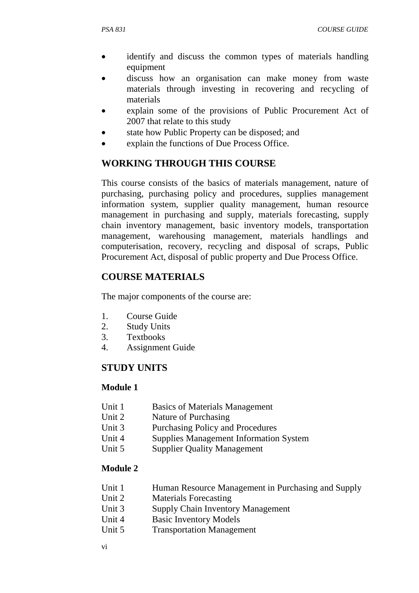- identify and discuss the common types of materials handling equipment
- discuss how an organisation can make money from waste materials through investing in recovering and recycling of materials
- explain some of the provisions of Public Procurement Act of 2007 that relate to this study
- state how Public Property can be disposed; and
- explain the functions of Due Process Office.

## **WORKING THROUGH THIS COURSE**

This course consists of the basics of materials management, nature of purchasing, purchasing policy and procedures, supplies management information system, supplier quality management, human resource management in purchasing and supply, materials forecasting, supply chain inventory management, basic inventory models, transportation management, warehousing management, materials handlings and computerisation, recovery, recycling and disposal of scraps, Public Procurement Act, disposal of public property and Due Process Office.

## **COURSE MATERIALS**

The major components of the course are:

- 1. Course Guide
- 2. Study Units
- 3. Textbooks
- 4. Assignment Guide

## **STUDY UNITS**

## **Module 1**

- Unit 1 Basics of Materials Management
- Unit 2 Nature of Purchasing
- Unit 3 Purchasing Policy and Procedures
- Unit 4 Supplies Management Information System
- Unit 5 Supplier Quality Management

## **Module 2**

- Unit 1 Human Resource Management in Purchasing and Supply
- Unit 2 Materials Forecasting
- Unit 3 Supply Chain Inventory Management
- Unit 4 Basic Inventory Models
- Unit 5 Transportation Management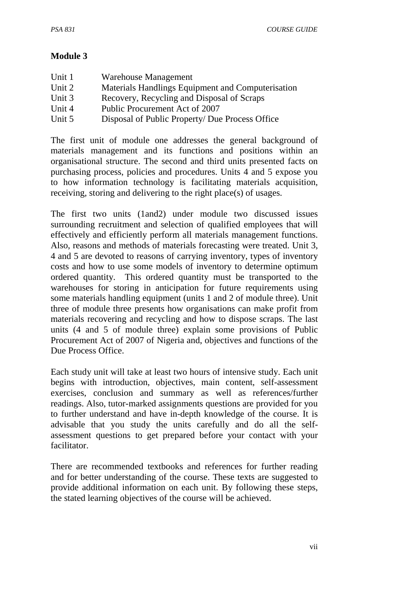## **Module 3**

| Unit 1 | Warehouse Management                              |
|--------|---------------------------------------------------|
| Unit 2 | Materials Handlings Equipment and Computerisation |
| Unit 3 | Recovery, Recycling and Disposal of Scraps        |
| Unit 4 | Public Procurement Act of 2007                    |
| Unit 5 | Disposal of Public Property/ Due Process Office   |

The first unit of module one addresses the general background of materials management and its functions and positions within an organisational structure. The second and third units presented facts on purchasing process, policies and procedures. Units 4 and 5 expose you to how information technology is facilitating materials acquisition, receiving, storing and delivering to the right place(s) of usages.

The first two units (1and2) under module two discussed issues surrounding recruitment and selection of qualified employees that will effectively and efficiently perform all materials management functions. Also, reasons and methods of materials forecasting were treated. Unit 3, 4 and 5 are devoted to reasons of carrying inventory, types of inventory costs and how to use some models of inventory to determine optimum ordered quantity. This ordered quantity must be transported to the warehouses for storing in anticipation for future requirements using some materials handling equipment (units 1 and 2 of module three). Unit three of module three presents how organisations can make profit from materials recovering and recycling and how to dispose scraps. The last units (4 and 5 of module three) explain some provisions of Public Procurement Act of 2007 of Nigeria and, objectives and functions of the Due Process Office.

Each study unit will take at least two hours of intensive study. Each unit begins with introduction, objectives, main content, self-assessment exercises, conclusion and summary as well as references/further readings. Also, tutor-marked assignments questions are provided for you to further understand and have in-depth knowledge of the course. It is advisable that you study the units carefully and do all the selfassessment questions to get prepared before your contact with your facilitator.

There are recommended textbooks and references for further reading and for better understanding of the course. These texts are suggested to provide additional information on each unit. By following these steps, the stated learning objectives of the course will be achieved.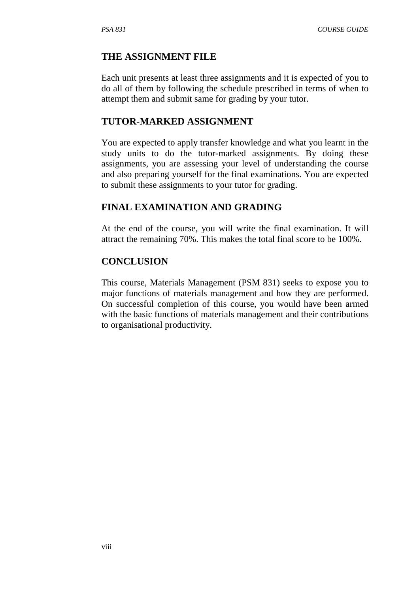#### **THE ASSIGNMENT FILE**

Each unit presents at least three assignments and it is expected of you to do all of them by following the schedule prescribed in terms of when to attempt them and submit same for grading by your tutor.

#### **TUTOR-MARKED ASSIGNMENT**

You are expected to apply transfer knowledge and what you learnt in the study units to do the tutor-marked assignments. By doing these assignments, you are assessing your level of understanding the course and also preparing yourself for the final examinations. You are expected to submit these assignments to your tutor for grading.

#### **FINAL EXAMINATION AND GRADING**

At the end of the course, you will write the final examination. It will attract the remaining 70%. This makes the total final score to be 100%.

#### **CONCLUSION**

This course, Materials Management (PSM 831) seeks to expose you to major functions of materials management and how they are performed. On successful completion of this course, you would have been armed with the basic functions of materials management and their contributions to organisational productivity.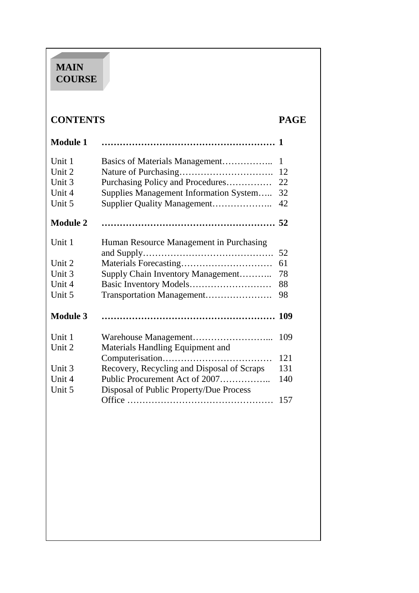# **MAIN COURSE**

# **CONTENTS PAGE**

| <b>Module 1</b> |                                            |     |
|-----------------|--------------------------------------------|-----|
| Unit 1          | Basics of Materials Management             | 1   |
| Unit 2          |                                            | 12  |
| Unit 3          | Purchasing Policy and Procedures           | 22  |
| Unit 4          | Supplies Management Information System     | 32  |
| Unit 5          | Supplier Quality Management                | 42  |
| <b>Module 2</b> |                                            |     |
| Unit 1          | Human Resource Management in Purchasing    |     |
|                 |                                            | 52  |
| Unit 2          |                                            | 61  |
| Unit 3          | Supply Chain Inventory Management          | 78  |
| Unit 4          |                                            | 88  |
| Unit 5          | Transportation Management                  | 98  |
| <b>Module 3</b> |                                            | 109 |
| Unit 1          |                                            | 109 |
| Unit 2          | Materials Handling Equipment and           |     |
|                 |                                            | 121 |
| Unit 3          | Recovery, Recycling and Disposal of Scraps | 131 |
| Unit 4          | Public Procurement Act of 2007             | 140 |
| Unit 5          | Disposal of Public Property/Due Process    |     |
|                 |                                            | 157 |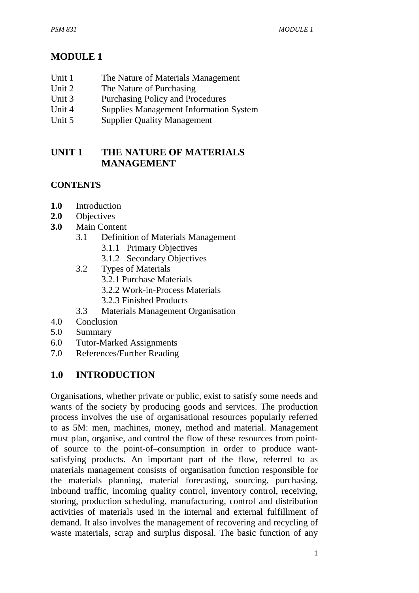# **MODULE 1**

- Unit 1 The Nature of Materials Management
- Unit 2 The Nature of Purchasing
- Unit 3 Purchasing Policy and Procedures
- Unit 4 Supplies Management Information System
- Unit 5 Supplier Quality Management

# **UNIT 1 THE NATURE OF MATERIALS MANAGEMENT**

## **CONTENTS**

- **1.0** Introduction
- **2.0** Objectives
- **3.0** Main Content
	- 3.1 Definition of Materials Management
		- 3.1.1 Primary Objectives
		- 3.1.2 Secondary Objectives
	- 3.2 Types of Materials
		- 3.2.1 Purchase Materials
		- 3.2.2 Work-in-Process Materials
		- 3.2.3 Finished Products
	- 3.3 Materials Management Organisation
- 4.0 Conclusion
- 5.0 Summary
- 6.0 Tutor-Marked Assignments
- 7.0 References/Further Reading

# **1.0 INTRODUCTION**

Organisations, whether private or public, exist to satisfy some needs and wants of the society by producing goods and services. The production process involves the use of organisational resources popularly referred to as 5M: men, machines, money, method and material. Management must plan, organise, and control the flow of these resources from pointof source to the point-of–consumption in order to produce wantsatisfying products. An important part of the flow, referred to as materials management consists of organisation function responsible for the materials planning, material forecasting, sourcing, purchasing, inbound traffic, incoming quality control, inventory control, receiving, storing, production scheduling, manufacturing, control and distribution activities of materials used in the internal and external fulfillment of demand. It also involves the management of recovering and recycling of waste materials, scrap and surplus disposal. The basic function of any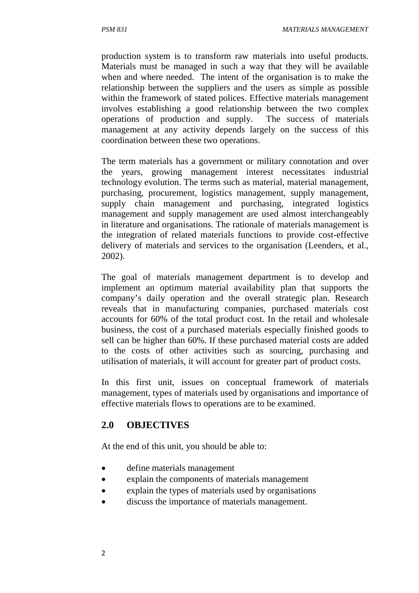production system is to transform raw materials into useful products. Materials must be managed in such a way that they will be available when and where needed. The intent of the organisation is to make the relationship between the suppliers and the users as simple as possible within the framework of stated polices. Effective materials management involves establishing a good relationship between the two complex operations of production and supply. The success of materials management at any activity depends largely on the success of this coordination between these two operations.

The term materials has a government or military connotation and over the years, growing management interest necessitates industrial technology evolution. The terms such as material, material management, purchasing, procurement, logistics management, supply management, supply chain management and purchasing, integrated logistics management and supply management are used almost interchangeably in literature and organisations. The rationale of materials management is the integration of related materials functions to provide cost-effective delivery of materials and services to the organisation (Leenders, et al., 2002).

The goal of materials management department is to develop and implement an optimum material availability plan that supports the company's daily operation and the overall strategic plan. Research reveals that in manufacturing companies, purchased materials cost accounts for 60% of the total product cost. In the retail and wholesale business, the cost of a purchased materials especially finished goods to sell can be higher than 60%. If these purchased material costs are added to the costs of other activities such as sourcing, purchasing and utilisation of materials, it will account for greater part of product costs.

In this first unit, issues on conceptual framework of materials management, types of materials used by organisations and importance of effective materials flows to operations are to be examined.

## **2.0 OBJECTIVES**

At the end of this unit, you should be able to:

- define materials management
- explain the components of materials management
- explain the types of materials used by organisations
- discuss the importance of materials management.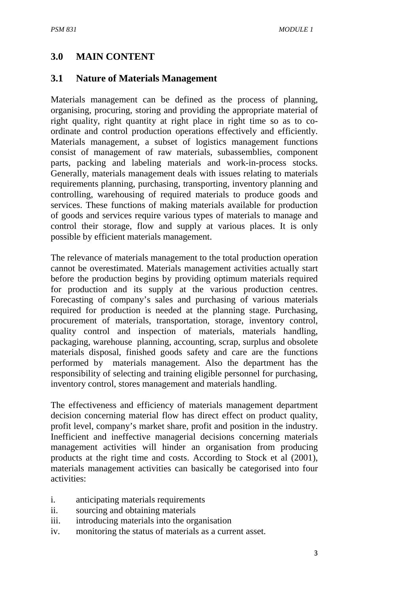# **3.0 MAIN CONTENT**

## **3.1 Nature of Materials Management**

Materials management can be defined as the process of planning, organising, procuring, storing and providing the appropriate material of right quality, right quantity at right place in right time so as to coordinate and control production operations effectively and efficiently. Materials management, a subset of logistics management functions consist of management of raw materials, subassemblies, component parts, packing and labeling materials and work-in-process stocks. Generally, materials management deals with issues relating to materials requirements planning, purchasing, transporting, inventory planning and controlling, warehousing of required materials to produce goods and services. These functions of making materials available for production of goods and services require various types of materials to manage and control their storage, flow and supply at various places. It is only possible by efficient materials management.

The relevance of materials management to the total production operation cannot be overestimated. Materials management activities actually start before the production begins by providing optimum materials required for production and its supply at the various production centres. Forecasting of company's sales and purchasing of various materials required for production is needed at the planning stage. Purchasing, procurement of materials, transportation, storage, inventory control, quality control and inspection of materials, materials handling, packaging, warehouse planning, accounting, scrap, surplus and obsolete materials disposal, finished goods safety and care are the functions performed by materials management. Also the department has the responsibility of selecting and training eligible personnel for purchasing, inventory control, stores management and materials handling.

The effectiveness and efficiency of materials management department decision concerning material flow has direct effect on product quality, profit level, company's market share, profit and position in the industry. Inefficient and ineffective managerial decisions concerning materials management activities will hinder an organisation from producing products at the right time and costs. According to Stock et al (2001), materials management activities can basically be categorised into four activities:

- i. anticipating materials requirements
- ii. sourcing and obtaining materials
- iii. introducing materials into the organisation
- iv. monitoring the status of materials as a current asset.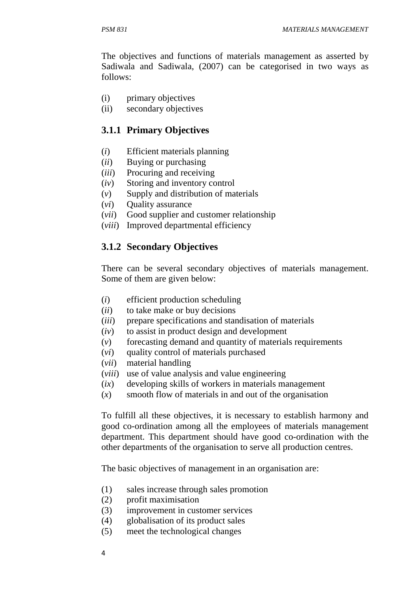The objectives and functions of materials management as asserted by Sadiwala and Sadiwala, (2007) can be categorised in two ways as follows:

- (i) primary objectives
- (ii) secondary objectives

## **3.1.1 Primary Objectives**

- (*i*) Efficient materials planning
- (*ii*) Buying or purchasing
- (*iii*) Procuring and receiving
- (*iv*) Storing and inventory control
- (*v*) Supply and distribution of materials
- (*vi*) Quality assurance
- (*vii*) Good supplier and customer relationship
- (*viii*) Improved departmental efficiency

## **3.1.2 Secondary Objectives**

There can be several secondary objectives of materials management. Some of them are given below:

- (*i*) efficient production scheduling
- (*ii*) to take make or buy decisions
- (*iii*) prepare specifications and standisation of materials
- (*iv*) to assist in product design and development
- (*v*) forecasting demand and quantity of materials requirements
- (*vi*) quality control of materials purchased
- (*vii*) material handling
- (*viii*) use of value analysis and value engineering
- (*ix*) developing skills of workers in materials management
- (*x*) smooth flow of materials in and out of the organisation

To fulfill all these objectives, it is necessary to establish harmony and good co-ordination among all the employees of materials management department. This department should have good co-ordination with the other departments of the organisation to serve all production centres.

The basic objectives of management in an organisation are:

- (1) sales increase through sales promotion
- (2) profit maximisation
- (3) improvement in customer services
- (4) globalisation of its product sales
- (5) meet the technological changes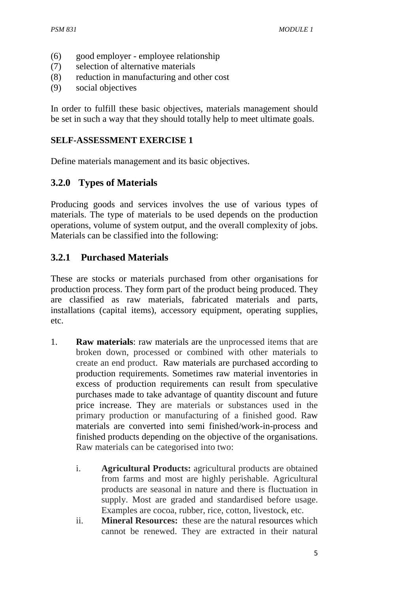- (6) good employer employee relationship
- (7) selection of alternative materials
- (8) reduction in manufacturing and other cost
- (9) social objectives

In order to fulfill these basic objectives, materials management should be set in such a way that they should totally help to meet ultimate goals.

#### **SELF-ASSESSMENT EXERCISE 1**

Define materials management and its basic objectives.

## **3.2.0 Types of Materials**

Producing goods and services involves the use of various types of materials. The type of materials to be used depends on the production operations, volume of system output, and the overall complexity of jobs. Materials can be classified into the following:

## **3.2.1 Purchased Materials**

These are stocks or materials purchased from other organisations for production process. They form part of the product being produced. They are classified as raw materials, fabricated materials and parts, installations (capital items), accessory equipment, operating supplies, etc.

- 1. **Raw materials**: raw materials are the unprocessed items that are broken down, processed or combined with other materials to create an end product. Raw materials are purchased according to production requirements. Sometimes raw material inventories in excess of production requirements can result from speculative purchases made to take advantage of quantity discount and future price increase. They are materials or substances used in the primary production or manufacturing of a finished good. Raw materials are converted into semi finished/work-in-process and finished products depending on the objective of the organisations. Raw materials can be categorised into two:
	- i. **Agricultural Products:** agricultural products are obtained from farms and most are highly perishable. Agricultural products are seasonal in nature and there is fluctuation in supply. Most are graded and standardised before usage. Examples are cocoa, rubber, rice, cotton, livestock, etc.
	- ii. **Mineral Resources:** these are the natural resources which cannot be renewed. They are extracted in their natural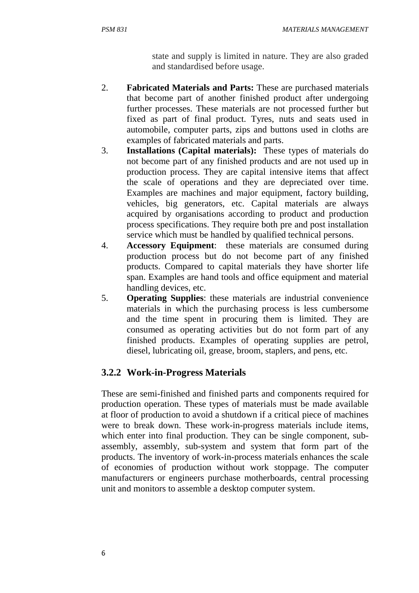state and supply is limited in nature. They are also graded and standardised before usage.

- 2. **Fabricated Materials and Parts:** These are purchased materials that become part of another finished product after undergoing further processes. These materials are not processed further but fixed as part of final product. Tyres, nuts and seats used in automobile, computer parts, zips and buttons used in cloths are examples of fabricated materials and parts.
- 3. **Installations (Capital materials):** These types of materials do not become part of any finished products and are not used up in production process. They are capital intensive items that affect the scale of operations and they are depreciated over time. Examples are machines and major equipment, factory building, vehicles, big generators, etc. Capital materials are always acquired by organisations according to product and production process specifications. They require both pre and post installation service which must be handled by qualified technical persons.
- 4. **Accessory Equipment**: these materials are consumed during production process but do not become part of any finished products. Compared to capital materials they have shorter life span. Examples are hand tools and office equipment and material handling devices, etc.
- 5. **Operating Supplies**: these materials are industrial convenience materials in which the purchasing process is less cumbersome and the time spent in procuring them is limited. They are consumed as operating activities but do not form part of any finished products. Examples of operating supplies are petrol, diesel, lubricating oil, grease, broom, staplers, and pens, etc.

## **3.2.2****Work-in-Progress Materials**

These are semi-finished and finished parts and components required for production operation. These types of materials must be made available at floor of production to avoid a shutdown if a critical piece of machines were to break down. These work-in-progress materials include items, which enter into final production. They can be single component, subassembly, assembly, sub-system and system that form part of the products. The inventory of work-in-process materials enhances the scale of economies of production without work stoppage. The computer manufacturers or engineers purchase motherboards, central processing unit and monitors to assemble a desktop computer system.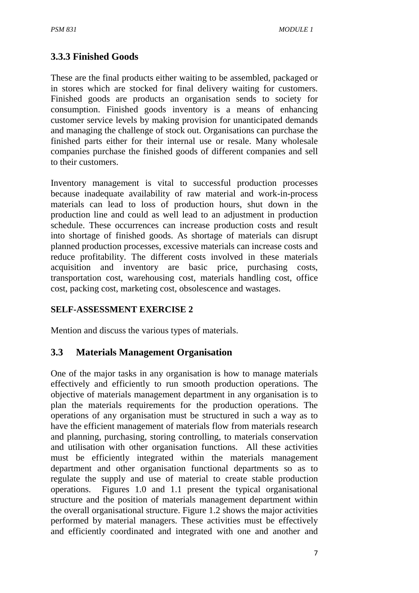## **3.3.3 Finished Goods**

These are the final products either waiting to be assembled, packaged or in stores which are stocked for final delivery waiting for customers. Finished goods are products an organisation sends to society for consumption. Finished goods inventory is a means of enhancing customer service levels by making provision for unanticipated demands and managing the challenge of stock out. Organisations can purchase the finished parts either for their internal use or resale. Many wholesale companies purchase the finished goods of different companies and sell to their customers.

Inventory management is vital to successful production processes because inadequate availability of raw material and work-in-process materials can lead to loss of production hours, shut down in the production line and could as well lead to an adjustment in production schedule. These occurrences can increase production costs and result into shortage of finished goods. As shortage of materials can disrupt planned production processes, excessive materials can increase costs and reduce profitability. The different costs involved in these materials acquisition and inventory are basic price, purchasing costs, transportation cost, warehousing cost, materials handling cost, office cost, packing cost, marketing cost, obsolescence and wastages.

## **SELF-ASSESSMENT EXERCISE 2**

Mention and discuss the various types of materials.

## **3.3 Materials Management Organisation**

One of the major tasks in any organisation is how to manage materials effectively and efficiently to run smooth production operations. The objective of materials management department in any organisation is to plan the materials requirements for the production operations. The operations of any organisation must be structured in such a way as to have the efficient management of materials flow from materials research and planning, purchasing, storing controlling, to materials conservation and utilisation with other organisation functions. All these activities must be efficiently integrated within the materials management department and other organisation functional departments so as to regulate the supply and use of material to create stable production operations. Figures 1.0 and 1.1 present the typical organisational structure and the position of materials management department within the overall organisational structure. Figure 1.2 shows the major activities performed by material managers. These activities must be effectively and efficiently coordinated and integrated with one and another and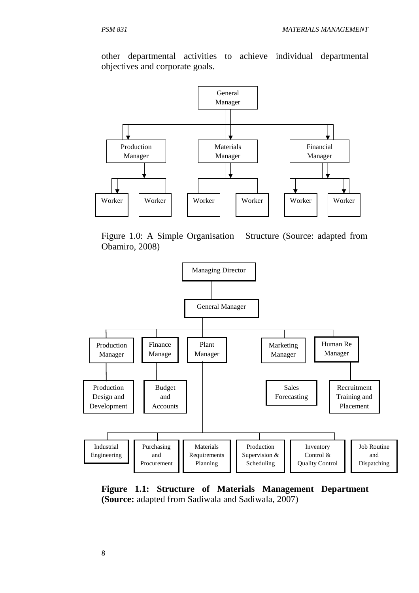other departmental activities to achieve individual departmental objectives and corporate goals.



Figure 1.0: A Simple Organisation Structure (Source: adapted from Obamiro, 2008)



**Figure 1.1: Structure of Materials Management Department (Source:** adapted from Sadiwala and Sadiwala, 2007)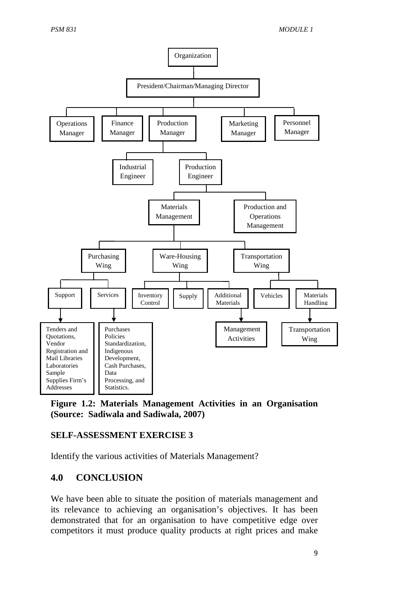

**Figure 1.2: Materials Management Activities in an Organisation (Source: Sadiwala and Sadiwala, 2007)** 

## **SELF-ASSESSMENT EXERCISE 3**

Identify the various activities of Materials Management?

## **4.0 CONCLUSION**

We have been able to situate the position of materials management and its relevance to achieving an organisation's objectives. It has been demonstrated that for an organisation to have competitive edge over competitors it must produce quality products at right prices and make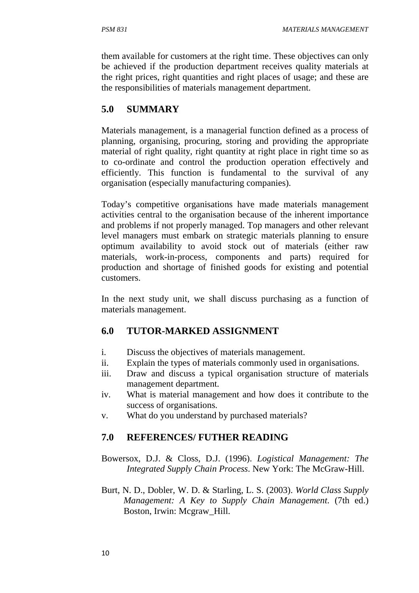them available for customers at the right time. These objectives can only be achieved if the production department receives quality materials at the right prices, right quantities and right places of usage; and these are the responsibilities of materials management department.

## **5.0 SUMMARY**

Materials management, is a managerial function defined as a process of planning, organising, procuring, storing and providing the appropriate material of right quality, right quantity at right place in right time so as to co-ordinate and control the production operation effectively and efficiently. This function is fundamental to the survival of any organisation (especially manufacturing companies).

Today's competitive organisations have made materials management activities central to the organisation because of the inherent importance and problems if not properly managed. Top managers and other relevant level managers must embark on strategic materials planning to ensure optimum availability to avoid stock out of materials (either raw materials, work-in-process, components and parts) required for production and shortage of finished goods for existing and potential customers.

In the next study unit, we shall discuss purchasing as a function of materials management.

# **6.0 TUTOR-MARKED ASSIGNMENT**

- i. Discuss the objectives of materials management.
- ii. Explain the types of materials commonly used in organisations.
- iii. Draw and discuss a typical organisation structure of materials management department.
- iv. What is material management and how does it contribute to the success of organisations.
- v. What do you understand by purchased materials?

# **7.0 REFERENCES/ FUTHER READING**

- Bowersox, D.J. & Closs, D.J. (1996). *Logistical Management: The Integrated Supply Chain Process*. New York: The McGraw-Hill.
- Burt, N. D., Dobler, W. D. & Starling, L. S. (2003). *World Class Supply Management: A Key to Supply Chain Management*. (7th ed.) Boston, Irwin: Mcgraw\_Hill.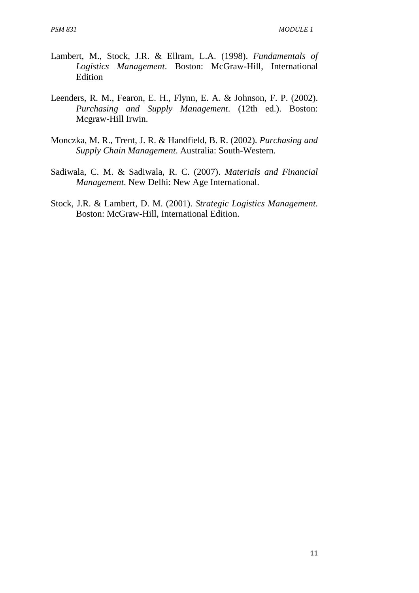- Lambert, M., Stock, J.R. & Ellram, L.A. (1998). *Fundamentals of Logistics Management*. Boston: McGraw-Hill, International Edition
- Leenders, R. M., Fearon, E. H., Flynn, E. A. & Johnson, F. P. (2002). *Purchasing and Supply Management*. (12th ed.). Boston: Mcgraw-Hill Irwin.
- Monczka, M. R., Trent, J. R. & Handfield, B. R. (2002). *Purchasing and Supply Chain Management*. Australia: South-Western.
- Sadiwala, C. M. & Sadiwala, R. C. (2007). *Materials and Financial Management*. New Delhi: New Age International.
- Stock, J.R. & Lambert, D. M. (2001). *Strategic Logistics Management*. Boston: McGraw-Hill, International Edition.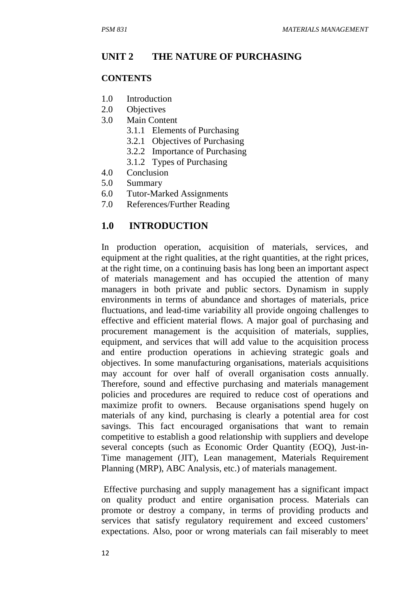#### **UNIT 2 THE NATURE OF PURCHASING**

#### **CONTENTS**

- 1.0 Introduction
- 2.0 Objectives
- 3.0 Main Content
	- 3.1.1 Elements of Purchasing
	- 3.2.1 Objectives of Purchasing
	- 3.2.2 Importance of Purchasing
	- 3.1.2 Types of Purchasing
- 4.0 Conclusion
- 5.0 Summary
- 6.0 Tutor-Marked Assignments
- 7.0 References/Further Reading

## **1.0 INTRODUCTION**

In production operation, acquisition of materials, services, and equipment at the right qualities, at the right quantities, at the right prices, at the right time, on a continuing basis has long been an important aspect of materials management and has occupied the attention of many managers in both private and public sectors. Dynamism in supply environments in terms of abundance and shortages of materials, price fluctuations, and lead-time variability all provide ongoing challenges to effective and efficient material flows. A major goal of purchasing and procurement management is the acquisition of materials, supplies, equipment, and services that will add value to the acquisition process and entire production operations in achieving strategic goals and objectives. In some manufacturing organisations, materials acquisitions may account for over half of overall organisation costs annually. Therefore, sound and effective purchasing and materials management policies and procedures are required to reduce cost of operations and maximize profit to owners. Because organisations spend hugely on materials of any kind, purchasing is clearly a potential area for cost savings. This fact encouraged organisations that want to remain competitive to establish a good relationship with suppliers and develope several concepts (such as Economic Order Quantity (EOQ), Just-in-Time management (JIT), Lean management, Materials Requirement Planning (MRP), ABC Analysis, etc.) of materials management.

 Effective purchasing and supply management has a significant impact on quality product and entire organisation process. Materials can promote or destroy a company, in terms of providing products and services that satisfy regulatory requirement and exceed customers' expectations. Also, poor or wrong materials can fail miserably to meet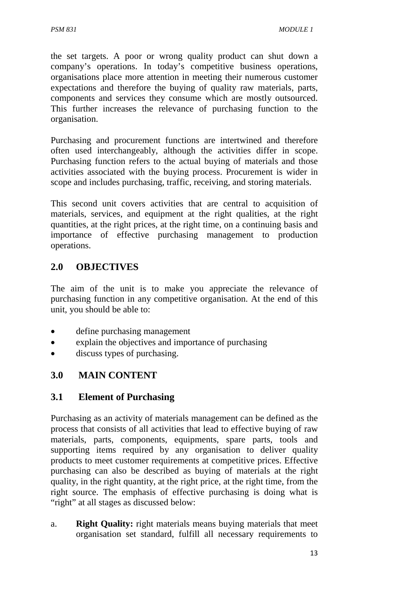the set targets. A poor or wrong quality product can shut down a company's operations. In today's competitive business operations, organisations place more attention in meeting their numerous customer expectations and therefore the buying of quality raw materials, parts, components and services they consume which are mostly outsourced. This further increases the relevance of purchasing function to the organisation.

Purchasing and procurement functions are intertwined and therefore often used interchangeably, although the activities differ in scope. Purchasing function refers to the actual buying of materials and those activities associated with the buying process. Procurement is wider in scope and includes purchasing, traffic, receiving, and storing materials.

This second unit covers activities that are central to acquisition of materials, services, and equipment at the right qualities, at the right quantities, at the right prices, at the right time, on a continuing basis and importance of effective purchasing management to production operations.

# **2.0 OBJECTIVES**

The aim of the unit is to make you appreciate the relevance of purchasing function in any competitive organisation. At the end of this unit, you should be able to:

- define purchasing management
- explain the objectives and importance of purchasing
- discuss types of purchasing.

# **3.0 MAIN CONTENT**

# **3.1 Element of Purchasing**

Purchasing as an activity of materials management can be defined as the process that consists of all activities that lead to effective buying of raw materials, parts, components, equipments, spare parts, tools and supporting items required by any organisation to deliver quality products to meet customer requirements at competitive prices. Effective purchasing can also be described as buying of materials at the right quality, in the right quantity, at the right price, at the right time, from the right source. The emphasis of effective purchasing is doing what is "right" at all stages as discussed below:

a. **Right Quality:** right materials means buying materials that meet organisation set standard, fulfill all necessary requirements to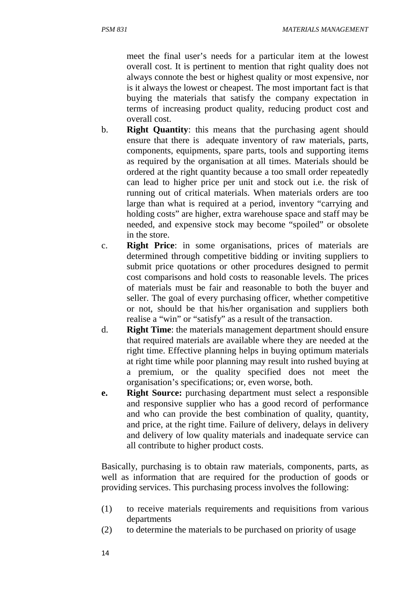meet the final user's needs for a particular item at the lowest overall cost. It is pertinent to mention that right quality does not always connote the best or highest quality or most expensive, nor is it always the lowest or cheapest. The most important fact is that buying the materials that satisfy the company expectation in terms of increasing product quality, reducing product cost and overall cost.

- b. **Right Quantity**: this means that the purchasing agent should ensure that there is adequate inventory of raw materials, parts, components, equipments, spare parts, tools and supporting items as required by the organisation at all times. Materials should be ordered at the right quantity because a too small order repeatedly can lead to higher price per unit and stock out i.e. the risk of running out of critical materials. When materials orders are too large than what is required at a period, inventory "carrying and holding costs" are higher, extra warehouse space and staff may be needed, and expensive stock may become "spoiled" or obsolete in the store.
- c. **Right Price**: in some organisations, prices of materials are determined through competitive bidding or inviting suppliers to submit price quotations or other procedures designed to permit cost comparisons and hold costs to reasonable levels. The prices of materials must be fair and reasonable to both the buyer and seller. The goal of every purchasing officer, whether competitive or not, should be that his/her organisation and suppliers both realise a "win" or "satisfy" as a result of the transaction.
- d. **Right Time**: the materials management department should ensure that required materials are available where they are needed at the right time. Effective planning helps in buying optimum materials at right time while poor planning may result into rushed buying at a premium, or the quality specified does not meet the organisation's specifications; or, even worse, both.
- **e. Right Source:** purchasing department must select a responsible and responsive supplier who has a good record of performance and who can provide the best combination of quality, quantity, and price, at the right time. Failure of delivery, delays in delivery and delivery of low quality materials and inadequate service can all contribute to higher product costs.

Basically, purchasing is to obtain raw materials, components, parts, as well as information that are required for the production of goods or providing services. This purchasing process involves the following:

- (1) to receive materials requirements and requisitions from various departments
- (2) to determine the materials to be purchased on priority of usage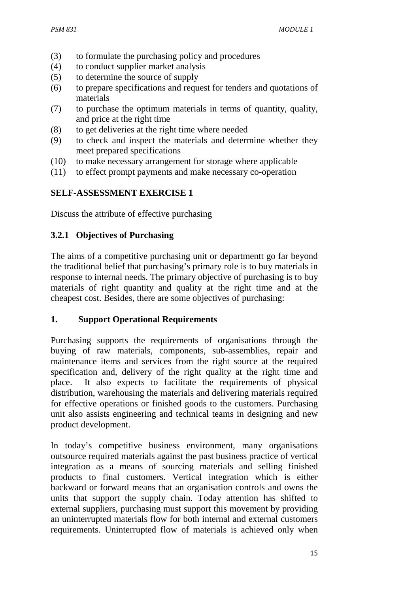- (3) to formulate the purchasing policy and procedures
- (4) to conduct supplier market analysis
- (5) to determine the source of supply
- (6) to prepare specifications and request for tenders and quotations of materials
- (7) to purchase the optimum materials in terms of quantity, quality, and price at the right time
- (8) to get deliveries at the right time where needed
- (9) to check and inspect the materials and determine whether they meet prepared specifications
- (10) to make necessary arrangement for storage where applicable
- (11) to effect prompt payments and make necessary co-operation

## **SELF-ASSESSMENT EXERCISE 1**

Discuss the attribute of effective purchasing

## **3.2.1 Objectives of Purchasing**

The aims of a competitive purchasing unit or departmentt go far beyond the traditional belief that purchasing's primary role is to buy materials in response to internal needs. The primary objective of purchasing is to buy materials of right quantity and quality at the right time and at the cheapest cost. Besides, there are some objectives of purchasing:

## **1. Support Operational Requirements**

Purchasing supports the requirements of organisations through the buying of raw materials, components, sub-assemblies, repair and maintenance items and services from the right source at the required specification and, delivery of the right quality at the right time and place. It also expects to facilitate the requirements of physical distribution, warehousing the materials and delivering materials required for effective operations or finished goods to the customers. Purchasing unit also assists engineering and technical teams in designing and new product development.

In today's competitive business environment, many organisations outsource required materials against the past business practice of vertical integration as a means of sourcing materials and selling finished products to final customers. Vertical integration which is either backward or forward means that an organisation controls and owns the units that support the supply chain. Today attention has shifted to external suppliers, purchasing must support this movement by providing an uninterrupted materials flow for both internal and external customers requirements. Uninterrupted flow of materials is achieved only when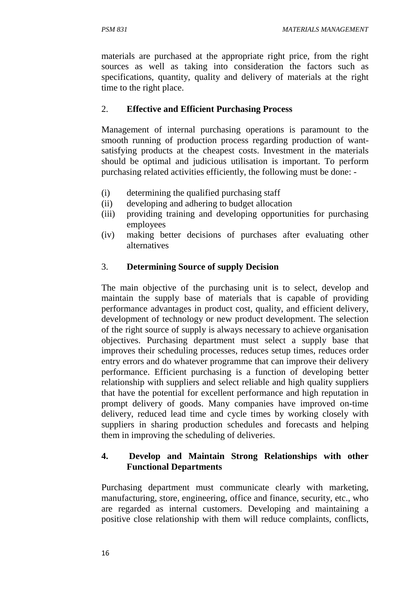materials are purchased at the appropriate right price, from the right sources as well as taking into consideration the factors such as specifications, quantity, quality and delivery of materials at the right time to the right place.

## 2. **Effective and Efficient Purchasing Process**

Management of internal purchasing operations is paramount to the smooth running of production process regarding production of wantsatisfying products at the cheapest costs. Investment in the materials should be optimal and judicious utilisation is important. To perform purchasing related activities efficiently, the following must be done: -

- (i) determining the qualified purchasing staff
- (ii) developing and adhering to budget allocation
- (iii) providing training and developing opportunities for purchasing employees
- (iv) making better decisions of purchases after evaluating other alternatives

## 3. **Determining Source of supply Decision**

The main objective of the purchasing unit is to select, develop and maintain the supply base of materials that is capable of providing performance advantages in product cost, quality, and efficient delivery, development of technology or new product development. The selection of the right source of supply is always necessary to achieve organisation objectives. Purchasing department must select a supply base that improves their scheduling processes, reduces setup times, reduces order entry errors and do whatever programme that can improve their delivery performance. Efficient purchasing is a function of developing better relationship with suppliers and select reliable and high quality suppliers that have the potential for excellent performance and high reputation in prompt delivery of goods. Many companies have improved on-time delivery, reduced lead time and cycle times by working closely with suppliers in sharing production schedules and forecasts and helping them in improving the scheduling of deliveries.

## **4. Develop and Maintain Strong Relationships with other Functional Departments**

Purchasing department must communicate clearly with marketing, manufacturing, store, engineering, office and finance, security, etc., who are regarded as internal customers. Developing and maintaining a positive close relationship with them will reduce complaints, conflicts,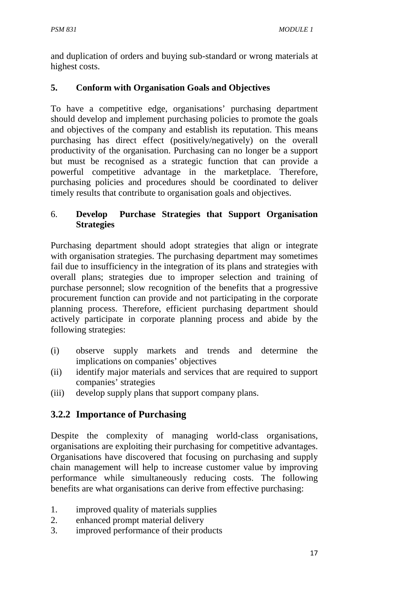and duplication of orders and buying sub-standard or wrong materials at highest costs.

## **5. Conform with Organisation Goals and Objectives**

To have a competitive edge, organisations' purchasing department should develop and implement purchasing policies to promote the goals and objectives of the company and establish its reputation. This means purchasing has direct effect (positively/negatively) on the overall productivity of the organisation. Purchasing can no longer be a support but must be recognised as a strategic function that can provide a powerful competitive advantage in the marketplace. Therefore, purchasing policies and procedures should be coordinated to deliver timely results that contribute to organisation goals and objectives.

## 6. **Develop Purchase Strategies that Support Organisation Strategies**

Purchasing department should adopt strategies that align or integrate with organisation strategies. The purchasing department may sometimes fail due to insufficiency in the integration of its plans and strategies with overall plans; strategies due to improper selection and training of purchase personnel; slow recognition of the benefits that a progressive procurement function can provide and not participating in the corporate planning process. Therefore, efficient purchasing department should actively participate in corporate planning process and abide by the following strategies:

- (i) observe supply markets and trends and determine the implications on companies' objectives
- (ii) identify major materials and services that are required to support companies' strategies
- (iii) develop supply plans that support company plans.

# **3.2.2 Importance of Purchasing**

Despite the complexity of managing world-class organisations, organisations are exploiting their purchasing for competitive advantages. Organisations have discovered that focusing on purchasing and supply chain management will help to increase customer value by improving performance while simultaneously reducing costs. The following benefits are what organisations can derive from effective purchasing:

- 1. improved quality of materials supplies
- 2. enhanced prompt material delivery
- 3. improved performance of their products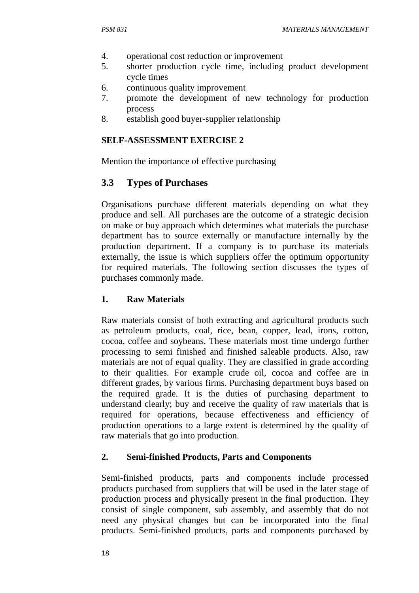- 4. operational cost reduction or improvement
- 5. shorter production cycle time, including product development cycle times
- 6. continuous quality improvement
- 7. promote the development of new technology for production process
- 8. establish good buyer-supplier relationship

#### **SELF-ASSESSMENT EXERCISE 2**

Mention the importance of effective purchasing

#### **3.3 Types of Purchases**

Organisations purchase different materials depending on what they produce and sell. All purchases are the outcome of a strategic decision on make or buy approach which determines what materials the purchase department has to source externally or manufacture internally by the production department. If a company is to purchase its materials externally, the issue is which suppliers offer the optimum opportunity for required materials. The following section discusses the types of purchases commonly made.

#### **1. Raw Materials**

Raw materials consist of both extracting and agricultural products such as petroleum products, coal, rice, bean, copper, lead, irons, cotton, cocoa, coffee and soybeans. These materials most time undergo further processing to semi finished and finished saleable products. Also, raw materials are not of equal quality. They are classified in grade according to their qualities. For example crude oil, cocoa and coffee are in different grades, by various firms. Purchasing department buys based on the required grade. It is the duties of purchasing department to understand clearly; buy and receive the quality of raw materials that is required for operations, because effectiveness and efficiency of production operations to a large extent is determined by the quality of raw materials that go into production.

#### **2. Semi-finished Products, Parts and Components**

Semi-finished products, parts and components include processed products purchased from suppliers that will be used in the later stage of production process and physically present in the final production. They consist of single component, sub assembly, and assembly that do not need any physical changes but can be incorporated into the final products. Semi-finished products, parts and components purchased by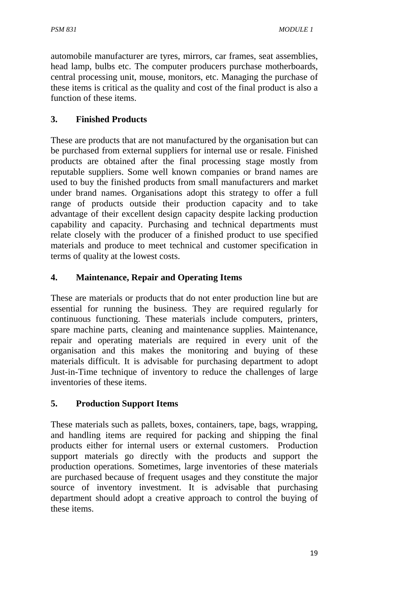automobile manufacturer are tyres, mirrors, car frames, seat assemblies, head lamp, bulbs etc. The computer producers purchase motherboards, central processing unit, mouse, monitors, etc. Managing the purchase of these items is critical as the quality and cost of the final product is also a function of these items.

## **3. Finished Products**

These are products that are not manufactured by the organisation but can be purchased from external suppliers for internal use or resale. Finished products are obtained after the final processing stage mostly from reputable suppliers. Some well known companies or brand names are used to buy the finished products from small manufacturers and market under brand names. Organisations adopt this strategy to offer a full range of products outside their production capacity and to take advantage of their excellent design capacity despite lacking production capability and capacity. Purchasing and technical departments must relate closely with the producer of a finished product to use specified materials and produce to meet technical and customer specification in terms of quality at the lowest costs.

## **4. Maintenance, Repair and Operating Items**

These are materials or products that do not enter production line but are essential for running the business. They are required regularly for continuous functioning. These materials include computers, printers, spare machine parts, cleaning and maintenance supplies. Maintenance, repair and operating materials are required in every unit of the organisation and this makes the monitoring and buying of these materials difficult. It is advisable for purchasing department to adopt Just-in-Time technique of inventory to reduce the challenges of large inventories of these items.

## **5. Production Support Items**

These materials such as pallets, boxes, containers, tape, bags, wrapping, and handling items are required for packing and shipping the final products either for internal users or external customers. Production support materials go directly with the products and support the production operations. Sometimes, large inventories of these materials are purchased because of frequent usages and they constitute the major source of inventory investment. It is advisable that purchasing department should adopt a creative approach to control the buying of these items.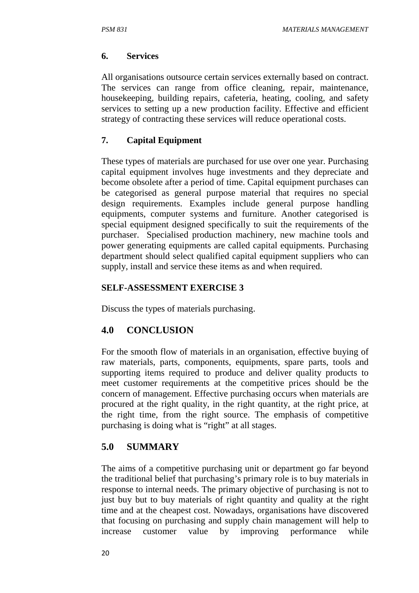#### **6. Services**

All organisations outsource certain services externally based on contract. The services can range from office cleaning, repair, maintenance, housekeeping, building repairs, cafeteria, heating, cooling, and safety services to setting up a new production facility. Effective and efficient strategy of contracting these services will reduce operational costs.

## **7. Capital Equipment**

These types of materials are purchased for use over one year. Purchasing capital equipment involves huge investments and they depreciate and become obsolete after a period of time. Capital equipment purchases can be categorised as general purpose material that requires no special design requirements. Examples include general purpose handling equipments, computer systems and furniture. Another categorised is special equipment designed specifically to suit the requirements of the purchaser. Specialised production machinery, new machine tools and power generating equipments are called capital equipments. Purchasing department should select qualified capital equipment suppliers who can supply, install and service these items as and when required.

#### **SELF-ASSESSMENT EXERCISE 3**

Discuss the types of materials purchasing.

## **4.0 CONCLUSION**

For the smooth flow of materials in an organisation, effective buying of raw materials, parts, components, equipments, spare parts, tools and supporting items required to produce and deliver quality products to meet customer requirements at the competitive prices should be the concern of management. Effective purchasing occurs when materials are procured at the right quality, in the right quantity, at the right price, at the right time, from the right source. The emphasis of competitive purchasing is doing what is "right" at all stages.

## **5.0 SUMMARY**

The aims of a competitive purchasing unit or department go far beyond the traditional belief that purchasing's primary role is to buy materials in response to internal needs. The primary objective of purchasing is not to just buy but to buy materials of right quantity and quality at the right time and at the cheapest cost. Nowadays, organisations have discovered that focusing on purchasing and supply chain management will help to increase customer value by improving performance while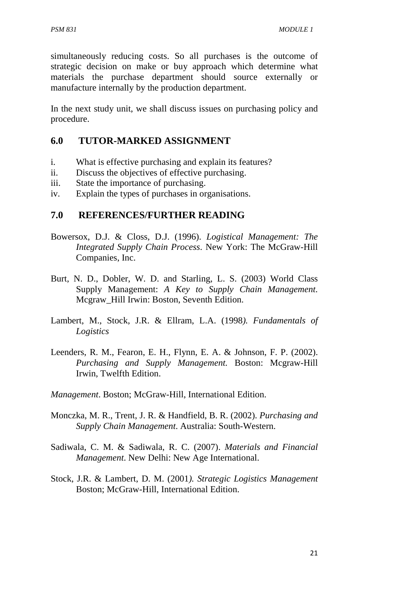simultaneously reducing costs. So all purchases is the outcome of strategic decision on make or buy approach which determine what materials the purchase department should source externally or manufacture internally by the production department.

In the next study unit, we shall discuss issues on purchasing policy and procedure.

## **6.0 TUTOR-MARKED ASSIGNMENT**

- i. What is effective purchasing and explain its features?
- ii. Discuss the objectives of effective purchasing.
- iii. State the importance of purchasing.
- iv. Explain the types of purchases in organisations.

## **7.0 REFERENCES/FURTHER READING**

- Bowersox, D.J. & Closs, D.J. (1996). *Logistical Management: The Integrated Supply Chain Process*. New York: The McGraw-Hill Companies, Inc.
- Burt, N. D., Dobler, W. D. and Starling, L. S. (2003) World Class Supply Management: *A Key to Supply Chain Management*. Mcgraw\_Hill Irwin: Boston, Seventh Edition.
- Lambert, M., Stock, J.R. & Ellram, L.A. (1998*). Fundamentals of Logistics*
- Leenders, R. M., Fearon, E. H., Flynn, E. A. & Johnson, F. P. (2002). *Purchasing and Supply Management.* Boston: Mcgraw-Hill Irwin, Twelfth Edition.
- *Management*. Boston; McGraw-Hill, International Edition.
- Monczka, M. R., Trent, J. R. & Handfield, B. R. (2002). *Purchasing and Supply Chain Management*. Australia: South-Western.
- Sadiwala, C. M. & Sadiwala, R. C. (2007). *Materials and Financial Management*. New Delhi: New Age International.
- Stock, J.R. & Lambert, D. M. (2001*). Strategic Logistics Management* Boston; McGraw-Hill, International Edition.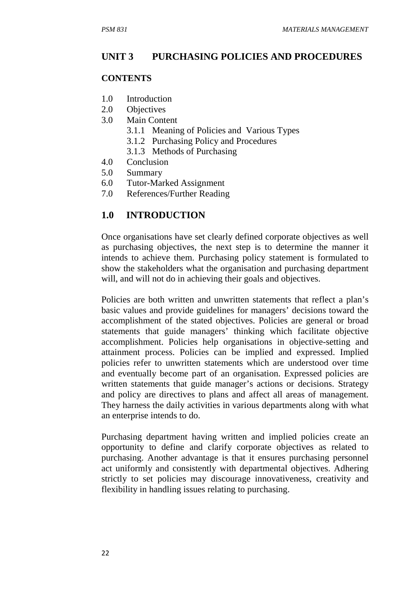#### **UNIT 3 PURCHASING POLICIES AND PROCEDURES**

#### **CONTENTS**

- 1.0 Introduction
- 2.0 Objectives
- 3.0 Main Content
	- 3.1.1 Meaning of Policies and Various Types
	- 3.1.2 Purchasing Policy and Procedures
	- 3.1.3 Methods of Purchasing
- 4.0 Conclusion
- 5.0 Summary
- 6.0 Tutor-Marked Assignment
- 7.0 References/Further Reading

#### **1.0 INTRODUCTION**

Once organisations have set clearly defined corporate objectives as well as purchasing objectives, the next step is to determine the manner it intends to achieve them. Purchasing policy statement is formulated to show the stakeholders what the organisation and purchasing department will, and will not do in achieving their goals and objectives.

Policies are both written and unwritten statements that reflect a plan's basic values and provide guidelines for managers' decisions toward the accomplishment of the stated objectives. Policies are general or broad statements that guide managers' thinking which facilitate objective accomplishment. Policies help organisations in objective-setting and attainment process. Policies can be implied and expressed. Implied policies refer to unwritten statements which are understood over time and eventually become part of an organisation. Expressed policies are written statements that guide manager's actions or decisions. Strategy and policy are directives to plans and affect all areas of management. They harness the daily activities in various departments along with what an enterprise intends to do.

Purchasing department having written and implied policies create an opportunity to define and clarify corporate objectives as related to purchasing. Another advantage is that it ensures purchasing personnel act uniformly and consistently with departmental objectives. Adhering strictly to set policies may discourage innovativeness, creativity and flexibility in handling issues relating to purchasing.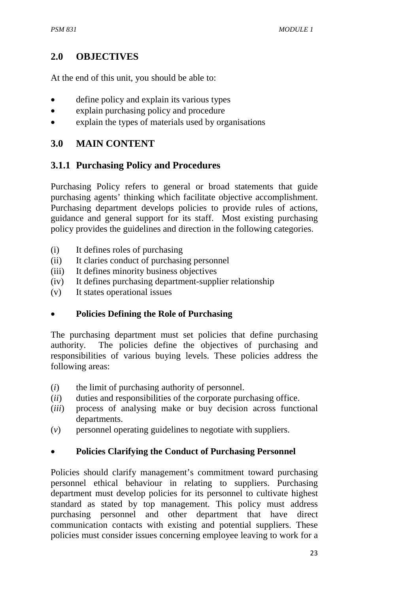## **2.0 OBJECTIVES**

At the end of this unit, you should be able to:

- define policy and explain its various types
- explain purchasing policy and procedure
- explain the types of materials used by organisations

## **3.0 MAIN CONTENT**

## **3.1.1 Purchasing Policy and Procedures**

Purchasing Policy refers to general or broad statements that guide purchasing agents' thinking which facilitate objective accomplishment. Purchasing department develops policies to provide rules of actions, guidance and general support for its staff. Most existing purchasing policy provides the guidelines and direction in the following categories.

- (i) It defines roles of purchasing
- (ii) It claries conduct of purchasing personnel
- (iii) It defines minority business objectives
- (iv) It defines purchasing department-supplier relationship
- (v) It states operational issues

## • **Policies Defining the Role of Purchasing**

The purchasing department must set policies that define purchasing authority. The policies define the objectives of purchasing and responsibilities of various buying levels. These policies address the following areas:

- (*i*) the limit of purchasing authority of personnel.
- (*ii*) duties and responsibilities of the corporate purchasing office.
- (*iii*) process of analysing make or buy decision across functional departments.
- (*v*) personnel operating guidelines to negotiate with suppliers.

## • **Policies Clarifying the Conduct of Purchasing Personnel**

Policies should clarify management's commitment toward purchasing personnel ethical behaviour in relating to suppliers. Purchasing department must develop policies for its personnel to cultivate highest standard as stated by top management. This policy must address purchasing personnel and other department that have direct communication contacts with existing and potential suppliers. These policies must consider issues concerning employee leaving to work for a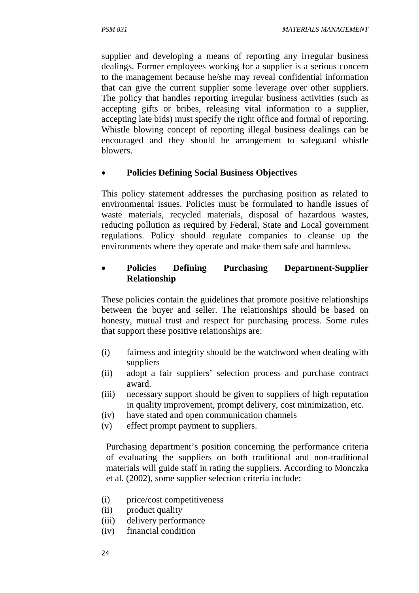supplier and developing a means of reporting any irregular business dealings. Former employees working for a supplier is a serious concern to the management because he/she may reveal confidential information that can give the current supplier some leverage over other suppliers. The policy that handles reporting irregular business activities (such as accepting gifts or bribes, releasing vital information to a supplier, accepting late bids) must specify the right office and formal of reporting. Whistle blowing concept of reporting illegal business dealings can be encouraged and they should be arrangement to safeguard whistle blowers.

## • **Policies Defining Social Business Objectives**

This policy statement addresses the purchasing position as related to environmental issues. Policies must be formulated to handle issues of waste materials, recycled materials, disposal of hazardous wastes, reducing pollution as required by Federal, State and Local government regulations. Policy should regulate companies to cleanse up the environments where they operate and make them safe and harmless.

## • **Policies Defining Purchasing Department-Supplier Relationship**

These policies contain the guidelines that promote positive relationships between the buyer and seller. The relationships should be based on honesty, mutual trust and respect for purchasing process. Some rules that support these positive relationships are:

- (i) fairness and integrity should be the watchword when dealing with suppliers
- (ii) adopt a fair suppliers' selection process and purchase contract award.
- (iii) necessary support should be given to suppliers of high reputation in quality improvement, prompt delivery, cost minimization, etc.
- (iv) have stated and open communication channels
- (v) effect prompt payment to suppliers.

Purchasing department's position concerning the performance criteria of evaluating the suppliers on both traditional and non-traditional materials will guide staff in rating the suppliers. According to Monczka et al. (2002), some supplier selection criteria include:

- (i) price/cost competitiveness
- (ii) product quality
- (iii) delivery performance
- (iv) financial condition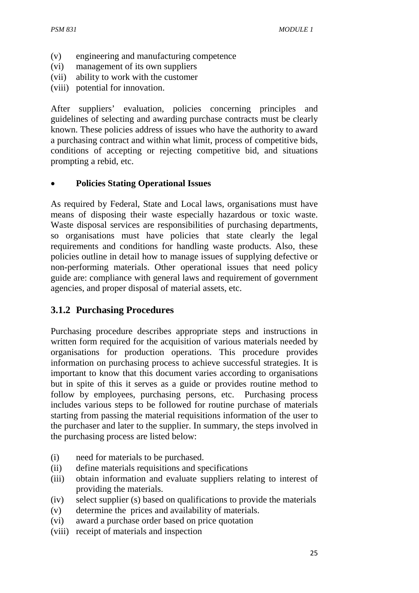- (v) engineering and manufacturing competence
- (vi) management of its own suppliers
- (vii) ability to work with the customer
- (viii) potential for innovation.

After suppliers' evaluation, policies concerning principles and guidelines of selecting and awarding purchase contracts must be clearly known. These policies address of issues who have the authority to award a purchasing contract and within what limit, process of competitive bids, conditions of accepting or rejecting competitive bid, and situations prompting a rebid, etc.

#### • **Policies Stating Operational Issues**

As required by Federal, State and Local laws, organisations must have means of disposing their waste especially hazardous or toxic waste. Waste disposal services are responsibilities of purchasing departments, so organisations must have policies that state clearly the legal requirements and conditions for handling waste products. Also, these policies outline in detail how to manage issues of supplying defective or non-performing materials. Other operational issues that need policy guide are: compliance with general laws and requirement of government agencies, and proper disposal of material assets, etc.

## **3.1.2 Purchasing Procedures**

Purchasing procedure describes appropriate steps and instructions in written form required for the acquisition of various materials needed by organisations for production operations. This procedure provides information on purchasing process to achieve successful strategies. It is important to know that this document varies according to organisations but in spite of this it serves as a guide or provides routine method to follow by employees, purchasing persons, etc. Purchasing process includes various steps to be followed for routine purchase of materials starting from passing the material requisitions information of the user to the purchaser and later to the supplier. In summary, the steps involved in the purchasing process are listed below:

- (i) need for materials to be purchased.
- (ii) define materials requisitions and specifications
- (iii) obtain information and evaluate suppliers relating to interest of providing the materials.
- (iv) select supplier (s) based on qualifications to provide the materials
- (v) determine the prices and availability of materials.
- (vi) award a purchase order based on price quotation
- (viii) receipt of materials and inspection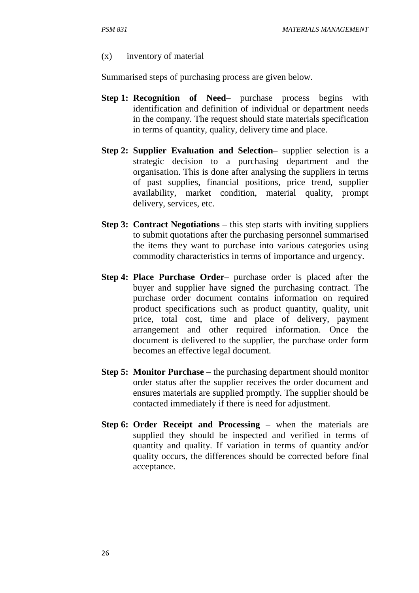#### (x) inventory of material

Summarised steps of purchasing process are given below.

- **Step 1: Recognition of Need** purchase process begins with identification and definition of individual or department needs in the company. The request should state materials specification in terms of quantity, quality, delivery time and place.
- **Step 2: Supplier Evaluation and Selection** supplier selection is a strategic decision to a purchasing department and the organisation. This is done after analysing the suppliers in terms of past supplies, financial positions, price trend, supplier availability, market condition, material quality, prompt delivery, services, etc.
- **Step 3: Contract Negotiations** this step starts with inviting suppliers to submit quotations after the purchasing personnel summarised the items they want to purchase into various categories using commodity characteristics in terms of importance and urgency.
- **Step 4: Place Purchase Order** purchase order is placed after the buyer and supplier have signed the purchasing contract. The purchase order document contains information on required product specifications such as product quantity, quality, unit price, total cost, time and place of delivery, payment arrangement and other required information. Once the document is delivered to the supplier, the purchase order form becomes an effective legal document.
- **Step 5: Monitor Purchase** the purchasing department should monitor order status after the supplier receives the order document and ensures materials are supplied promptly. The supplier should be contacted immediately if there is need for adjustment.
- **Step 6: Order Receipt and Processing** when the materials are supplied they should be inspected and verified in terms of quantity and quality. If variation in terms of quantity and/or quality occurs, the differences should be corrected before final acceptance.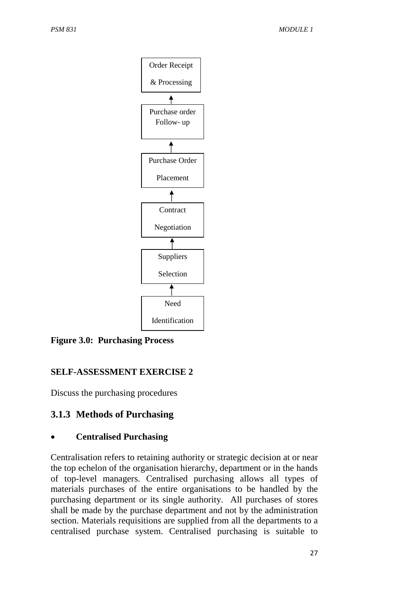

**Figure 3.0: Purchasing Process** 

## **SELF-ASSESSMENT EXERCISE 2**

Discuss the purchasing procedures

# **3.1.3 Methods of Purchasing**

## • **Centralised Purchasing**

Centralisation refers to retaining authority or strategic decision at or near the top echelon of the organisation hierarchy, department or in the hands of top-level managers. Centralised purchasing allows all types of materials purchases of the entire organisations to be handled by the purchasing department or its single authority. All purchases of stores shall be made by the purchase department and not by the administration section. Materials requisitions are supplied from all the departments to a centralised purchase system. Centralised purchasing is suitable to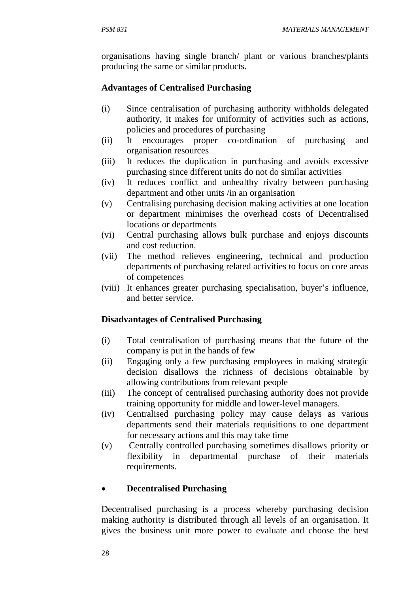organisations having single branch/ plant or various branches/plants producing the same or similar products.

### **Advantages of Centralised Purchasing**

- (i) Since centralisation of purchasing authority withholds delegated authority, it makes for uniformity of activities such as actions, policies and procedures of purchasing
- (ii) It encourages proper co-ordination of purchasing and organisation resources
- (iii) It reduces the duplication in purchasing and avoids excessive purchasing since different units do not do similar activities
- (iv) It reduces conflict and unhealthy rivalry between purchasing department and other units /in an organisation
- (v) Centralising purchasing decision making activities at one location or department minimises the overhead costs of Decentralised locations or departments
- (vi) Central purchasing allows bulk purchase and enjoys discounts and cost reduction.
- (vii) The method relieves engineering, technical and production departments of purchasing related activities to focus on core areas of competences
- (viii) It enhances greater purchasing specialisation, buyer's influence, and better service.

### **Disadvantages of Centralised Purchasing**

- (i) Total centralisation of purchasing means that the future of the company is put in the hands of few
- (ii) Engaging only a few purchasing employees in making strategic decision disallows the richness of decisions obtainable by allowing contributions from relevant people
- (iii) The concept of centralised purchasing authority does not provide training opportunity for middle and lower-level managers.
- (iv) Centralised purchasing policy may cause delays as various departments send their materials requisitions to one department for necessary actions and this may take time
- (v) Centrally controlled purchasing sometimes disallows priority or flexibility in departmental purchase of their materials requirements.

## • **Decentralised Purchasing**

Decentralised purchasing is a process whereby purchasing decision making authority is distributed through all levels of an organisation. It gives the business unit more power to evaluate and choose the best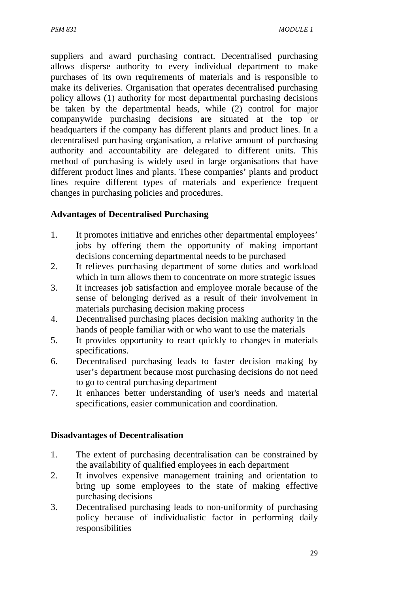suppliers and award purchasing contract. Decentralised purchasing allows disperse authority to every individual department to make purchases of its own requirements of materials and is responsible to make its deliveries. Organisation that operates decentralised purchasing policy allows (1) authority for most departmental purchasing decisions be taken by the departmental heads, while (2) control for major companywide purchasing decisions are situated at the top or headquarters if the company has different plants and product lines. In a decentralised purchasing organisation, a relative amount of purchasing authority and accountability are delegated to different units. This method of purchasing is widely used in large organisations that have different product lines and plants. These companies' plants and product lines require different types of materials and experience frequent changes in purchasing policies and procedures.

### **Advantages of Decentralised Purchasing**

- 1. It promotes initiative and enriches other departmental employees' jobs by offering them the opportunity of making important decisions concerning departmental needs to be purchased
- 2. It relieves purchasing department of some duties and workload which in turn allows them to concentrate on more strategic issues
- 3. It increases job satisfaction and employee morale because of the sense of belonging derived as a result of their involvement in materials purchasing decision making process
- 4. Decentralised purchasing places decision making authority in the hands of people familiar with or who want to use the materials
- 5. It provides opportunity to react quickly to changes in materials specifications.
- 6. Decentralised purchasing leads to faster decision making by user's department because most purchasing decisions do not need to go to central purchasing department
- 7. It enhances better understanding of user's needs and material specifications, easier communication and coordination.

## **Disadvantages of Decentralisation**

- 1. The extent of purchasing decentralisation can be constrained by the availability of qualified employees in each department
- 2. It involves expensive management training and orientation to bring up some employees to the state of making effective purchasing decisions
- 3. Decentralised purchasing leads to non-uniformity of purchasing policy because of individualistic factor in performing daily responsibilities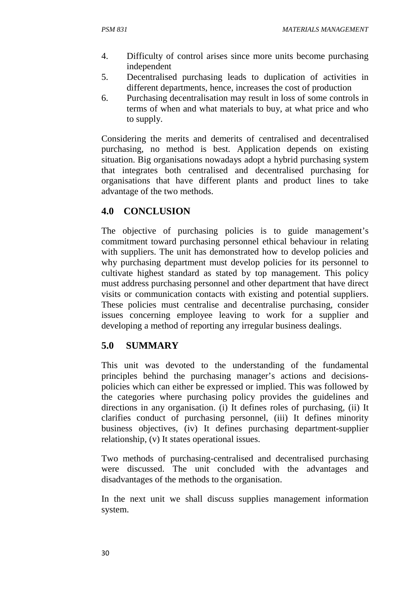- 4. Difficulty of control arises since more units become purchasing independent
- 5. Decentralised purchasing leads to duplication of activities in different departments, hence, increases the cost of production
- 6. Purchasing decentralisation may result in loss of some controls in terms of when and what materials to buy, at what price and who to supply.

Considering the merits and demerits of centralised and decentralised purchasing, no method is best. Application depends on existing situation. Big organisations nowadays adopt a hybrid purchasing system that integrates both centralised and decentralised purchasing for organisations that have different plants and product lines to take advantage of the two methods.

## **4.0 CONCLUSION**

The objective of purchasing policies is to guide management's commitment toward purchasing personnel ethical behaviour in relating with suppliers. The unit has demonstrated how to develop policies and why purchasing department must develop policies for its personnel to cultivate highest standard as stated by top management. This policy must address purchasing personnel and other department that have direct visits or communication contacts with existing and potential suppliers. These policies must centralise and decentralise purchasing, consider issues concerning employee leaving to work for a supplier and developing a method of reporting any irregular business dealings.

# **5.0 SUMMARY**

This unit was devoted to the understanding of the fundamental principles behind the purchasing manager's actions and decisionspolicies which can either be expressed or implied. This was followed by the categories where purchasing policy provides the guidelines and directions in any organisation. (i) It defines roles of purchasing, (ii) It clarifies conduct of purchasing personnel, (iii) It defines minority business objectives, (iv) It defines purchasing department-supplier relationship, (v) It states operational issues.

Two methods of purchasing-centralised and decentralised purchasing were discussed. The unit concluded with the advantages and disadvantages of the methods to the organisation.

In the next unit we shall discuss supplies management information system.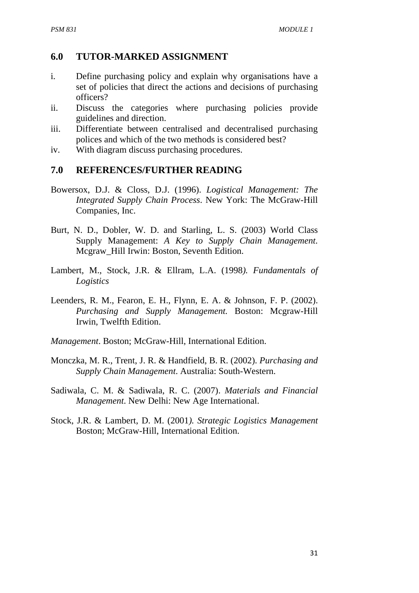### **6.0 TUTOR-MARKED ASSIGNMENT**

- i. Define purchasing policy and explain why organisations have a set of policies that direct the actions and decisions of purchasing officers?
- ii. Discuss the categories where purchasing policies provide guidelines and direction.
- iii. Differentiate between centralised and decentralised purchasing polices and which of the two methods is considered best?
- iv. With diagram discuss purchasing procedures.

### **7.0 REFERENCES/FURTHER READING**

- Bowersox, D.J. & Closs, D.J. (1996). *Logistical Management: The Integrated Supply Chain Process*. New York: The McGraw-Hill Companies, Inc.
- Burt, N. D., Dobler, W. D. and Starling, L. S. (2003) World Class Supply Management: *A Key to Supply Chain Management*. Mcgraw\_Hill Irwin: Boston, Seventh Edition.
- Lambert, M., Stock, J.R. & Ellram, L.A. (1998*). Fundamentals of Logistics*
- Leenders, R. M., Fearon, E. H., Flynn, E. A. & Johnson, F. P. (2002). *Purchasing and Supply Management.* Boston: Mcgraw-Hill Irwin, Twelfth Edition.
- *Management*. Boston; McGraw-Hill, International Edition.
- Monczka, M. R., Trent, J. R. & Handfield, B. R. (2002). *Purchasing and Supply Chain Management*. Australia: South-Western.
- Sadiwala, C. M. & Sadiwala, R. C. (2007). *Materials and Financial Management*. New Delhi: New Age International.
- Stock, J.R. & Lambert, D. M. (2001*). Strategic Logistics Management* Boston; McGraw-Hill, International Edition.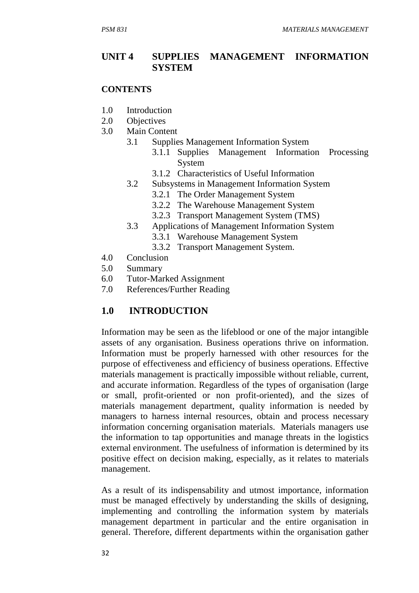### **UNIT 4 SUPPLIES MANAGEMENT INFORMATION SYSTEM**

#### **CONTENTS**

- 1.0 Introduction
- 2.0 Objectives
- 3.0 Main Content
	- 3.1 Supplies Management Information System
		- 3.1.1Supplies Management Information Processing System
		- 3.1.2 Characteristics of Useful Information
	- 3.2 Subsystems in Management Information System
		- 3.2.1 The Order Management System
		- 3.2.2The Warehouse Management System
		- 3.2.3Transport Management System (TMS)
	- 3.3 Applications of Management Information System
		- 3.3.1 Warehouse Management System
		- 3.3.2 Transport Management System.
- 4.0 Conclusion
- 5.0 Summary
- 6.0 Tutor-Marked Assignment
- 7.0 References/Further Reading

## **1.0 INTRODUCTION**

Information may be seen as the lifeblood or one of the major intangible assets of any organisation. Business operations thrive on information. Information must be properly harnessed with other resources for the purpose of effectiveness and efficiency of business operations. Effective materials management is practically impossible without reliable, current, and accurate information. Regardless of the types of organisation (large or small, profit-oriented or non profit-oriented), and the sizes of materials management department, quality information is needed by managers to harness internal resources, obtain and process necessary information concerning organisation materials. Materials managers use the information to tap opportunities and manage threats in the logistics external environment. The usefulness of information is determined by its positive effect on decision making, especially, as it relates to materials management.

As a result of its indispensability and utmost importance, information must be managed effectively by understanding the skills of designing, implementing and controlling the information system by materials management department in particular and the entire organisation in general. Therefore, different departments within the organisation gather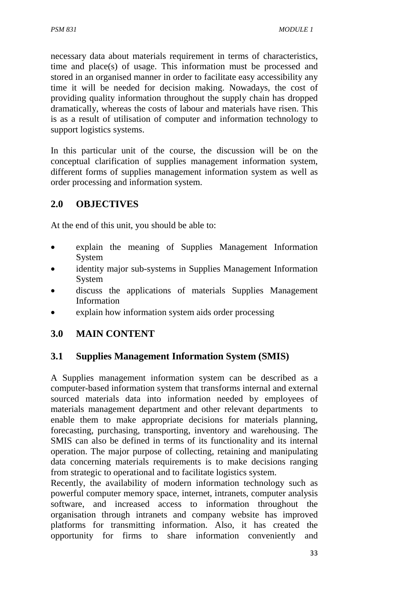necessary data about materials requirement in terms of characteristics, time and place(s) of usage. This information must be processed and stored in an organised manner in order to facilitate easy accessibility any time it will be needed for decision making. Nowadays, the cost of providing quality information throughout the supply chain has dropped dramatically, whereas the costs of labour and materials have risen. This is as a result of utilisation of computer and information technology to support logistics systems.

In this particular unit of the course, the discussion will be on the conceptual clarification of supplies management information system, different forms of supplies management information system as well as order processing and information system.

# **2.0 OBJECTIVES**

At the end of this unit, you should be able to:

- explain the meaning of Supplies Management Information System
- identity major sub-systems in Supplies Management Information System
- discuss the applications of materials Supplies Management Information
- explain how information system aids order processing

# **3.0 MAIN CONTENT**

## **3.1 Supplies Management Information System (SMIS)**

A Supplies management information system can be described as a computer-based information system that transforms internal and external sourced materials data into information needed by employees of materials management department and other relevant departments to enable them to make appropriate decisions for materials planning, forecasting, purchasing, transporting, inventory and warehousing. The SMIS can also be defined in terms of its functionality and its internal operation. The major purpose of collecting, retaining and manipulating data concerning materials requirements is to make decisions ranging from strategic to operational and to facilitate logistics system.

Recently, the availability of modern information technology such as powerful computer memory space, internet, intranets, computer analysis software, and increased access to information throughout the organisation through intranets and company website has improved platforms for transmitting information. Also, it has created the opportunity for firms to share information conveniently and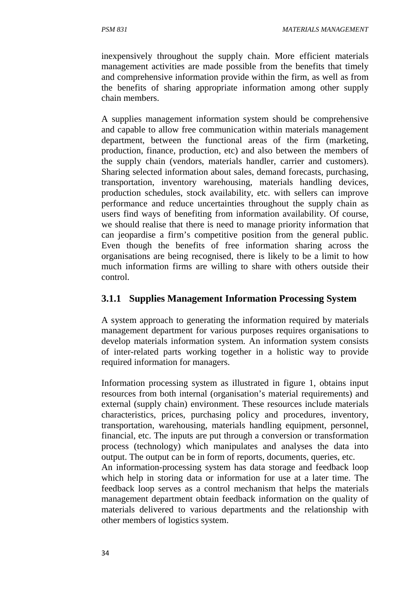inexpensively throughout the supply chain. More efficient materials management activities are made possible from the benefits that timely and comprehensive information provide within the firm, as well as from the benefits of sharing appropriate information among other supply chain members.

A supplies management information system should be comprehensive and capable to allow free communication within materials management department, between the functional areas of the firm (marketing, production, finance, production, etc) and also between the members of the supply chain (vendors, materials handler, carrier and customers). Sharing selected information about sales, demand forecasts, purchasing, transportation, inventory warehousing, materials handling devices, production schedules, stock availability, etc. with sellers can improve performance and reduce uncertainties throughout the supply chain as users find ways of benefiting from information availability. Of course, we should realise that there is need to manage priority information that can jeopardise a firm's competitive position from the general public. Even though the benefits of free information sharing across the organisations are being recognised, there is likely to be a limit to how much information firms are willing to share with others outside their control.

### **3.1.1 Supplies Management Information Processing System**

A system approach to generating the information required by materials management department for various purposes requires organisations to develop materials information system. An information system consists of inter-related parts working together in a holistic way to provide required information for managers.

Information processing system as illustrated in figure 1, obtains input resources from both internal (organisation's material requirements) and external (supply chain) environment. These resources include materials characteristics, prices, purchasing policy and procedures, inventory, transportation, warehousing, materials handling equipment, personnel, financial, etc. The inputs are put through a conversion or transformation process (technology) which manipulates and analyses the data into output. The output can be in form of reports, documents, queries, etc.

An information-processing system has data storage and feedback loop which help in storing data or information for use at a later time. The feedback loop serves as a control mechanism that helps the materials management department obtain feedback information on the quality of materials delivered to various departments and the relationship with other members of logistics system.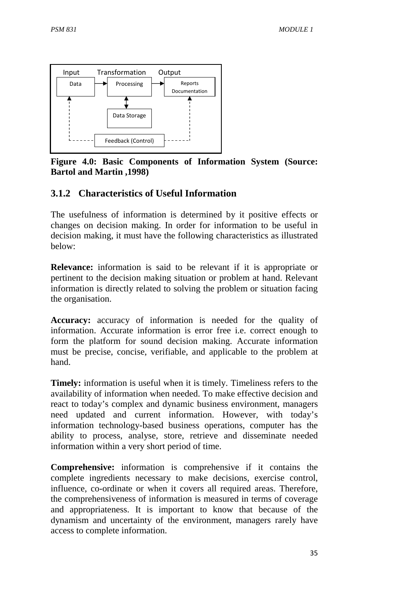

**Figure 4.0: Basic Components of Information System (Source: Bartol and Martin ,1998)** 

## **3.1.2 Characteristics of Useful Information**

The usefulness of information is determined by it positive effects or changes on decision making. In order for information to be useful in decision making, it must have the following characteristics as illustrated below:

**Relevance:** information is said to be relevant if it is appropriate or pertinent to the decision making situation or problem at hand. Relevant information is directly related to solving the problem or situation facing the organisation.

**Accuracy:** accuracy of information is needed for the quality of information. Accurate information is error free i.e. correct enough to form the platform for sound decision making. Accurate information must be precise, concise, verifiable, and applicable to the problem at hand.

**Timely:** information is useful when it is timely. Timeliness refers to the availability of information when needed. To make effective decision and react to today's complex and dynamic business environment, managers need updated and current information. However, with today's information technology-based business operations, computer has the ability to process, analyse, store, retrieve and disseminate needed information within a very short period of time.

**Comprehensive:** information is comprehensive if it contains the complete ingredients necessary to make decisions, exercise control, influence, co-ordinate or when it covers all required areas. Therefore, the comprehensiveness of information is measured in terms of coverage and appropriateness. It is important to know that because of the dynamism and uncertainty of the environment, managers rarely have access to complete information.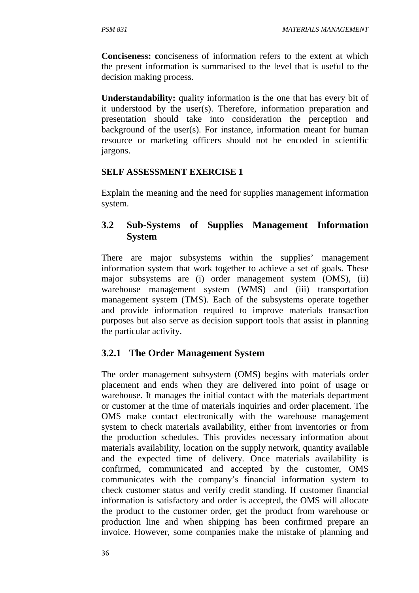**Conciseness: c**onciseness of information refers to the extent at which the present information is summarised to the level that is useful to the decision making process.

**Understandability:** quality information is the one that has every bit of it understood by the user(s). Therefore, information preparation and presentation should take into consideration the perception and background of the user(s). For instance, information meant for human resource or marketing officers should not be encoded in scientific jargons.

### **SELF ASSESSMENT EXERCISE 1**

Explain the meaning and the need for supplies management information system.

# **3.2 Sub-Systems of Supplies Management Information System**

There are major subsystems within the supplies' management information system that work together to achieve a set of goals. These major subsystems are (i) order management system (OMS), (ii) warehouse management system (WMS) and (iii) transportation management system (TMS). Each of the subsystems operate together and provide information required to improve materials transaction purposes but also serve as decision support tools that assist in planning the particular activity.

# **3.2.1 The Order Management System**

The order management subsystem (OMS) begins with materials order placement and ends when they are delivered into point of usage or warehouse. It manages the initial contact with the materials department or customer at the time of materials inquiries and order placement. The OMS make contact electronically with the warehouse management system to check materials availability, either from inventories or from the production schedules. This provides necessary information about materials availability, location on the supply network, quantity available and the expected time of delivery. Once materials availability is confirmed, communicated and accepted by the customer, OMS communicates with the company's financial information system to check customer status and verify credit standing. If customer financial information is satisfactory and order is accepted, the OMS will allocate the product to the customer order, get the product from warehouse or production line and when shipping has been confirmed prepare an invoice. However, some companies make the mistake of planning and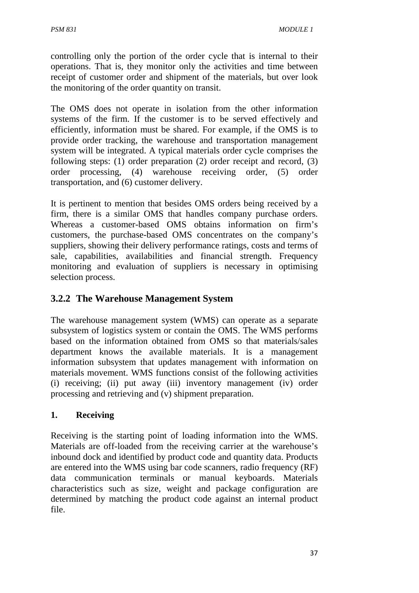controlling only the portion of the order cycle that is internal to their operations. That is, they monitor only the activities and time between receipt of customer order and shipment of the materials, but over look the monitoring of the order quantity on transit.

The OMS does not operate in isolation from the other information systems of the firm. If the customer is to be served effectively and efficiently, information must be shared. For example, if the OMS is to provide order tracking, the warehouse and transportation management system will be integrated. A typical materials order cycle comprises the following steps: (1) order preparation (2) order receipt and record, (3) order processing, (4) warehouse receiving order, (5) order transportation, and (6) customer delivery.

It is pertinent to mention that besides OMS orders being received by a firm, there is a similar OMS that handles company purchase orders. Whereas a customer-based OMS obtains information on firm's customers, the purchase-based OMS concentrates on the company's suppliers, showing their delivery performance ratings, costs and terms of sale, capabilities, availabilities and financial strength. Frequency monitoring and evaluation of suppliers is necessary in optimising selection process.

# **3.2.2 The Warehouse Management System**

The warehouse management system (WMS) can operate as a separate subsystem of logistics system or contain the OMS. The WMS performs based on the information obtained from OMS so that materials/sales department knows the available materials. It is a management information subsystem that updates management with information on materials movement. WMS functions consist of the following activities (i) receiving; (ii) put away (iii) inventory management (iv) order processing and retrieving and (v) shipment preparation.

## **1. Receiving**

Receiving is the starting point of loading information into the WMS. Materials are off-loaded from the receiving carrier at the warehouse's inbound dock and identified by product code and quantity data. Products are entered into the WMS using bar code scanners, radio frequency (RF) data communication terminals or manual keyboards. Materials characteristics such as size, weight and package configuration are determined by matching the product code against an internal product file.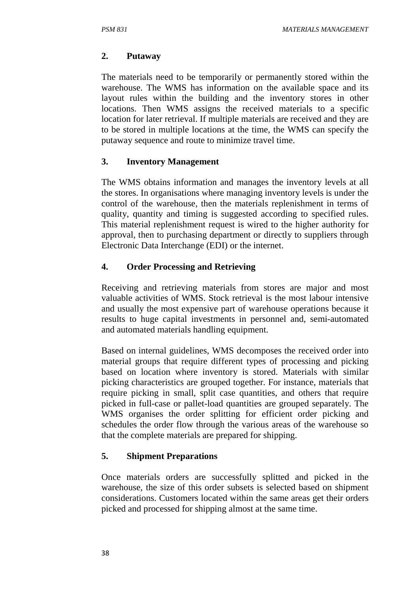## **2. Putaway**

The materials need to be temporarily or permanently stored within the warehouse. The WMS has information on the available space and its layout rules within the building and the inventory stores in other locations. Then WMS assigns the received materials to a specific location for later retrieval. If multiple materials are received and they are to be stored in multiple locations at the time, the WMS can specify the putaway sequence and route to minimize travel time.

## **3. Inventory Management**

The WMS obtains information and manages the inventory levels at all the stores. In organisations where managing inventory levels is under the control of the warehouse, then the materials replenishment in terms of quality, quantity and timing is suggested according to specified rules. This material replenishment request is wired to the higher authority for approval, then to purchasing department or directly to suppliers through Electronic Data Interchange (EDI) or the internet.

## **4. Order Processing and Retrieving**

Receiving and retrieving materials from stores are major and most valuable activities of WMS. Stock retrieval is the most labour intensive and usually the most expensive part of warehouse operations because it results to huge capital investments in personnel and, semi-automated and automated materials handling equipment.

Based on internal guidelines, WMS decomposes the received order into material groups that require different types of processing and picking based on location where inventory is stored. Materials with similar picking characteristics are grouped together. For instance, materials that require picking in small, split case quantities, and others that require picked in full-case or pallet-load quantities are grouped separately. The WMS organises the order splitting for efficient order picking and schedules the order flow through the various areas of the warehouse so that the complete materials are prepared for shipping.

## **5. Shipment Preparations**

Once materials orders are successfully splitted and picked in the warehouse, the size of this order subsets is selected based on shipment considerations. Customers located within the same areas get their orders picked and processed for shipping almost at the same time.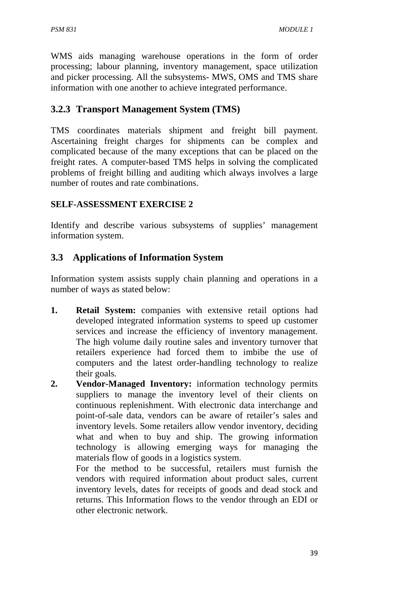WMS aids managing warehouse operations in the form of order processing; labour planning, inventory management, space utilization and picker processing. All the subsystems- MWS, OMS and TMS share information with one another to achieve integrated performance.

# **3.2.3 Transport Management System (TMS)**

TMS coordinates materials shipment and freight bill payment. Ascertaining freight charges for shipments can be complex and complicated because of the many exceptions that can be placed on the freight rates. A computer-based TMS helps in solving the complicated problems of freight billing and auditing which always involves a large number of routes and rate combinations.

## **SELF-ASSESSMENT EXERCISE 2**

Identify and describe various subsystems of supplies' management information system.

# **3.3 Applications of Information System**

Information system assists supply chain planning and operations in a number of ways as stated below:

- **1. Retail System:** companies with extensive retail options had developed integrated information systems to speed up customer services and increase the efficiency of inventory management. The high volume daily routine sales and inventory turnover that retailers experience had forced them to imbibe the use of computers and the latest order-handling technology to realize their goals.
- **2. Vendor-Managed Inventory:** information technology permits suppliers to manage the inventory level of their clients on continuous replenishment. With electronic data interchange and point-of-sale data, vendors can be aware of retailer's sales and inventory levels. Some retailers allow vendor inventory, deciding what and when to buy and ship. The growing information technology is allowing emerging ways for managing the materials flow of goods in a logistics system.

For the method to be successful, retailers must furnish the vendors with required information about product sales, current inventory levels, dates for receipts of goods and dead stock and returns. This Information flows to the vendor through an EDI or other electronic network.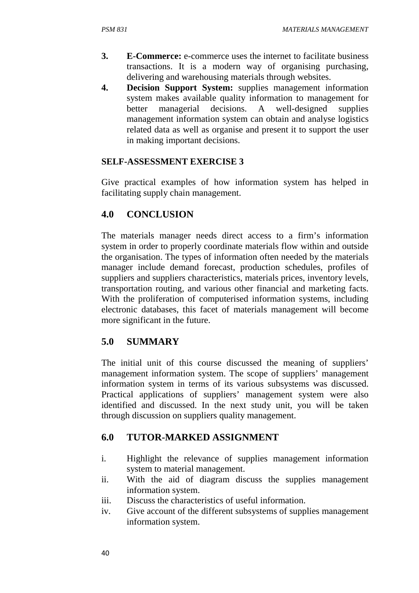- **3. E-Commerce:** e-commerce uses the internet to facilitate business transactions. It is a modern way of organising purchasing, delivering and warehousing materials through websites.
- **4. Decision Support System:** supplies management information system makes available quality information to management for better managerial decisions. A well-designed supplies management information system can obtain and analyse logistics related data as well as organise and present it to support the user in making important decisions.

### **SELF-ASSESSMENT EXERCISE 3**

Give practical examples of how information system has helped in facilitating supply chain management.

## **4.0 CONCLUSION**

The materials manager needs direct access to a firm's information system in order to properly coordinate materials flow within and outside the organisation. The types of information often needed by the materials manager include demand forecast, production schedules, profiles of suppliers and suppliers characteristics, materials prices, inventory levels, transportation routing, and various other financial and marketing facts. With the proliferation of computerised information systems, including electronic databases, this facet of materials management will become more significant in the future.

## **5.0 SUMMARY**

The initial unit of this course discussed the meaning of suppliers' management information system. The scope of suppliers' management information system in terms of its various subsystems was discussed. Practical applications of suppliers' management system were also identified and discussed. In the next study unit, you will be taken through discussion on suppliers quality management.

## **6.0 TUTOR-MARKED ASSIGNMENT**

- i. Highlight the relevance of supplies management information system to material management.
- ii. With the aid of diagram discuss the supplies management information system.
- iii. Discuss the characteristics of useful information.
- iv. Give account of the different subsystems of supplies management information system.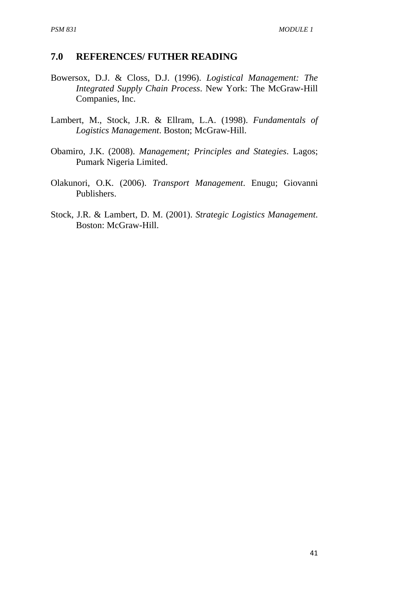#### **7.0 REFERENCES/ FUTHER READING**

- Bowersox, D.J. & Closs, D.J. (1996). *Logistical Management: The Integrated Supply Chain Process*. New York: The McGraw-Hill Companies, Inc.
- Lambert, M., Stock, J.R. & Ellram, L.A. (1998). *Fundamentals of Logistics Management*. Boston; McGraw-Hill.
- Obamiro, J.K. (2008). *Management; Principles and Stategies*. Lagos; Pumark Nigeria Limited.
- Olakunori, O.K. (2006). *Transport Management*. Enugu; Giovanni Publishers.
- Stock, J.R. & Lambert, D. M. (2001). *Strategic Logistics Management*. Boston: McGraw-Hill.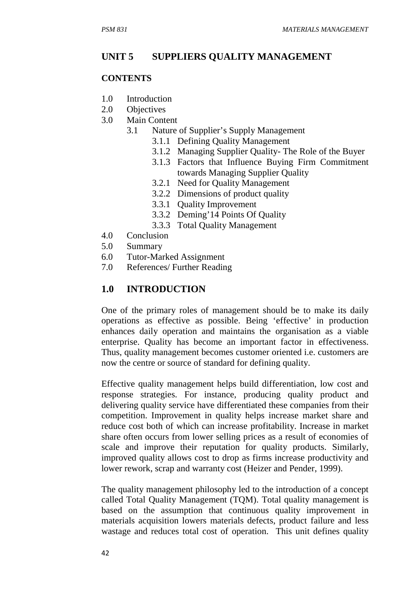#### **UNIT 5 SUPPLIERS QUALITY MANAGEMENT**

#### **CONTENTS**

- 1.0 Introduction
- 2.0 Objectives
- 3.0 Main Content
	- 3.1 Nature of Supplier's Supply Management
		- 3.1.1 Defining Quality Management
		- 3.1.2 Managing Supplier Quality- The Role of the Buyer
		- 3.1.3Factors that Influence Buying Firm Commitment towards Managing Supplier Quality
		- 3.2.1 Need for Quality Management
		- 3.2.2 Dimensions of product quality
		- 3.3.1 Quality Improvement
		- 3.3.2 Deming'14 Points Of Quality
		- 3.3.3 Total Quality Management
- 4.0 Conclusion
- 5.0 Summary
- 6.0 Tutor-Marked Assignment
- 7.0 References/ Further Reading

#### **1.0 INTRODUCTION**

One of the primary roles of management should be to make its daily operations as effective as possible. Being 'effective' in production enhances daily operation and maintains the organisation as a viable enterprise. Quality has become an important factor in effectiveness. Thus, quality management becomes customer oriented i.e. customers are now the centre or source of standard for defining quality.

Effective quality management helps build differentiation, low cost and response strategies. For instance, producing quality product and delivering quality service have differentiated these companies from their competition. Improvement in quality helps increase market share and reduce cost both of which can increase profitability. Increase in market share often occurs from lower selling prices as a result of economies of scale and improve their reputation for quality products. Similarly, improved quality allows cost to drop as firms increase productivity and lower rework, scrap and warranty cost (Heizer and Pender, 1999).

The quality management philosophy led to the introduction of a concept called Total Quality Management (TQM). Total quality management is based on the assumption that continuous quality improvement in materials acquisition lowers materials defects, product failure and less wastage and reduces total cost of operation. This unit defines quality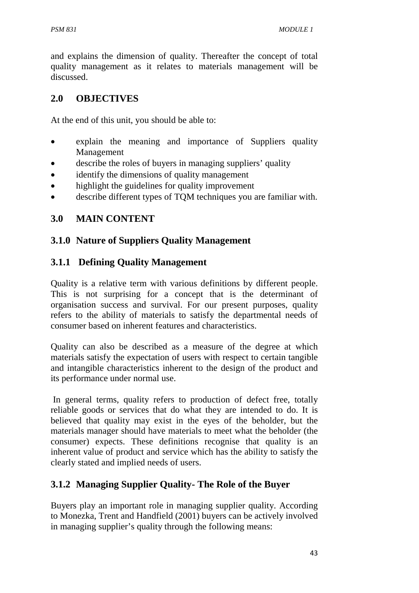and explains the dimension of quality. Thereafter the concept of total quality management as it relates to materials management will be discussed.

## **2.0 OBJECTIVES**

At the end of this unit, you should be able to:

- explain the meaning and importance of Suppliers quality Management
- describe the roles of buyers in managing suppliers' quality
- identify the dimensions of quality management
- highlight the guidelines for quality improvement
- describe different types of TQM techniques you are familiar with.

# **3.0 MAIN CONTENT**

## **3.1.0 Nature of Suppliers Quality Management**

## **3.1.1 Defining Quality Management**

Quality is a relative term with various definitions by different people. This is not surprising for a concept that is the determinant of organisation success and survival. For our present purposes, quality refers to the ability of materials to satisfy the departmental needs of consumer based on inherent features and characteristics.

Quality can also be described as a measure of the degree at which materials satisfy the expectation of users with respect to certain tangible and intangible characteristics inherent to the design of the product and its performance under normal use.

 In general terms, quality refers to production of defect free, totally reliable goods or services that do what they are intended to do. It is believed that quality may exist in the eyes of the beholder, but the materials manager should have materials to meet what the beholder (the consumer) expects. These definitions recognise that quality is an inherent value of product and service which has the ability to satisfy the clearly stated and implied needs of users.

# **3.1.2 Managing Supplier Quality- The Role of the Buyer**

Buyers play an important role in managing supplier quality. According to Monezka, Trent and Handfield (2001) buyers can be actively involved in managing supplier's quality through the following means: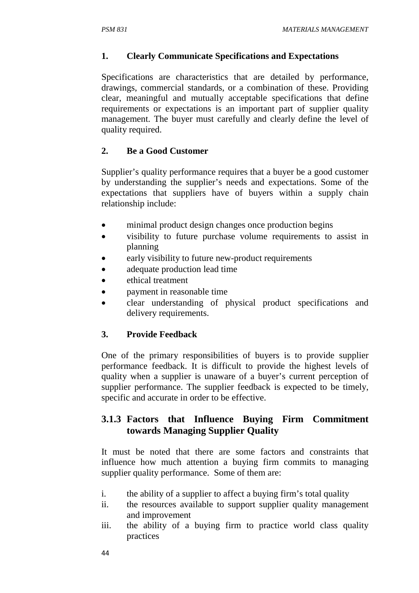### **1. Clearly Communicate Specifications and Expectations**

Specifications are characteristics that are detailed by performance, drawings, commercial standards, or a combination of these. Providing clear, meaningful and mutually acceptable specifications that define requirements or expectations is an important part of supplier quality management. The buyer must carefully and clearly define the level of quality required.

### **2. Be a Good Customer**

Supplier's quality performance requires that a buyer be a good customer by understanding the supplier's needs and expectations. Some of the expectations that suppliers have of buyers within a supply chain relationship include:

- minimal product design changes once production begins
- visibility to future purchase volume requirements to assist in planning
- early visibility to future new-product requirements
- adequate production lead time
- ethical treatment
- payment in reasonable time
- clear understanding of physical product specifications and delivery requirements.

## **3. Provide Feedback**

One of the primary responsibilities of buyers is to provide supplier performance feedback. It is difficult to provide the highest levels of quality when a supplier is unaware of a buyer's current perception of supplier performance. The supplier feedback is expected to be timely, specific and accurate in order to be effective.

## **3.1.3 Factors that Influence Buying Firm Commitment towards Managing Supplier Quality**

It must be noted that there are some factors and constraints that influence how much attention a buying firm commits to managing supplier quality performance. Some of them are:

- i. the ability of a supplier to affect a buying firm's total quality
- ii. the resources available to support supplier quality management and improvement
- iii. the ability of a buying firm to practice world class quality practices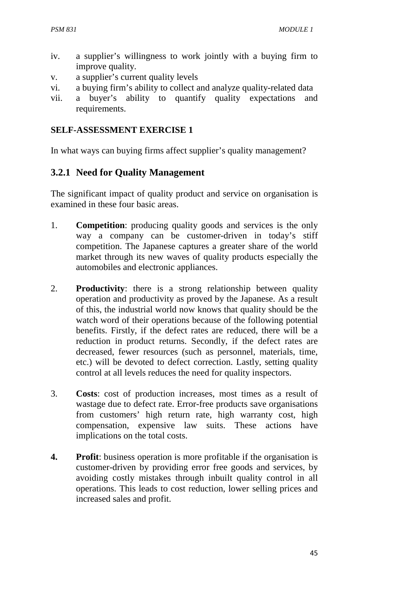- iv. a supplier's willingness to work jointly with a buying firm to improve quality.
- v. a supplier's current quality levels
- vi. a buying firm's ability to collect and analyze quality-related data
- vii. a buyer's ability to quantify quality expectations and requirements.

#### **SELF-ASSESSMENT EXERCISE 1**

In what ways can buying firms affect supplier's quality management?

### **3.2.1 Need for Quality Management**

The significant impact of quality product and service on organisation is examined in these four basic areas.

- 1. **Competition**: producing quality goods and services is the only way a company can be customer-driven in today's stiff competition. The Japanese captures a greater share of the world market through its new waves of quality products especially the automobiles and electronic appliances.
- 2. **Productivity**: there is a strong relationship between quality operation and productivity as proved by the Japanese. As a result of this, the industrial world now knows that quality should be the watch word of their operations because of the following potential benefits. Firstly, if the defect rates are reduced, there will be a reduction in product returns. Secondly, if the defect rates are decreased, fewer resources (such as personnel, materials, time, etc.) will be devoted to defect correction. Lastly, setting quality control at all levels reduces the need for quality inspectors.
- 3. **Costs**: cost of production increases, most times as a result of wastage due to defect rate. Error-free products save organisations from customers' high return rate, high warranty cost, high compensation, expensive law suits. These actions have implications on the total costs.
- **4. Profit**: business operation is more profitable if the organisation is customer-driven by providing error free goods and services, by avoiding costly mistakes through inbuilt quality control in all operations. This leads to cost reduction, lower selling prices and increased sales and profit.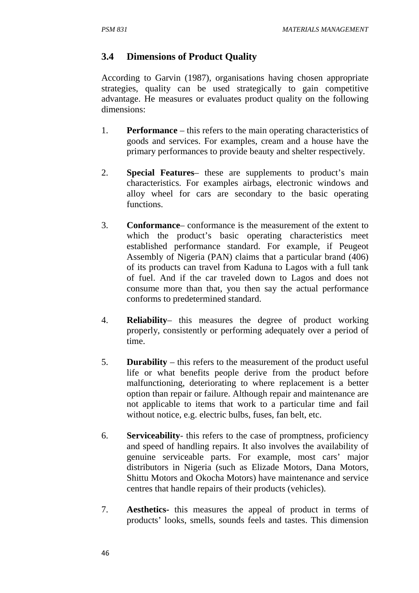### **3.4 Dimensions of Product Quality**

According to Garvin (1987), organisations having chosen appropriate strategies, quality can be used strategically to gain competitive advantage. He measures or evaluates product quality on the following dimensions:

- 1. **Performance** this refers to the main operating characteristics of goods and services. For examples, cream and a house have the primary performances to provide beauty and shelter respectively.
- 2. **Special Features** these are supplements to product's main characteristics. For examples airbags, electronic windows and alloy wheel for cars are secondary to the basic operating functions.
- 3. **Conformance** conformance is the measurement of the extent to which the product's basic operating characteristics meet established performance standard. For example, if Peugeot Assembly of Nigeria (PAN) claims that a particular brand (406) of its products can travel from Kaduna to Lagos with a full tank of fuel. And if the car traveled down to Lagos and does not consume more than that, you then say the actual performance conforms to predetermined standard.
- 4. **Reliability** this measures the degree of product working properly, consistently or performing adequately over a period of time.
- 5. **Durability** this refers to the measurement of the product useful life or what benefits people derive from the product before malfunctioning, deteriorating to where replacement is a better option than repair or failure. Although repair and maintenance are not applicable to items that work to a particular time and fail without notice, e.g. electric bulbs, fuses, fan belt, etc.
- 6. **Serviceability** this refers to the case of promptness, proficiency and speed of handling repairs. It also involves the availability of genuine serviceable parts. For example, most cars' major distributors in Nigeria (such as Elizade Motors, Dana Motors, Shittu Motors and Okocha Motors) have maintenance and service centres that handle repairs of their products (vehicles).
- 7. **Aesthetics-** this measures the appeal of product in terms of products' looks, smells, sounds feels and tastes. This dimension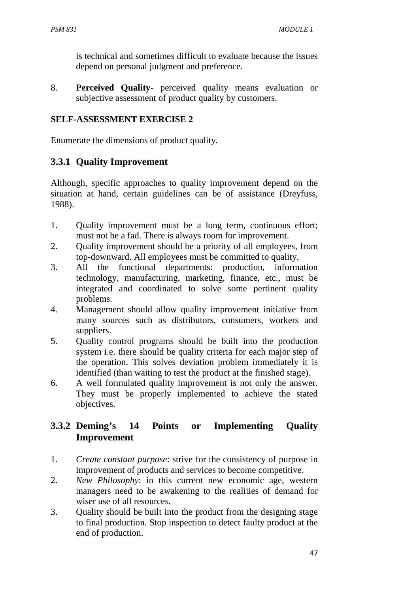is technical and sometimes difficult to evaluate because the issues depend on personal judgment and preference.

8. **Perceived Quality**- perceived quality means evaluation or subjective assessment of product quality by customers.

#### **SELF-ASSESSMENT EXERCISE 2**

Enumerate the dimensions of product quality.

### **3.3.1 Quality Improvement**

Although, specific approaches to quality improvement depend on the situation at hand, certain guidelines can be of assistance (Dreyfuss, 1988).

- 1. Quality improvement must be a long term, continuous effort; must not be a fad. There is always room for improvement.
- 2. Quality improvement should be a priority of all employees, from top-downward. All employees must be committed to quality.
- 3. All the functional departments: production, information technology, manufacturing, marketing, finance, etc., must be integrated and coordinated to solve some pertinent quality problems.
- 4. Management should allow quality improvement initiative from many sources such as distributors, consumers, workers and suppliers.
- 5. Quality control programs should be built into the production system i.e. there should be quality criteria for each major step of the operation. This solves deviation problem immediately it is identified (than waiting to test the product at the finished stage).
- 6. A well formulated quality improvement is not only the answer. They must be properly implemented to achieve the stated objectives.

## **3.3.2 Deming's 14 Points or Implementing Quality Improvement**

- 1. *Create constant purpose*: strive for the consistency of purpose in improvement of products and services to become competitive.
- 2. *New Philosophy*: in this current new economic age, western managers need to be awakening to the realities of demand for wiser use of all resources.
- 3. Quality should be built into the product from the designing stage to final production. Stop inspection to detect faulty product at the end of production.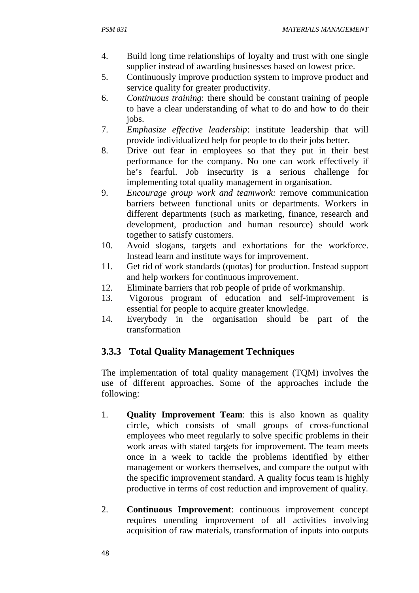- 4. Build long time relationships of loyalty and trust with one single supplier instead of awarding businesses based on lowest price.
- 5. Continuously improve production system to improve product and service quality for greater productivity.
- 6. *Continuous training*: there should be constant training of people to have a clear understanding of what to do and how to do their jobs.
- 7. *Emphasize effective leadership*: institute leadership that will provide individualized help for people to do their jobs better.
- 8. Drive out fear in employees so that they put in their best performance for the company. No one can work effectively if he's fearful. Job insecurity is a serious challenge for implementing total quality management in organisation.
- 9. *Encourage group work and teamwork:* remove communication barriers between functional units or departments. Workers in different departments (such as marketing, finance, research and development, production and human resource) should work together to satisfy customers.
- 10. Avoid slogans, targets and exhortations for the workforce. Instead learn and institute ways for improvement.
- 11. Get rid of work standards (quotas) for production. Instead support and help workers for continuous improvement.
- 12. Eliminate barriers that rob people of pride of workmanship.
- 13. Vigorous program of education and self-improvement is essential for people to acquire greater knowledge.
- 14. Everybody in the organisation should be part of the transformation

# **3.3.3 Total Quality Management Techniques**

The implementation of total quality management (TQM) involves the use of different approaches. Some of the approaches include the following:

- 1. **Quality Improvement Team**: this is also known as quality circle, which consists of small groups of cross-functional employees who meet regularly to solve specific problems in their work areas with stated targets for improvement. The team meets once in a week to tackle the problems identified by either management or workers themselves, and compare the output with the specific improvement standard. A quality focus team is highly productive in terms of cost reduction and improvement of quality.
- 2. **Continuous Improvement**: continuous improvement concept requires unending improvement of all activities involving acquisition of raw materials, transformation of inputs into outputs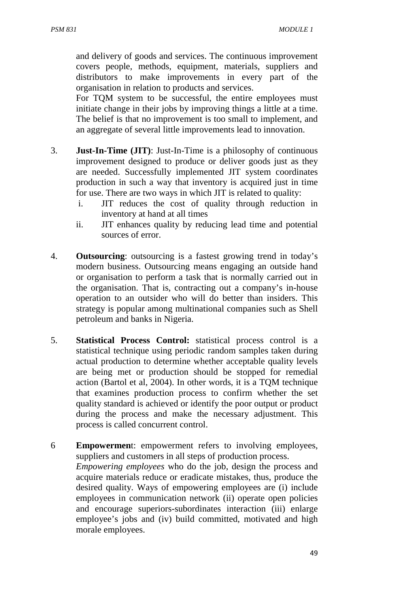and delivery of goods and services. The continuous improvement covers people, methods, equipment, materials, suppliers and distributors to make improvements in every part of the organisation in relation to products and services.

For TQM system to be successful, the entire employees must initiate change in their jobs by improving things a little at a time. The belief is that no improvement is too small to implement, and an aggregate of several little improvements lead to innovation.

- 3. **Just-In-Time (JIT)**: Just-In-Time is a philosophy of continuous improvement designed to produce or deliver goods just as they are needed. Successfully implemented JIT system coordinates production in such a way that inventory is acquired just in time for use. There are two ways in which JIT is related to quality:
	- i. JIT reduces the cost of quality through reduction in inventory at hand at all times
	- ii. JIT enhances quality by reducing lead time and potential sources of error.
- 4. **Outsourcing**: outsourcing is a fastest growing trend in today's modern business. Outsourcing means engaging an outside hand or organisation to perform a task that is normally carried out in the organisation. That is, contracting out a company's in-house operation to an outsider who will do better than insiders. This strategy is popular among multinational companies such as Shell petroleum and banks in Nigeria.
- 5. **Statistical Process Control:** statistical process control is a statistical technique using periodic random samples taken during actual production to determine whether acceptable quality levels are being met or production should be stopped for remedial action (Bartol et al, 2004). In other words, it is a TQM technique that examines production process to confirm whether the set quality standard is achieved or identify the poor output or product during the process and make the necessary adjustment. This process is called concurrent control.
- 6 **Empowermen**t: empowerment refers to involving employees, suppliers and customers in all steps of production process. *Empowering employees* who do the job, design the process and acquire materials reduce or eradicate mistakes, thus, produce the desired quality. Ways of empowering employees are (i) include employees in communication network (ii) operate open policies and encourage superiors-subordinates interaction (iii) enlarge employee's jobs and (iv) build committed, motivated and high morale employees.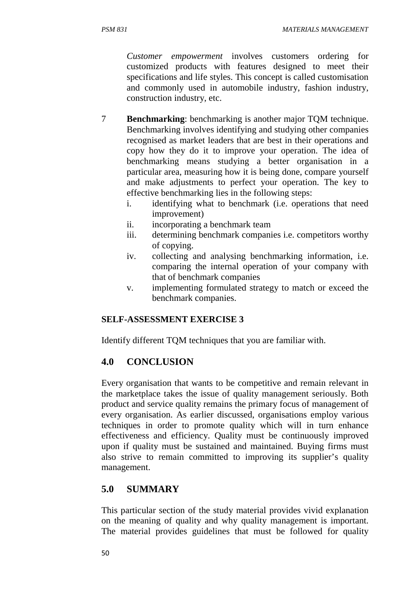*Customer empowerment* involves customers ordering for customized products with features designed to meet their specifications and life styles. This concept is called customisation and commonly used in automobile industry, fashion industry, construction industry, etc.

- 7 **Benchmarking**: benchmarking is another major TQM technique. Benchmarking involves identifying and studying other companies recognised as market leaders that are best in their operations and copy how they do it to improve your operation. The idea of benchmarking means studying a better organisation in a particular area, measuring how it is being done, compare yourself and make adjustments to perfect your operation. The key to effective benchmarking lies in the following steps:
	- i. identifying what to benchmark (i.e. operations that need improvement)
	- ii. incorporating a benchmark team
	- iii. determining benchmark companies i.e. competitors worthy of copying.
	- iv. collecting and analysing benchmarking information, i.e. comparing the internal operation of your company with that of benchmark companies
	- v. implementing formulated strategy to match or exceed the benchmark companies.

#### **SELF-ASSESSMENT EXERCISE 3**

Identify different TQM techniques that you are familiar with.

### **4.0 CONCLUSION**

Every organisation that wants to be competitive and remain relevant in the marketplace takes the issue of quality management seriously. Both product and service quality remains the primary focus of management of every organisation. As earlier discussed, organisations employ various techniques in order to promote quality which will in turn enhance effectiveness and efficiency. Quality must be continuously improved upon if quality must be sustained and maintained. Buying firms must also strive to remain committed to improving its supplier's quality management.

## **5.0 SUMMARY**

This particular section of the study material provides vivid explanation on the meaning of quality and why quality management is important. The material provides guidelines that must be followed for quality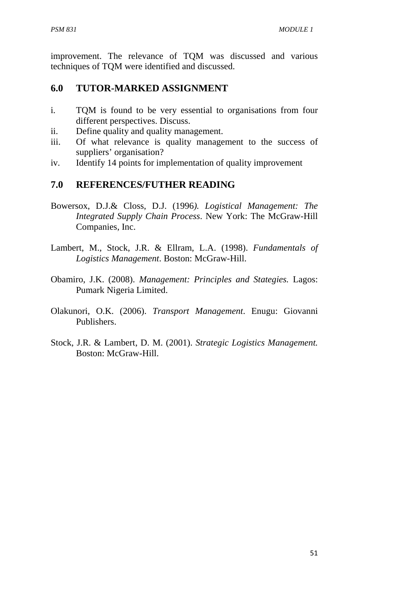improvement. The relevance of TQM was discussed and various techniques of TQM were identified and discussed.

## **6.0 TUTOR-MARKED ASSIGNMENT**

- i. TQM is found to be very essential to organisations from four different perspectives. Discuss.
- ii. Define quality and quality management.
- iii. Of what relevance is quality management to the success of suppliers' organisation?
- iv. Identify 14 points for implementation of quality improvement

### **7.0 REFERENCES/FUTHER READING**

- Bowersox, D.J.& Closs, D.J. (1996*). Logistical Management: The Integrated Supply Chain Process*. New York: The McGraw-Hill Companies, Inc.
- Lambert, M., Stock, J.R. & Ellram, L.A. (1998). *Fundamentals of Logistics Management*. Boston: McGraw-Hill.
- Obamiro, J.K. (2008). *Management: Principles and Stategies.* Lagos: Pumark Nigeria Limited.
- Olakunori, O.K. (2006). *Transport Management*. Enugu: Giovanni Publishers.
- Stock, J.R. & Lambert, D. M. (2001). *Strategic Logistics Management.* Boston: McGraw-Hill.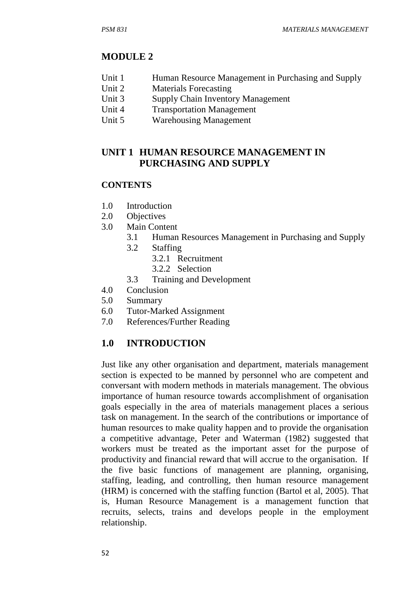### **MODULE 2**

- Unit 1 Human Resource Management in Purchasing and Supply
- Unit 2 Materials Forecasting
- Unit 3 Supply Chain Inventory Management
- Unit 4 Transportation Management
- Unit 5 Warehousing Management

## **UNIT 1 HUMAN RESOURCE MANAGEMENT IN PURCHASING AND SUPPLY**

#### **CONTENTS**

- 1.0 Introduction
- 2.0 Objectives
- 3.0 Main Content
	- 3.1 Human Resources Management in Purchasing and Supply
	- 3.2 Staffing
		- 3.2.1 Recruitment
		- 3.2.2 Selection
	- 3.3 Training and Development
- 4.0 Conclusion
- 5.0 Summary
- 6.0 Tutor-Marked Assignment
- 7.0 References/Further Reading

## **1.0 INTRODUCTION**

Just like any other organisation and department, materials management section is expected to be manned by personnel who are competent and conversant with modern methods in materials management. The obvious importance of human resource towards accomplishment of organisation goals especially in the area of materials management places a serious task on management. In the search of the contributions or importance of human resources to make quality happen and to provide the organisation a competitive advantage, Peter and Waterman (1982) suggested that workers must be treated as the important asset for the purpose of productivity and financial reward that will accrue to the organisation. If the five basic functions of management are planning, organising, staffing, leading, and controlling, then human resource management (HRM) is concerned with the staffing function (Bartol et al, 2005). That is, Human Resource Management is a management function that recruits, selects, trains and develops people in the employment relationship.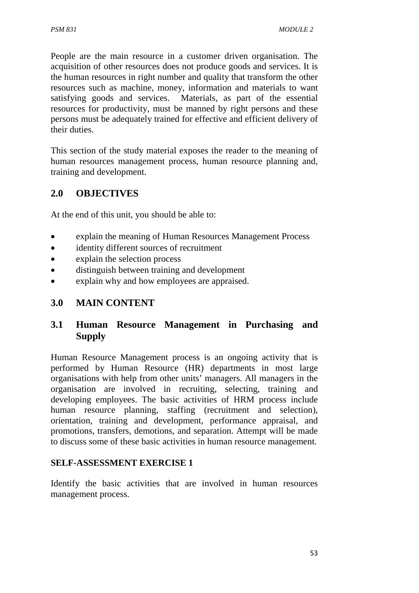People are the main resource in a customer driven organisation. The acquisition of other resources does not produce goods and services. It is the human resources in right number and quality that transform the other resources such as machine, money, information and materials to want satisfying goods and services. Materials, as part of the essential resources for productivity, must be manned by right persons and these persons must be adequately trained for effective and efficient delivery of their duties.

This section of the study material exposes the reader to the meaning of human resources management process, human resource planning and, training and development.

## **2.0 OBJECTIVES**

At the end of this unit, you should be able to:

- explain the meaning of Human Resources Management Process
- identity different sources of recruitment
- explain the selection process
- distinguish between training and development
- explain why and how employees are appraised.

## **3.0 MAIN CONTENT**

## **3.1 Human Resource Management in Purchasing and Supply**

Human Resource Management process is an ongoing activity that is performed by Human Resource (HR) departments in most large organisations with help from other units' managers. All managers in the organisation are involved in recruiting, selecting, training and developing employees. The basic activities of HRM process include human resource planning, staffing (recruitment and selection), orientation, training and development, performance appraisal, and promotions, transfers, demotions, and separation. Attempt will be made to discuss some of these basic activities in human resource management.

#### **SELF-ASSESSMENT EXERCISE 1**

Identify the basic activities that are involved in human resources management process.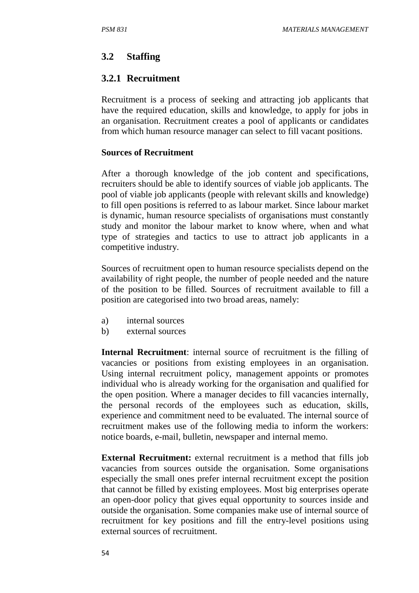## **3.2 Staffing**

## **3.2.1 Recruitment**

Recruitment is a process of seeking and attracting job applicants that have the required education, skills and knowledge, to apply for jobs in an organisation. Recruitment creates a pool of applicants or candidates from which human resource manager can select to fill vacant positions.

#### **Sources of Recruitment**

After a thorough knowledge of the job content and specifications, recruiters should be able to identify sources of viable job applicants. The pool of viable job applicants (people with relevant skills and knowledge) to fill open positions is referred to as labour market. Since labour market is dynamic, human resource specialists of organisations must constantly study and monitor the labour market to know where, when and what type of strategies and tactics to use to attract job applicants in a competitive industry.

Sources of recruitment open to human resource specialists depend on the availability of right people, the number of people needed and the nature of the position to be filled. Sources of recruitment available to fill a position are categorised into two broad areas, namely:

- a) internal sources
- b) external sources

**Internal Recruitment**: internal source of recruitment is the filling of vacancies or positions from existing employees in an organisation. Using internal recruitment policy, management appoints or promotes individual who is already working for the organisation and qualified for the open position. Where a manager decides to fill vacancies internally, the personal records of the employees such as education, skills, experience and commitment need to be evaluated. The internal source of recruitment makes use of the following media to inform the workers: notice boards, e-mail, bulletin, newspaper and internal memo.

**External Recruitment:** external recruitment is a method that fills job vacancies from sources outside the organisation. Some organisations especially the small ones prefer internal recruitment except the position that cannot be filled by existing employees. Most big enterprises operate an open-door policy that gives equal opportunity to sources inside and outside the organisation. Some companies make use of internal source of recruitment for key positions and fill the entry-level positions using external sources of recruitment.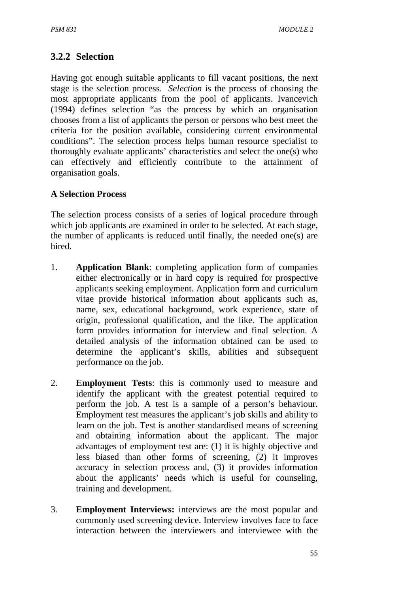## **3.2.2 Selection**

Having got enough suitable applicants to fill vacant positions, the next stage is the selection process. *Selection* is the process of choosing the most appropriate applicants from the pool of applicants. Ivancevich (1994) defines selection "as the process by which an organisation chooses from a list of applicants the person or persons who best meet the criteria for the position available, considering current environmental conditions". The selection process helps human resource specialist to thoroughly evaluate applicants' characteristics and select the one(s) who can effectively and efficiently contribute to the attainment of organisation goals.

#### **A Selection Process**

The selection process consists of a series of logical procedure through which job applicants are examined in order to be selected. At each stage, the number of applicants is reduced until finally, the needed one(s) are hired.

- 1. **Application Blank**: completing application form of companies either electronically or in hard copy is required for prospective applicants seeking employment. Application form and curriculum vitae provide historical information about applicants such as, name, sex, educational background, work experience, state of origin, professional qualification, and the like. The application form provides information for interview and final selection. A detailed analysis of the information obtained can be used to determine the applicant's skills, abilities and subsequent performance on the job.
- 2. **Employment Tests**: this is commonly used to measure and identify the applicant with the greatest potential required to perform the job. A test is a sample of a person's behaviour. Employment test measures the applicant's job skills and ability to learn on the job. Test is another standardised means of screening and obtaining information about the applicant. The major advantages of employment test are: (1) it is highly objective and less biased than other forms of screening, (2) it improves accuracy in selection process and, (3) it provides information about the applicants' needs which is useful for counseling, training and development.
- 3. **Employment Interviews:** interviews are the most popular and commonly used screening device. Interview involves face to face interaction between the interviewers and interviewee with the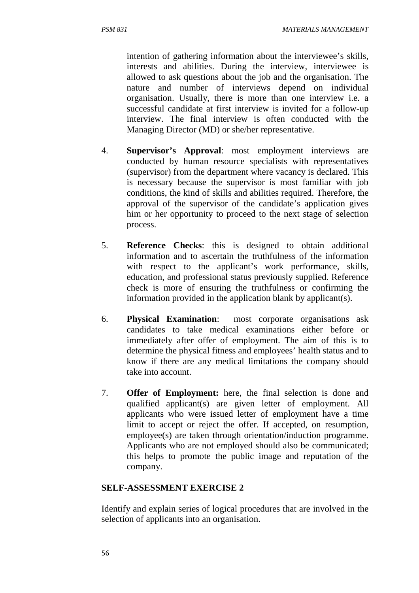intention of gathering information about the interviewee's skills, interests and abilities. During the interview, interviewee is allowed to ask questions about the job and the organisation. The nature and number of interviews depend on individual organisation. Usually, there is more than one interview i.e. a successful candidate at first interview is invited for a follow-up interview. The final interview is often conducted with the Managing Director (MD) or she/her representative.

- 4. **Supervisor's Approval**: most employment interviews are conducted by human resource specialists with representatives (supervisor) from the department where vacancy is declared. This is necessary because the supervisor is most familiar with job conditions, the kind of skills and abilities required. Therefore, the approval of the supervisor of the candidate's application gives him or her opportunity to proceed to the next stage of selection process.
- 5. **Reference Checks**: this is designed to obtain additional information and to ascertain the truthfulness of the information with respect to the applicant's work performance, skills, education, and professional status previously supplied. Reference check is more of ensuring the truthfulness or confirming the information provided in the application blank by applicant(s).
- 6. **Physical Examination**: most corporate organisations ask candidates to take medical examinations either before or immediately after offer of employment. The aim of this is to determine the physical fitness and employees' health status and to know if there are any medical limitations the company should take into account.
- 7. **Offer of Employment:** here, the final selection is done and qualified applicant(s) are given letter of employment. All applicants who were issued letter of employment have a time limit to accept or reject the offer. If accepted, on resumption, employee(s) are taken through orientation/induction programme. Applicants who are not employed should also be communicated; this helps to promote the public image and reputation of the company.

#### **SELF-ASSESSMENT EXERCISE 2**

Identify and explain series of logical procedures that are involved in the selection of applicants into an organisation.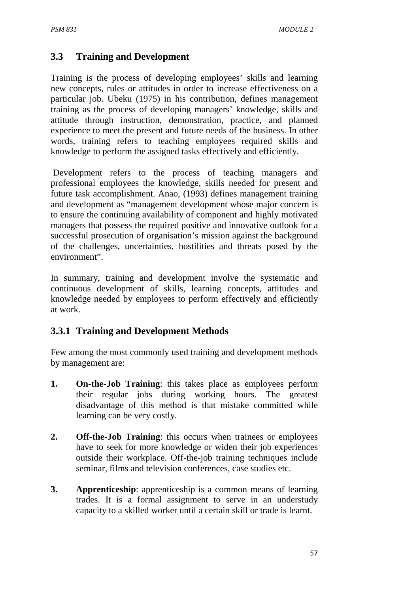### **3.3 Training and Development**

Training is the process of developing employees' skills and learning new concepts, rules or attitudes in order to increase effectiveness on a particular job. Ubeku (1975) in his contribution, defines management training as the process of developing managers' knowledge, skills and attitude through instruction, demonstration, practice, and planned experience to meet the present and future needs of the business. In other words, training refers to teaching employees required skills and knowledge to perform the assigned tasks effectively and efficiently.

 Development refers to the process of teaching managers and professional employees the knowledge, skills needed for present and future task accomplishment. Anao, (1993) defines management training and development as "management development whose major concern is to ensure the continuing availability of component and highly motivated managers that possess the required positive and innovative outlook for a successful prosecution of organisation's mission against the background of the challenges, uncertainties, hostilities and threats posed by the environment".

In summary, training and development involve the systematic and continuous development of skills, learning concepts, attitudes and knowledge needed by employees to perform effectively and efficiently at work.

### **3.3.1 Training and Development Methods**

Few among the most commonly used training and development methods by management are:

- **1. On-the-Job Training**: this takes place as employees perform their regular jobs during working hours. The greatest disadvantage of this method is that mistake committed while learning can be very costly.
- **2. Off-the-Job Training**: this occurs when trainees or employees have to seek for more knowledge or widen their job experiences outside their workplace. Off-the-job training techniques include seminar, films and television conferences, case studies etc.
- **3. Apprenticeship**: apprenticeship is a common means of learning trades. It is a formal assignment to serve in an understudy capacity to a skilled worker until a certain skill or trade is learnt.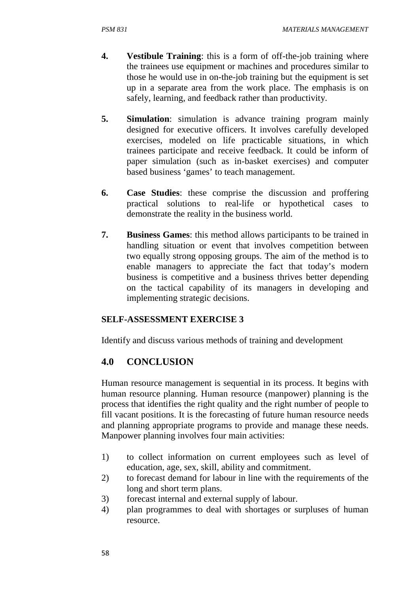- **4. Vestibule Training**: this is a form of off-the-job training where the trainees use equipment or machines and procedures similar to those he would use in on-the-job training but the equipment is set up in a separate area from the work place. The emphasis is on safely, learning, and feedback rather than productivity.
- **5. Simulation**: simulation is advance training program mainly designed for executive officers. It involves carefully developed exercises, modeled on life practicable situations, in which trainees participate and receive feedback. It could be inform of paper simulation (such as in-basket exercises) and computer based business 'games' to teach management.
- **6. Case Studies**: these comprise the discussion and proffering practical solutions to real-life or hypothetical cases to demonstrate the reality in the business world.
- **7. Business Games**: this method allows participants to be trained in handling situation or event that involves competition between two equally strong opposing groups. The aim of the method is to enable managers to appreciate the fact that today's modern business is competitive and a business thrives better depending on the tactical capability of its managers in developing and implementing strategic decisions.

### **SELF-ASSESSMENT EXERCISE 3**

Identify and discuss various methods of training and development

## **4.0 CONCLUSION**

Human resource management is sequential in its process. It begins with human resource planning. Human resource (manpower) planning is the process that identifies the right quality and the right number of people to fill vacant positions. It is the forecasting of future human resource needs and planning appropriate programs to provide and manage these needs. Manpower planning involves four main activities:

- 1) to collect information on current employees such as level of education, age, sex, skill, ability and commitment.
- 2) to forecast demand for labour in line with the requirements of the long and short term plans.
- 3) forecast internal and external supply of labour.
- 4) plan programmes to deal with shortages or surpluses of human resource.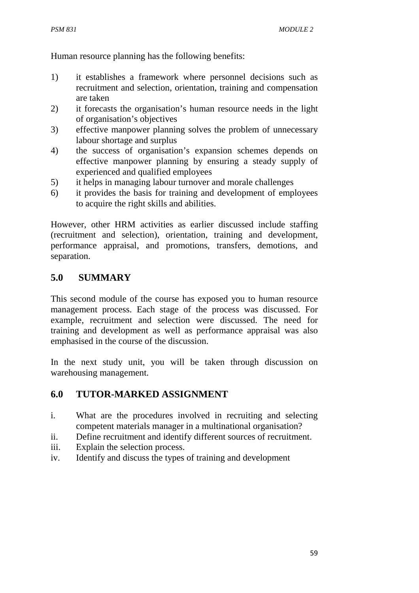Human resource planning has the following benefits:

- 1) it establishes a framework where personnel decisions such as recruitment and selection, orientation, training and compensation are taken
- 2) it forecasts the organisation's human resource needs in the light of organisation's objectives
- 3) effective manpower planning solves the problem of unnecessary labour shortage and surplus
- 4) the success of organisation's expansion schemes depends on effective manpower planning by ensuring a steady supply of experienced and qualified employees
- 5) it helps in managing labour turnover and morale challenges
- 6) it provides the basis for training and development of employees to acquire the right skills and abilities.

However, other HRM activities as earlier discussed include staffing (recruitment and selection), orientation, training and development, performance appraisal, and promotions, transfers, demotions, and separation.

# **5.0 SUMMARY**

This second module of the course has exposed you to human resource management process. Each stage of the process was discussed. For example, recruitment and selection were discussed. The need for training and development as well as performance appraisal was also emphasised in the course of the discussion.

In the next study unit, you will be taken through discussion on warehousing management.

# **6.0 TUTOR-MARKED ASSIGNMENT**

- i. What are the procedures involved in recruiting and selecting competent materials manager in a multinational organisation?
- ii. Define recruitment and identify different sources of recruitment.
- iii. Explain the selection process.
- iv. Identify and discuss the types of training and development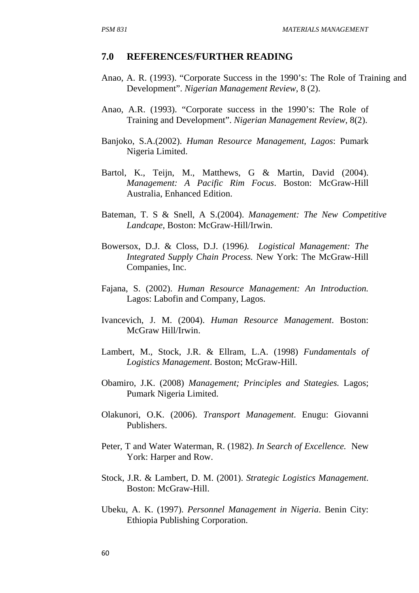#### **7.0 REFERENCES/FURTHER READING**

- Anao, A. R. (1993). "Corporate Success in the 1990's: The Role of Training and Development". *Nigerian Management Review*, 8 (2).
- Anao, A.R. (1993). "Corporate success in the 1990's: The Role of Training and Development". *Nigerian Management Review*, 8(2).
- Banjoko, S.A.(2002). *Human Resource Management, Lagos*: Pumark Nigeria Limited.
- Bartol, K., Teijn, M., Matthews, G & Martin, David (2004). *Management: A Pacific Rim Focus*. Boston: McGraw-Hill Australia, Enhanced Edition.
- Bateman, T. S & Snell, A S.(2004). *Management: The New Competitive Landcape*, Boston: McGraw-Hill/Irwin.
- Bowersox, D.J. & Closs, D.J. (1996*). Logistical Management: The Integrated Supply Chain Process.* New York: The McGraw-Hill Companies, Inc.
- Fajana, S. (2002). *Human Resource Management: An Introduction.* Lagos: Labofin and Company, Lagos.
- Ivancevich, J. M. (2004). *Human Resource Management*. Boston: McGraw Hill/Irwin.
- Lambert, M., Stock, J.R. & Ellram, L.A. (1998) *Fundamentals of Logistics Management*. Boston; McGraw-Hill.
- Obamiro, J.K. (2008) *Management; Principles and Stategies.* Lagos; Pumark Nigeria Limited.
- Olakunori, O.K. (2006). *Transport Management*. Enugu: Giovanni Publishers.
- Peter, T and Water Waterman, R. (1982). *In Search of Excellence.* New York: Harper and Row.
- Stock, J.R. & Lambert, D. M. (2001). *Strategic Logistics Management*. Boston: McGraw-Hill.
- Ubeku, A. K. (1997). *Personnel Management in Nigeria*. Benin City: Ethiopia Publishing Corporation.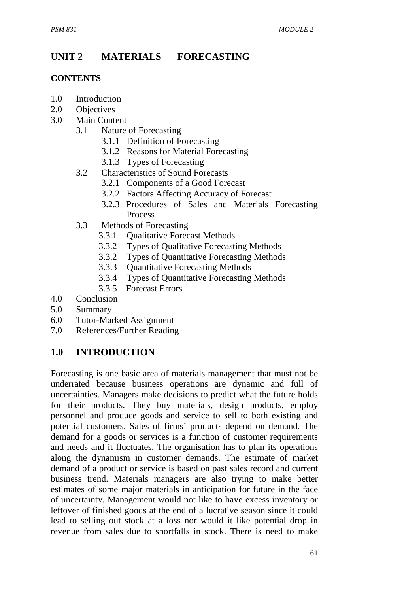# **UNIT 2 MATERIALS FORECASTING**

### **CONTENTS**

- 1.0 Introduction
- 2.0 Objectives
- 3.0 Main Content
	- 3.1 Nature of Forecasting
		- 3.1.1 Definition of Forecasting
		- 3.1.2 Reasons for Material Forecasting
		- 3.1.3 Types of Forecasting
	- 3.2 Characteristics of Sound Forecasts
		- 3.2.1Components of a Good Forecast
		- 3.2.2 Factors Affecting Accuracy of Forecast
		- 3.2.3 Procedures of Sales and Materials Forecasting Process
	- 3.3 Methods of Forecasting
		- 3.3.1 Qualitative Forecast Methods
		- 3.3.2 Types of Qualitative Forecasting Methods
		- 3.3.2 Types of Quantitative Forecasting Methods
		- 3.3.3 Quantitative Forecasting Methods
		- 3.3.4 Types of Quantitative Forecasting Methods
		- 3.3.5 Forecast Errors
- 4.0 Conclusion
- 5.0 Summary
- 6.0 Tutor-Marked Assignment
- 7.0 References/Further Reading

# **1.0 INTRODUCTION**

Forecasting is one basic area of materials management that must not be underrated because business operations are dynamic and full of uncertainties. Managers make decisions to predict what the future holds for their products. They buy materials, design products, employ personnel and produce goods and service to sell to both existing and potential customers. Sales of firms' products depend on demand. The demand for a goods or services is a function of customer requirements and needs and it fluctuates. The organisation has to plan its operations along the dynamism in customer demands. The estimate of market demand of a product or service is based on past sales record and current business trend. Materials managers are also trying to make better estimates of some major materials in anticipation for future in the face of uncertainty. Management would not like to have excess inventory or leftover of finished goods at the end of a lucrative season since it could lead to selling out stock at a loss nor would it like potential drop in revenue from sales due to shortfalls in stock. There is need to make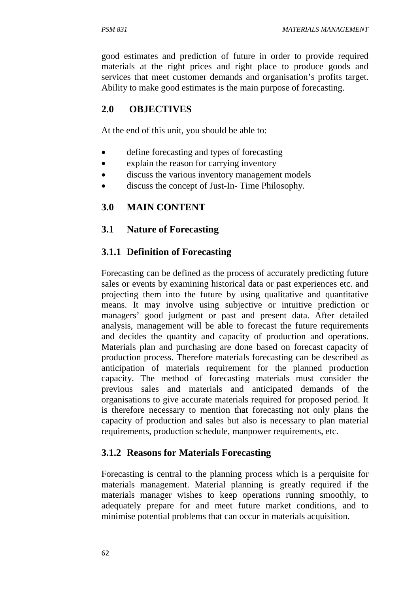good estimates and prediction of future in order to provide required materials at the right prices and right place to produce goods and services that meet customer demands and organisation's profits target. Ability to make good estimates is the main purpose of forecasting.

## **2.0 OBJECTIVES**

At the end of this unit, you should be able to:

- define forecasting and types of forecasting
- explain the reason for carrying inventory
- discuss the various inventory management models
- discuss the concept of Just-In-Time Philosophy.

## **3.0 MAIN CONTENT**

## **3.1 Nature of Forecasting**

## **3.1.1 Definition of Forecasting**

Forecasting can be defined as the process of accurately predicting future sales or events by examining historical data or past experiences etc. and projecting them into the future by using qualitative and quantitative means. It may involve using subjective or intuitive prediction or managers' good judgment or past and present data. After detailed analysis, management will be able to forecast the future requirements and decides the quantity and capacity of production and operations. Materials plan and purchasing are done based on forecast capacity of production process. Therefore materials forecasting can be described as anticipation of materials requirement for the planned production capacity. The method of forecasting materials must consider the previous sales and materials and anticipated demands of the organisations to give accurate materials required for proposed period. It is therefore necessary to mention that forecasting not only plans the capacity of production and sales but also is necessary to plan material requirements, production schedule, manpower requirements, etc.

## **3.1.2 Reasons for Materials Forecasting**

Forecasting is central to the planning process which is a perquisite for materials management. Material planning is greatly required if the materials manager wishes to keep operations running smoothly, to adequately prepare for and meet future market conditions, and to minimise potential problems that can occur in materials acquisition.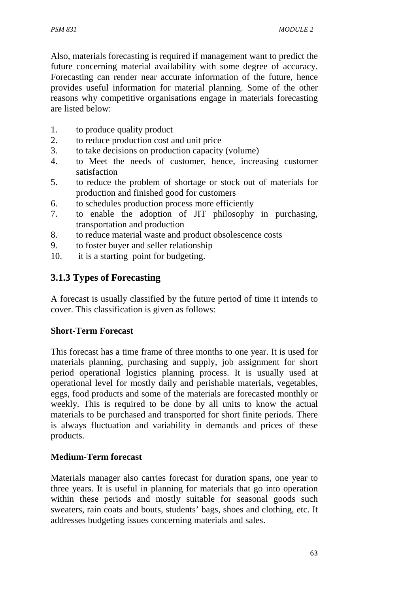Also, materials forecasting is required if management want to predict the future concerning material availability with some degree of accuracy. Forecasting can render near accurate information of the future, hence provides useful information for material planning. Some of the other reasons why competitive organisations engage in materials forecasting are listed below:

- 1. to produce quality product
- 2. to reduce production cost and unit price
- 3. to take decisions on production capacity (volume)
- 4. to Meet the needs of customer, hence, increasing customer satisfaction
- 5. to reduce the problem of shortage or stock out of materials for production and finished good for customers
- 6. to schedules production process more efficiently
- 7. to enable the adoption of JIT philosophy in purchasing, transportation and production
- 8. to reduce material waste and product obsolescence costs
- 9. to foster buyer and seller relationship
- 10. it is a starting point for budgeting.

# **3.1.3 Types of Forecasting**

A forecast is usually classified by the future period of time it intends to cover. This classification is given as follows:

### **Short-Term Forecast**

This forecast has a time frame of three months to one year. It is used for materials planning, purchasing and supply, job assignment for short period operational logistics planning process. It is usually used at operational level for mostly daily and perishable materials, vegetables, eggs, food products and some of the materials are forecasted monthly or weekly. This is required to be done by all units to know the actual materials to be purchased and transported for short finite periods. There is always fluctuation and variability in demands and prices of these products.

## **Medium-Term forecast**

Materials manager also carries forecast for duration spans, one year to three years. It is useful in planning for materials that go into operation within these periods and mostly suitable for seasonal goods such sweaters, rain coats and bouts, students' bags, shoes and clothing, etc. It addresses budgeting issues concerning materials and sales.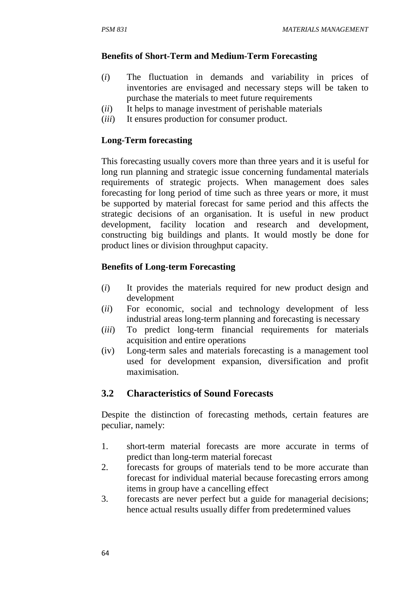#### **Benefits of Short-Term and Medium-Term Forecasting**

- (*i*) The fluctuation in demands and variability in prices of inventories are envisaged and necessary steps will be taken to purchase the materials to meet future requirements
- (*ii*) It helps to manage investment of perishable materials
- (*iii*) It ensures production for consumer product.

#### **Long-Term forecasting**

This forecasting usually covers more than three years and it is useful for long run planning and strategic issue concerning fundamental materials requirements of strategic projects. When management does sales forecasting for long period of time such as three years or more, it must be supported by material forecast for same period and this affects the strategic decisions of an organisation. It is useful in new product development, facility location and research and development, constructing big buildings and plants. It would mostly be done for product lines or division throughput capacity.

#### **Benefits of Long-term Forecasting**

- (*i*) It provides the materials required for new product design and development
- (*ii*) For economic, social and technology development of less industrial areas long-term planning and forecasting is necessary
- (*iii*) To predict long-term financial requirements for materials acquisition and entire operations
- (iv) Long-term sales and materials forecasting is a management tool used for development expansion, diversification and profit maximisation.

# **3.2 Characteristics of Sound Forecasts**

Despite the distinction of forecasting methods, certain features are peculiar, namely:

- 1. short-term material forecasts are more accurate in terms of predict than long-term material forecast
- 2. forecasts for groups of materials tend to be more accurate than forecast for individual material because forecasting errors among items in group have a cancelling effect
- 3. forecasts are never perfect but a guide for managerial decisions; hence actual results usually differ from predetermined values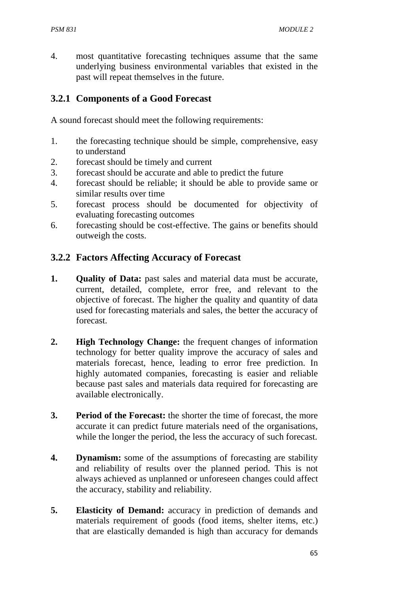4. most quantitative forecasting techniques assume that the same underlying business environmental variables that existed in the past will repeat themselves in the future.

## **3.2.1 Components of a Good Forecast**

A sound forecast should meet the following requirements:

- 1. the forecasting technique should be simple, comprehensive, easy to understand
- 2. forecast should be timely and current
- 3. forecast should be accurate and able to predict the future
- 4. forecast should be reliable; it should be able to provide same or similar results over time
- 5. forecast process should be documented for objectivity of evaluating forecasting outcomes
- 6. forecasting should be cost-effective. The gains or benefits should outweigh the costs.

## **3.2.2 Factors Affecting Accuracy of Forecast**

- **1. Quality of Data:** past sales and material data must be accurate, current, detailed, complete, error free, and relevant to the objective of forecast. The higher the quality and quantity of data used for forecasting materials and sales, the better the accuracy of forecast.
- **2. High Technology Change:** the frequent changes of information technology for better quality improve the accuracy of sales and materials forecast, hence, leading to error free prediction. In highly automated companies, forecasting is easier and reliable because past sales and materials data required for forecasting are available electronically.
- **3. Period of the Forecast:** the shorter the time of forecast, the more accurate it can predict future materials need of the organisations, while the longer the period, the less the accuracy of such forecast.
- **4. Dynamism:** some of the assumptions of forecasting are stability and reliability of results over the planned period. This is not always achieved as unplanned or unforeseen changes could affect the accuracy, stability and reliability.
- **5. Elasticity of Demand:** accuracy in prediction of demands and materials requirement of goods (food items, shelter items, etc.) that are elastically demanded is high than accuracy for demands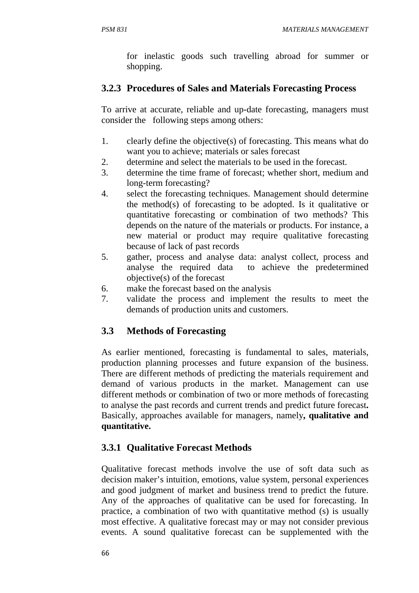for inelastic goods such travelling abroad for summer or shopping.

## **3.2.3 Procedures of Sales and Materials Forecasting Process**

To arrive at accurate, reliable and up-date forecasting, managers must consider the following steps among others:

- 1. clearly define the objective(s) of forecasting. This means what do want you to achieve; materials or sales forecast
- 2. determine and select the materials to be used in the forecast.
- 3. determine the time frame of forecast; whether short, medium and long-term forecasting?
- 4. select the forecasting techniques. Management should determine the method(s) of forecasting to be adopted. Is it qualitative or quantitative forecasting or combination of two methods? This depends on the nature of the materials or products. For instance, a new material or product may require qualitative forecasting because of lack of past records
- 5. gather, process and analyse data: analyst collect, process and analyse the required data to achieve the predetermined objective(s) of the forecast
- 6. make the forecast based on the analysis
- 7. validate the process and implement the results to meet the demands of production units and customers.

# **3.3 Methods of Forecasting**

As earlier mentioned, forecasting is fundamental to sales, materials, production planning processes and future expansion of the business. There are different methods of predicting the materials requirement and demand of various products in the market. Management can use different methods or combination of two or more methods of forecasting to analyse the past records and current trends and predict future forecast**.**  Basically, approaches available for managers, namely**, qualitative and quantitative.** 

# **3.3.1 Qualitative Forecast Methods**

Qualitative forecast methods involve the use of soft data such as decision maker's intuition, emotions, value system, personal experiences and good judgment of market and business trend to predict the future. Any of the approaches of qualitative can be used for forecasting. In practice, a combination of two with quantitative method (s) is usually most effective. A qualitative forecast may or may not consider previous events. A sound qualitative forecast can be supplemented with the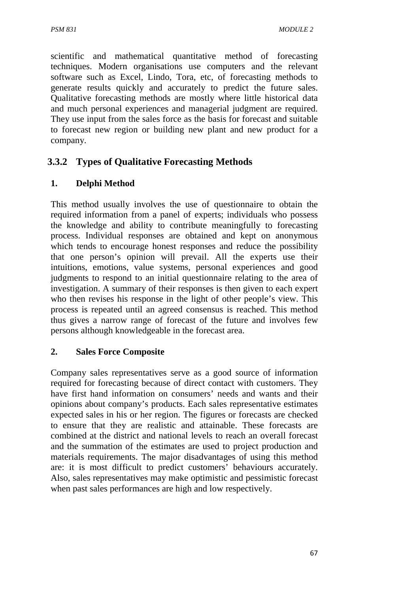scientific and mathematical quantitative method of forecasting techniques. Modern organisations use computers and the relevant software such as Excel, Lindo, Tora, etc, of forecasting methods to generate results quickly and accurately to predict the future sales. Qualitative forecasting methods are mostly where little historical data and much personal experiences and managerial judgment are required. They use input from the sales force as the basis for forecast and suitable to forecast new region or building new plant and new product for a company.

# **3.3.2 Types of Qualitative Forecasting Methods**

# **1. Delphi Method**

This method usually involves the use of questionnaire to obtain the required information from a panel of experts; individuals who possess the knowledge and ability to contribute meaningfully to forecasting process. Individual responses are obtained and kept on anonymous which tends to encourage honest responses and reduce the possibility that one person's opinion will prevail. All the experts use their intuitions, emotions, value systems, personal experiences and good judgments to respond to an initial questionnaire relating to the area of investigation. A summary of their responses is then given to each expert who then revises his response in the light of other people's view. This process is repeated until an agreed consensus is reached. This method thus gives a narrow range of forecast of the future and involves few persons although knowledgeable in the forecast area.

# **2. Sales Force Composite**

Company sales representatives serve as a good source of information required for forecasting because of direct contact with customers. They have first hand information on consumers' needs and wants and their opinions about company's products. Each sales representative estimates expected sales in his or her region. The figures or forecasts are checked to ensure that they are realistic and attainable. These forecasts are combined at the district and national levels to reach an overall forecast and the summation of the estimates are used to project production and materials requirements. The major disadvantages of using this method are: it is most difficult to predict customers' behaviours accurately. Also, sales representatives may make optimistic and pessimistic forecast when past sales performances are high and low respectively.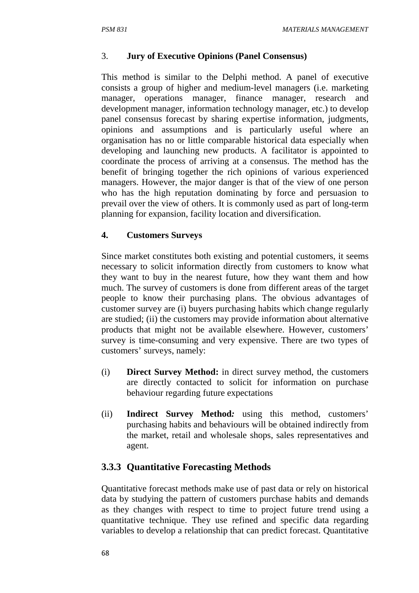## 3. **Jury of Executive Opinions (Panel Consensus)**

This method is similar to the Delphi method. A panel of executive consists a group of higher and medium-level managers (i.e. marketing manager, operations manager, finance manager, research and development manager, information technology manager, etc.) to develop panel consensus forecast by sharing expertise information, judgments, opinions and assumptions and is particularly useful where an organisation has no or little comparable historical data especially when developing and launching new products. A facilitator is appointed to coordinate the process of arriving at a consensus. The method has the benefit of bringing together the rich opinions of various experienced managers. However, the major danger is that of the view of one person who has the high reputation dominating by force and persuasion to prevail over the view of others. It is commonly used as part of long-term planning for expansion, facility location and diversification.

### **4. Customers Surveys**

Since market constitutes both existing and potential customers, it seems necessary to solicit information directly from customers to know what they want to buy in the nearest future, how they want them and how much. The survey of customers is done from different areas of the target people to know their purchasing plans. The obvious advantages of customer survey are (i) buyers purchasing habits which change regularly are studied; (ii) the customers may provide information about alternative products that might not be available elsewhere. However, customers' survey is time-consuming and very expensive. There are two types of customers' surveys, namely:

- (i) **Direct Survey Method:** in direct survey method, the customers are directly contacted to solicit for information on purchase behaviour regarding future expectations
- (ii) **Indirect Survey Method***:* using this method, customers' purchasing habits and behaviours will be obtained indirectly from the market, retail and wholesale shops, sales representatives and agent.

# **3.3.3 Quantitative Forecasting Methods**

Quantitative forecast methods make use of past data or rely on historical data by studying the pattern of customers purchase habits and demands as they changes with respect to time to project future trend using a quantitative technique. They use refined and specific data regarding variables to develop a relationship that can predict forecast. Quantitative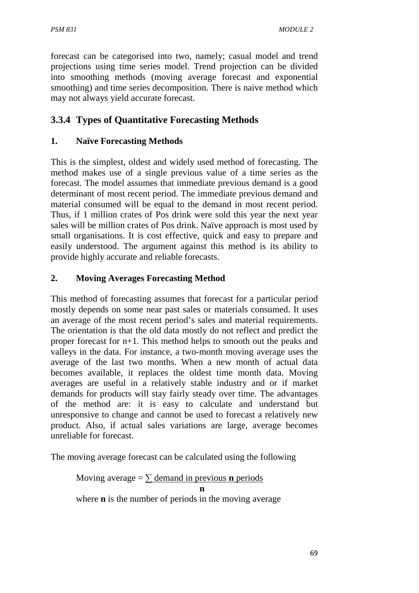forecast can be categorised into two, namely; casual model and trend projections using time series model. Trend projection can be divided into smoothing methods (moving average forecast and exponential smoothing) and time series decomposition. There is naive method which may not always yield accurate forecast.

# **3.3.4 Types of Quantitative Forecasting Methods**

# **1. Naïve Forecasting Methods**

This is the simplest, oldest and widely used method of forecasting. The method makes use of a single previous value of a time series as the forecast. The model assumes that immediate previous demand is a good determinant of most recent period. The immediate previous demand and material consumed will be equal to the demand in most recent period. Thus, if 1 million crates of Pos drink were sold this year the next year sales will be million crates of Pos drink. Naïve approach is most used by small organisations. It is cost effective, quick and easy to prepare and easily understood. The argument against this method is its ability to provide highly accurate and reliable forecasts.

# **2. Moving Averages Forecasting Method**

This method of forecasting assumes that forecast for a particular period mostly depends on some near past sales or materials consumed. It uses an average of the most recent period's sales and material requirements. The orientation is that the old data mostly do not reflect and predict the proper forecast for n+1. This method helps to smooth out the peaks and valleys in the data. For instance, a two-month moving average uses the average of the last two months. When a new month of actual data becomes available, it replaces the oldest time month data. Moving averages are useful in a relatively stable industry and or if market demands for products will stay fairly steady over time. The advantages of the method are: it is easy to calculate and understand but unresponsive to change and cannot be used to forecast a relatively new product. Also, if actual sales variations are large, average becomes unreliable for forecast.

The moving average forecast can be calculated using the following

Moving average = 
$$
\sum
$$
 demand in previous **n** periods  
\n**n**  
\nwhere **n** is the number of periods in the moving average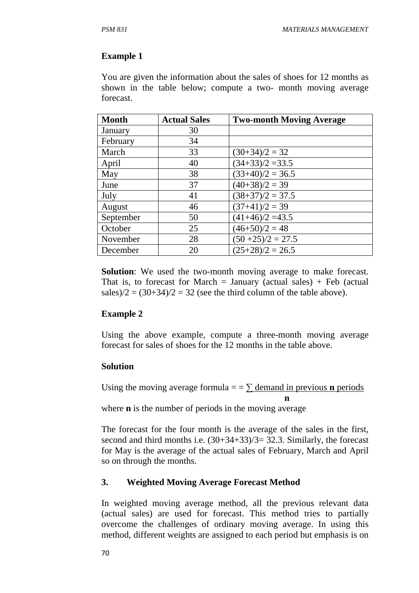#### **Example 1**

You are given the information about the sales of shoes for 12 months as shown in the table below; compute a two- month moving average forecast.

| <b>Month</b> | <b>Actual Sales</b> | <b>Two-month Moving Average</b> |
|--------------|---------------------|---------------------------------|
| January      | 30                  |                                 |
| February     | 34                  |                                 |
| March        | 33                  | $(30+34)/2 = 32$                |
| April        | 40                  | $(34+33)/2 = 33.5$              |
| May          | 38                  | $(33+40)/2 = 36.5$              |
| June         | 37                  | $(40+38)/2 = 39$                |
| July         | 41                  | $(38+37)/2 = 37.5$              |
| August       | 46                  | $(37+41)/2 = 39$                |
| September    | 50                  | $(41+46)/2 = 43.5$              |
| October      | 25                  | $(46+50)/2 = 48$                |
| November     | 28                  | $(50+25)/2 = 27.5$              |
| December     | 20                  | $(25+28)/2 = 26.5$              |

**Solution**: We used the two-month moving average to make forecast. That is, to forecast for March  $=$  January (actual sales)  $+$  Feb (actual sales)/2 =  $(30+34)/2 = 32$  (see the third column of the table above).

### **Example 2**

Using the above example, compute a three-month moving average forecast for sales of shoes for the 12 months in the table above.

#### **Solution**

Using the moving average formula  $=$   $\sum$  demand in previous **n** periods

 **n**  where **n** is the number of periods in the moving average

The forecast for the four month is the average of the sales in the first, second and third months i.e.  $(30+34+33)/3=32.3$ . Similarly, the forecast for May is the average of the actual sales of February, March and April so on through the months.

### **3. Weighted Moving Average Forecast Method**

In weighted moving average method, all the previous relevant data (actual sales) are used for forecast. This method tries to partially overcome the challenges of ordinary moving average. In using this method, different weights are assigned to each period but emphasis is on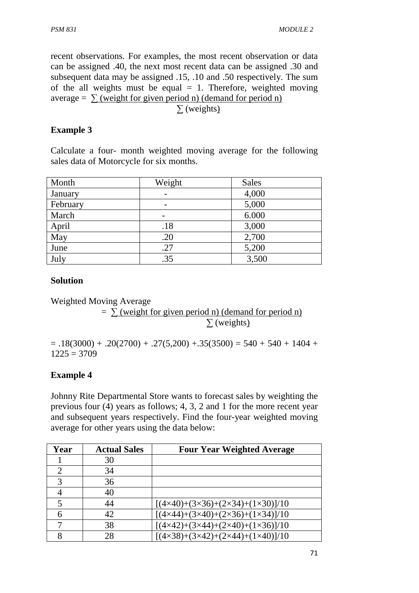recent observations. For examples, the most recent observation or data can be assigned .40, the next most recent data can be assigned .30 and subsequent data may be assigned .15, .10 and .50 respectively. The sum of the all weights must be equal  $= 1$ . Therefore, weighted moving average =  $\sum$  (weight for given period n) (demand for period n) ∑ (weights)

## **Example 3**

Calculate a four- month weighted moving average for the following sales data of Motorcycle for six months.

| Month    | Weight | <b>Sales</b> |
|----------|--------|--------------|
| January  |        | 4,000        |
| February |        | 5,000        |
| March    |        | 6.000        |
| April    | .18    | 3,000        |
| May      | .20    | 2,700        |
| June     | .27    | 5,200        |
| July     | .35    | 3,500        |

### **Solution**

Weighted Moving Average

 $=$   $\sum$  (weight for given period n) (demand for period n)  $\Sigma$  (weights)

 $= .18(3000) + .20(2700) + .27(5,200) + .35(3500) = 540 + 540 + 1404 +$  $1225 = 3709$ 

# **Example 4**

Johnny Rite Departmental Store wants to forecast sales by weighting the previous four (4) years as follows; 4, 3, 2 and 1 for the more recent year and subsequent years respectively. Find the four-year weighted moving average for other years using the data below:

| Year                        | <b>Actual Sales</b> | <b>Four Year Weighted Average</b>                                    |
|-----------------------------|---------------------|----------------------------------------------------------------------|
|                             | 30                  |                                                                      |
| $\mathcal{D}_{\mathcal{L}}$ | 34                  |                                                                      |
| 3                           | 36                  |                                                                      |
|                             | 40                  |                                                                      |
|                             | 44                  | $[(4 \times 40) + (3 \times 36) + (2 \times 34) + (1 \times 30)]/10$ |
|                             | 42                  | $[(4 \times 44) + (3 \times 40) + (2 \times 36) + (1 \times 34)]/10$ |
|                             | 38                  | $[(4 \times 42) + (3 \times 44) + (2 \times 40) + (1 \times 36)]/10$ |
|                             | 28                  | $[(4 \times 38) + (3 \times 42) + (2 \times 44) + (1 \times 40)]/10$ |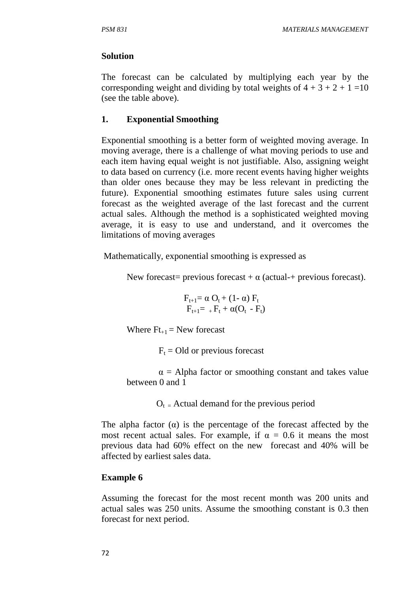### **Solution**

The forecast can be calculated by multiplying each year by the corresponding weight and dividing by total weights of  $4 + 3 + 2 + 1 = 10$ (see the table above).

## **1. Exponential Smoothing**

Exponential smoothing is a better form of weighted moving average. In moving average, there is a challenge of what moving periods to use and each item having equal weight is not justifiable. Also, assigning weight to data based on currency (i.e. more recent events having higher weights than older ones because they may be less relevant in predicting the future). Exponential smoothing estimates future sales using current forecast as the weighted average of the last forecast and the current actual sales. Although the method is a sophisticated weighted moving average, it is easy to use and understand, and it overcomes the limitations of moving averages

Mathematically, exponential smoothing is expressed as

New forecast= previous forecast +  $\alpha$  (actual-+ previous forecast).

$$
F_{t+1} = \alpha O_t + (1 - \alpha) F_t
$$
  
\n
$$
F_{t+1} = {}_+F_t + \alpha (O_t - F_t)
$$

Where  $Ft_{+1}$  = New forecast

 $F_t$  = Old or previous forecast

 $\alpha$  = Alpha factor or smoothing constant and takes value between 0 and 1

 $O_t$  = Actual demand for the previous period

The alpha factor  $\alpha$ ) is the percentage of the forecast affected by the most recent actual sales. For example, if  $\alpha = 0.6$  it means the most previous data had 60% effect on the new forecast and 40% will be affected by earliest sales data.

# **Example 6**

Assuming the forecast for the most recent month was 200 units and actual sales was 250 units. Assume the smoothing constant is 0.3 then forecast for next period.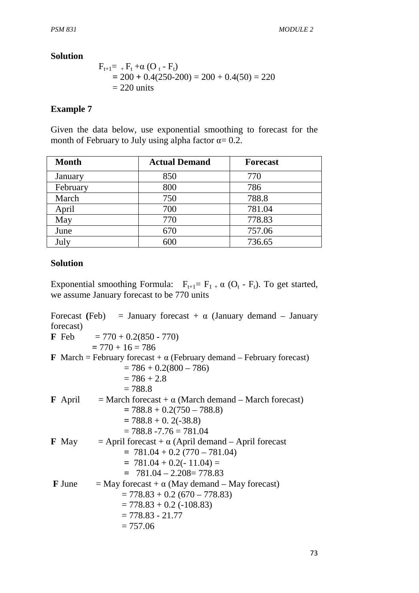#### **Solution**

$$
F_{t+1} = _{+}F_{t} + \alpha (O_{t} - F_{t})
$$
  
= 200 + 0.4(250-200) = 200 + 0.4(50) = 220  
= 220 units

#### **Example 7**

Given the data below, use exponential smoothing to forecast for the month of February to July using alpha factor  $\alpha = 0.2$ .

| <b>Month</b> | <b>Actual Demand</b> | <b>Forecast</b> |
|--------------|----------------------|-----------------|
| January      | 850                  | 770             |
| February     | 800                  | 786             |
| March        | 750                  | 788.8           |
| April        | 700                  | 781.04          |
| May          | 770                  | 778.83          |
| June         | 670                  | 757.06          |
| July         | 600                  | 736.65          |

#### **Solution**

Exponential smoothing Formula:  $F_{t+1} = F_{1} + \alpha (O_t - F_t)$ . To get started, we assume January forecast to be 770 units

Forecast (Feb) = January forecast  $+\alpha$  (January demand – January forecast) **F** Feb  $= 770 + 0.2(850 - 770)$  $= 770 + 16 = 786$ **F** March = February forecast +  $\alpha$  (February demand – February forecast)  $= 786 + 0.2(800 - 786)$  $= 786 + 2.8$  $= 788.8$ **F** April  $=$  March forecast +  $\alpha$  (March demand – March forecast)  $= 788.8 + 0.2(750 - 788.8)$  $= 788.8 + 0.2(-38.8)$  $= 788.8 - 7.76 = 781.04$ **F** May  $=$  April forecast +  $\alpha$  (April demand – April forecast  $= 781.04 + 0.2 (770 - 781.04)$  $= 781.04 + 0.2(-11.04) =$  **=** 781.04 – 2.208= 778.83 **F** June  $=$  May forecast +  $\alpha$  (May demand – May forecast)  $= 778.83 + 0.2 (670 - 778.83)$  $= 778.83 + 0.2$  (-108.83)  $= 778.83 - 21.77$  $= 757.06$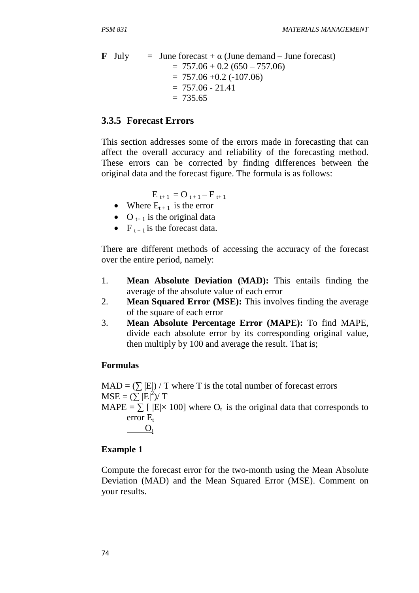**F** July = June forecast + 
$$
\alpha
$$
 (June demand – June forecast)  
= 757.06 + 0.2 (650 – 757.06)  
= 757.06 + 0.2 (-107.06)  
= 757.06 - 21.41  
= 735.65

#### **3.3.5 Forecast Errors**

This section addresses some of the errors made in forecasting that can affect the overall accuracy and reliability of the forecasting method. These errors can be corrected by finding differences between the original data and the forecast figure. The formula is as follows:

 $E_{t+1} = O_{t+1} - F_{t+1}$ 

- Where  $E_{t+1}$  is the error
- O  $_{t+1}$  is the original data
- $F_{t+1}$  is the forecast data.

There are different methods of accessing the accuracy of the forecast over the entire period, namely:

- 1. **Mean Absolute Deviation (MAD):** This entails finding the average of the absolute value of each error
- 2. **Mean Squared Error (MSE):** This involves finding the average of the square of each error
- 3. **Mean Absolute Percentage Error (MAPE):** To find MAPE, divide each absolute error by its corresponding original value, then multiply by 100 and average the result. That is;

#### **Formulas**

 $MAD = (\sum |E|)/T$  where T is the total number of forecast errors  $MSE = (\sum E|^2)/T$ MAPE =  $\sum$  [  $|E| \times 100$ ] where  $O_t$  is the original data that corresponds to error  $E_t$  $O_t$ 

#### **Example 1**

Compute the forecast error for the two-month using the Mean Absolute Deviation (MAD) and the Mean Squared Error (MSE). Comment on your results.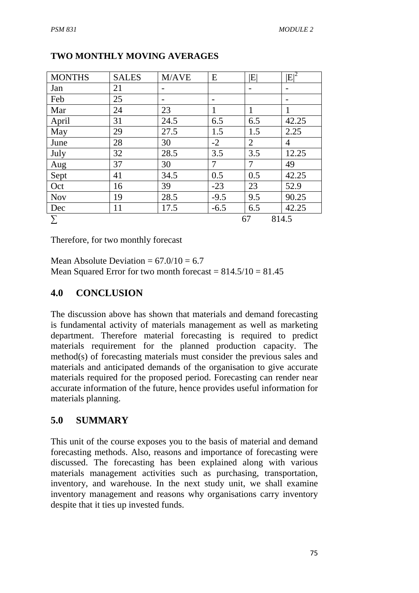| <b>MONTHS</b> | <b>SALES</b> | M/AVE | E      | $ {\rm E} $    | $ E ^2$        |
|---------------|--------------|-------|--------|----------------|----------------|
| Jan           | 21           |       |        |                |                |
| Feb           | 25           |       |        |                |                |
| Mar           | 24           | 23    |        |                |                |
| April         | 31           | 24.5  | 6.5    | 6.5            | 42.25          |
| May           | 29           | 27.5  | 1.5    | 1.5            | 2.25           |
| June          | 28           | 30    | $-2$   | $\overline{2}$ | $\overline{4}$ |
| July          | 32           | 28.5  | 3.5    | 3.5            | 12.25          |
| Aug           | 37           | 30    | 7      | 7              | 49             |
| Sept          | 41           | 34.5  | 0.5    | 0.5            | 42.25          |
| Oct           | 16           | 39    | $-23$  | 23             | 52.9           |
| <b>Nov</b>    | 19           | 28.5  | $-9.5$ | 9.5            | 90.25          |
| Dec           | 11           | 17.5  | $-6.5$ | 6.5            | 42.25          |
| Σ             |              |       |        | 67             | 814.5          |

# **TWO MONTHLY MOVING AVERAGES**

Therefore, for two monthly forecast

Mean Absolute Deviation =  $67.0/10 = 6.7$ Mean Squared Error for two month forecast =  $814.5/10 = 81.45$ 

## **4.0 CONCLUSION**

The discussion above has shown that materials and demand forecasting is fundamental activity of materials management as well as marketing department. Therefore material forecasting is required to predict materials requirement for the planned production capacity. The method(s) of forecasting materials must consider the previous sales and materials and anticipated demands of the organisation to give accurate materials required for the proposed period. Forecasting can render near accurate information of the future, hence provides useful information for materials planning.

# **5.0 SUMMARY**

This unit of the course exposes you to the basis of material and demand forecasting methods. Also, reasons and importance of forecasting were discussed. The forecasting has been explained along with various materials management activities such as purchasing, transportation, inventory, and warehouse. In the next study unit, we shall examine inventory management and reasons why organisations carry inventory despite that it ties up invested funds.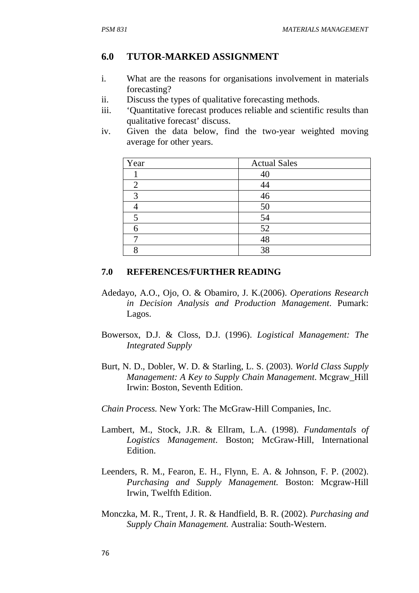### **6.0 TUTOR-MARKED ASSIGNMENT**

- i. What are the reasons for organisations involvement in materials forecasting?
- ii. Discuss the types of qualitative forecasting methods.
- iii. 'Quantitative forecast produces reliable and scientific results than qualitative forecast' discuss.
- iv. Given the data below, find the two-year weighted moving average for other years.

| Year           | <b>Actual Sales</b> |
|----------------|---------------------|
|                | 4                   |
| $\overline{2}$ |                     |
| 3              | 46                  |
|                | 50                  |
|                | 54                  |
|                | 52                  |
|                |                     |
|                | 38                  |

#### **7.0 REFERENCES/FURTHER READING**

- Adedayo, A.O., Ojo, O. & Obamiro, J. K.(2006). *Operations Research in Decision Analysis and Production Management*. Pumark: Lagos.
- Bowersox, D.J. & Closs, D.J. (1996). *Logistical Management: The Integrated Supply*
- Burt, N. D., Dobler, W. D. & Starling, L. S. (2003). *World Class Supply Management: A Key to Supply Chain Management*. Mcgraw\_Hill Irwin: Boston, Seventh Edition.

*Chain Process.* New York: The McGraw-Hill Companies, Inc.

- Lambert, M., Stock, J.R. & Ellram, L.A. (1998). *Fundamentals of Logistics Management*. Boston; McGraw-Hill, International Edition.
- Leenders, R. M., Fearon, E. H., Flynn, E. A. & Johnson, F. P. (2002). *Purchasing and Supply Management.* Boston: Mcgraw-Hill Irwin, Twelfth Edition.
- Monczka, M. R., Trent, J. R. & Handfield, B. R. (2002). *Purchasing and Supply Chain Management.* Australia: South-Western.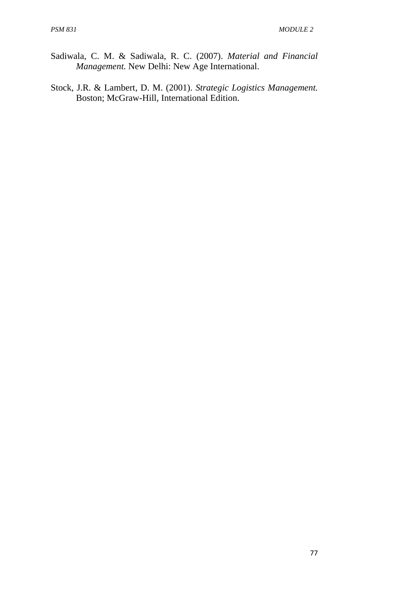- Sadiwala, C. M. & Sadiwala, R. C. (2007). *Material and Financial Management.* New Delhi: New Age International.
- Stock, J.R. & Lambert, D. M. (2001). *Strategic Logistics Management.* Boston; McGraw-Hill, International Edition.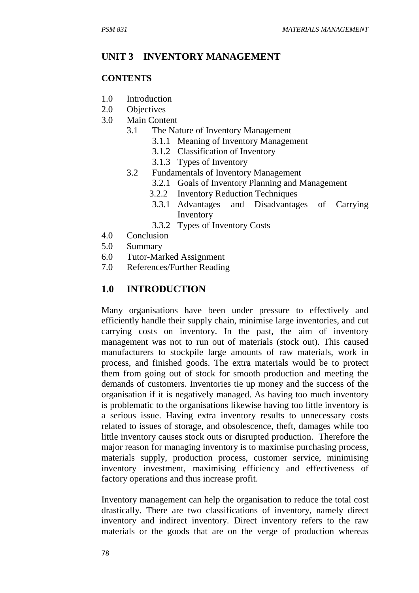#### **UNIT 3 INVENTORY MANAGEMENT**

#### **CONTENTS**

- 1.0 Introduction
- 2.0 Objectives
- 3.0 Main Content
	- 3.1 The Nature of Inventory Management
		- 3.1.1 Meaning of Inventory Management
		- 3.1.2 Classification of Inventory
		- 3.1.3 Types of Inventory
	- 3.2 Fundamentals of Inventory Management
		- 3.2.1 Goals of Inventory Planning and Management
		- 3.2.2 Inventory Reduction Techniques
		- 3.3.1 Advantages and Disadvantages of Carrying Inventory
		- 3.3.2 Types of Inventory Costs
- 4.0 Conclusion
- 5.0 Summary
- 6.0 Tutor-Marked Assignment
- 7.0 References/Further Reading

#### **1.0 INTRODUCTION**

Many organisations have been under pressure to effectively and efficiently handle their supply chain, minimise large inventories, and cut carrying costs on inventory. In the past, the aim of inventory management was not to run out of materials (stock out). This caused manufacturers to stockpile large amounts of raw materials, work in process, and finished goods. The extra materials would be to protect them from going out of stock for smooth production and meeting the demands of customers. Inventories tie up money and the success of the organisation if it is negatively managed. As having too much inventory is problematic to the organisations likewise having too little inventory is a serious issue. Having extra inventory results to unnecessary costs related to issues of storage, and obsolescence, theft, damages while too little inventory causes stock outs or disrupted production. Therefore the major reason for managing inventory is to maximise purchasing process, materials supply, production process, customer service, minimising inventory investment, maximising efficiency and effectiveness of factory operations and thus increase profit.

Inventory management can help the organisation to reduce the total cost drastically. There are two classifications of inventory, namely direct inventory and indirect inventory. Direct inventory refers to the raw materials or the goods that are on the verge of production whereas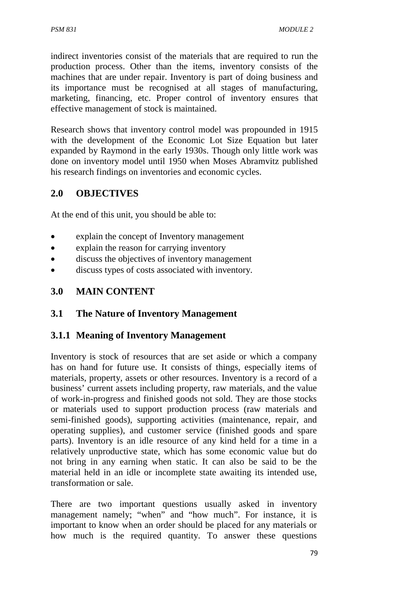indirect inventories consist of the materials that are required to run the production process. Other than the items, inventory consists of the machines that are under repair. Inventory is part of doing business and its importance must be recognised at all stages of manufacturing, marketing, financing, etc. Proper control of inventory ensures that effective management of stock is maintained.

Research shows that inventory control model was propounded in 1915 with the development of the Economic Lot Size Equation but later expanded by Raymond in the early 1930s. Though only little work was done on inventory model until 1950 when Moses Abramvitz published his research findings on inventories and economic cycles.

# **2.0 OBJECTIVES**

At the end of this unit, you should be able to:

- explain the concept of Inventory management
- explain the reason for carrying inventory
- discuss the objectives of inventory management
- discuss types of costs associated with inventory.

# **3.0 MAIN CONTENT**

# **3.1 The Nature of Inventory Management**

# **3.1.1 Meaning of Inventory Management**

Inventory is stock of resources that are set aside or which a company has on hand for future use. It consists of things, especially items of materials, property, assets or other resources. Inventory is a record of a business' current assets including property, raw materials, and the value of work-in-progress and finished goods not sold. They are those stocks or materials used to support production process (raw materials and semi-finished goods), supporting activities (maintenance, repair, and operating supplies), and customer service (finished goods and spare parts). Inventory is an idle resource of any kind held for a time in a relatively unproductive state, which has some economic value but do not bring in any earning when static. It can also be said to be the material held in an idle or incomplete state awaiting its intended use, transformation or sale.

There are two important questions usually asked in inventory management namely; "when" and "how much". For instance, it is important to know when an order should be placed for any materials or how much is the required quantity. To answer these questions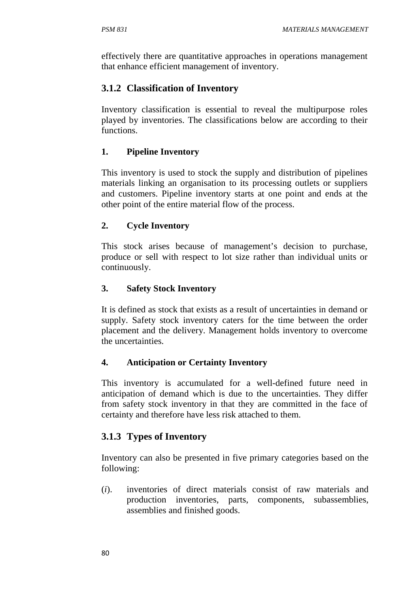effectively there are quantitative approaches in operations management that enhance efficient management of inventory.

# **3.1.2 Classification of Inventory**

Inventory classification is essential to reveal the multipurpose roles played by inventories. The classifications below are according to their functions.

## **1. Pipeline Inventory**

This inventory is used to stock the supply and distribution of pipelines materials linking an organisation to its processing outlets or suppliers and customers. Pipeline inventory starts at one point and ends at the other point of the entire material flow of the process.

## **2. Cycle Inventory**

This stock arises because of management's decision to purchase, produce or sell with respect to lot size rather than individual units or continuously.

## **3. Safety Stock Inventory**

It is defined as stock that exists as a result of uncertainties in demand or supply. Safety stock inventory caters for the time between the order placement and the delivery. Management holds inventory to overcome the uncertainties.

### **4. Anticipation or Certainty Inventory**

This inventory is accumulated for a well-defined future need in anticipation of demand which is due to the uncertainties. They differ from safety stock inventory in that they are committed in the face of certainty and therefore have less risk attached to them.

# **3.1.3 Types of Inventory**

Inventory can also be presented in five primary categories based on the following:

(*i*). inventories of direct materials consist of raw materials and production inventories, parts, components, subassemblies, assemblies and finished goods.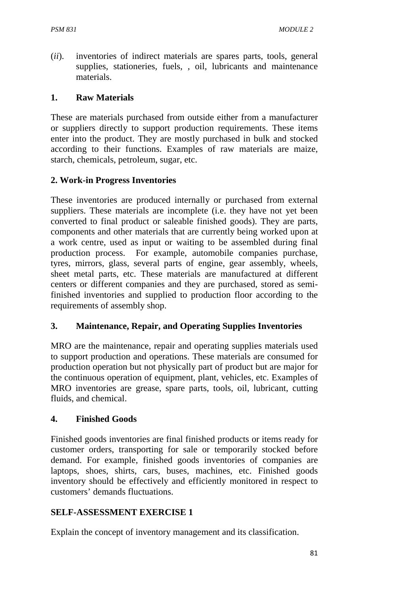(*ii*). inventories of indirect materials are spares parts, tools, general supplies, stationeries, fuels, , oil, lubricants and maintenance materials.

### **1. Raw Materials**

These are materials purchased from outside either from a manufacturer or suppliers directly to support production requirements. These items enter into the product. They are mostly purchased in bulk and stocked according to their functions. Examples of raw materials are maize, starch, chemicals, petroleum, sugar, etc.

## **2. Work-in Progress Inventories**

These inventories are produced internally or purchased from external suppliers. These materials are incomplete (i.e. they have not yet been converted to final product or saleable finished goods). They are parts, components and other materials that are currently being worked upon at a work centre, used as input or waiting to be assembled during final production process. For example, automobile companies purchase, tyres, mirrors, glass, several parts of engine, gear assembly, wheels, sheet metal parts, etc. These materials are manufactured at different centers or different companies and they are purchased, stored as semifinished inventories and supplied to production floor according to the requirements of assembly shop.

### **3. Maintenance, Repair, and Operating Supplies Inventories**

MRO are the maintenance, repair and operating supplies materials used to support production and operations. These materials are consumed for production operation but not physically part of product but are major for the continuous operation of equipment, plant, vehicles, etc. Examples of MRO inventories are grease, spare parts, tools, oil, lubricant, cutting fluids, and chemical.

### **4. Finished Goods**

Finished goods inventories are final finished products or items ready for customer orders, transporting for sale or temporarily stocked before demand. For example, finished goods inventories of companies are laptops, shoes, shirts, cars, buses, machines, etc. Finished goods inventory should be effectively and efficiently monitored in respect to customers' demands fluctuations.

# **SELF-ASSESSMENT EXERCISE 1**

Explain the concept of inventory management and its classification.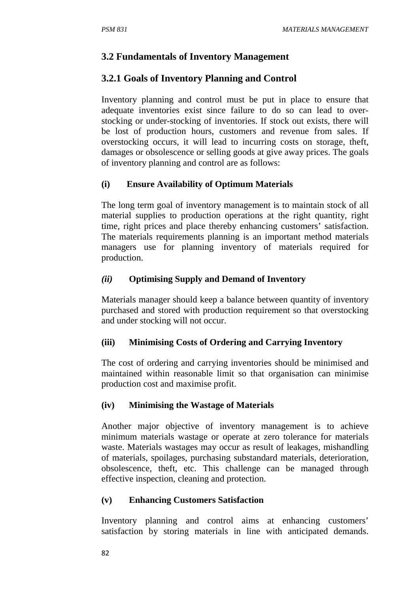### **3.2 Fundamentals of Inventory Management**

## **3.2.1 Goals of Inventory Planning and Control**

Inventory planning and control must be put in place to ensure that adequate inventories exist since failure to do so can lead to overstocking or under-stocking of inventories. If stock out exists, there will be lost of production hours, customers and revenue from sales. If overstocking occurs, it will lead to incurring costs on storage, theft, damages or obsolescence or selling goods at give away prices. The goals of inventory planning and control are as follows:

### **(i) Ensure Availability of Optimum Materials**

The long term goal of inventory management is to maintain stock of all material supplies to production operations at the right quantity, right time, right prices and place thereby enhancing customers' satisfaction. The materials requirements planning is an important method materials managers use for planning inventory of materials required for production.

#### *(ii)* **Optimising Supply and Demand of Inventory**

Materials manager should keep a balance between quantity of inventory purchased and stored with production requirement so that overstocking and under stocking will not occur.

#### **(iii) Minimising Costs of Ordering and Carrying Inventory**

The cost of ordering and carrying inventories should be minimised and maintained within reasonable limit so that organisation can minimise production cost and maximise profit.

#### **(iv) Minimising the Wastage of Materials**

Another major objective of inventory management is to achieve minimum materials wastage or operate at zero tolerance for materials waste. Materials wastages may occur as result of leakages, mishandling of materials, spoilages, purchasing substandard materials, deterioration, obsolescence, theft, etc. This challenge can be managed through effective inspection, cleaning and protection.

### **(v) Enhancing Customers Satisfaction**

Inventory planning and control aims at enhancing customers' satisfaction by storing materials in line with anticipated demands.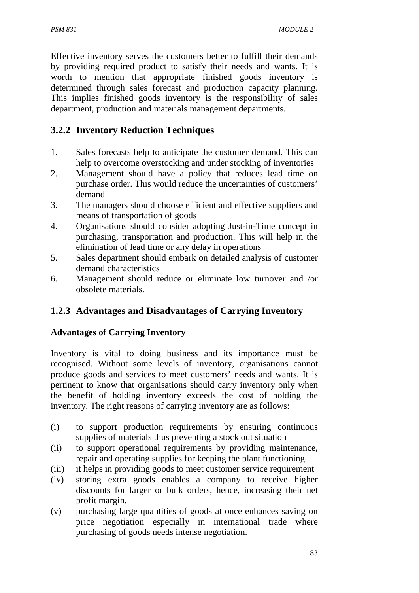Effective inventory serves the customers better to fulfill their demands by providing required product to satisfy their needs and wants. It is worth to mention that appropriate finished goods inventory is determined through sales forecast and production capacity planning. This implies finished goods inventory is the responsibility of sales department, production and materials management departments.

# **3.2.2 Inventory Reduction Techniques**

- 1. Sales forecasts help to anticipate the customer demand. This can help to overcome overstocking and under stocking of inventories
- 2. Management should have a policy that reduces lead time on purchase order. This would reduce the uncertainties of customers' demand
- 3. The managers should choose efficient and effective suppliers and means of transportation of goods
- 4. Organisations should consider adopting Just-in-Time concept in purchasing, transportation and production. This will help in the elimination of lead time or any delay in operations
- 5. Sales department should embark on detailed analysis of customer demand characteristics
- 6. Management should reduce or eliminate low turnover and /or obsolete materials.

# **1.2.3 Advantages and Disadvantages of Carrying Inventory**

# **Advantages of Carrying Inventory**

Inventory is vital to doing business and its importance must be recognised. Without some levels of inventory, organisations cannot produce goods and services to meet customers' needs and wants. It is pertinent to know that organisations should carry inventory only when the benefit of holding inventory exceeds the cost of holding the inventory. The right reasons of carrying inventory are as follows:

- (i) to support production requirements by ensuring continuous supplies of materials thus preventing a stock out situation
- (ii) to support operational requirements by providing maintenance, repair and operating supplies for keeping the plant functioning.
- (iii) it helps in providing goods to meet customer service requirement
- (iv) storing extra goods enables a company to receive higher discounts for larger or bulk orders, hence, increasing their net profit margin.
- (v) purchasing large quantities of goods at once enhances saving on price negotiation especially in international trade where purchasing of goods needs intense negotiation.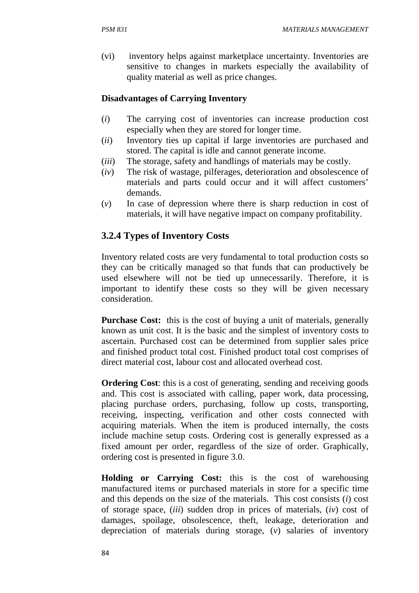(vi) inventory helps against marketplace uncertainty. Inventories are sensitive to changes in markets especially the availability of quality material as well as price changes.

### **Disadvantages of Carrying Inventory**

- (*i*) The carrying cost of inventories can increase production cost especially when they are stored for longer time.
- (*ii*) Inventory ties up capital if large inventories are purchased and stored. The capital is idle and cannot generate income.
- (*iii*) The storage, safety and handlings of materials may be costly.
- (*iv*) The risk of wastage, pilferages, deterioration and obsolescence of materials and parts could occur and it will affect customers' demands.
- (*v*) In case of depression where there is sharp reduction in cost of materials, it will have negative impact on company profitability.

# **3.2.4 Types of Inventory Costs**

Inventory related costs are very fundamental to total production costs so they can be critically managed so that funds that can productively be used elsewhere will not be tied up unnecessarily. Therefore, it is important to identify these costs so they will be given necessary consideration.

**Purchase Cost:** this is the cost of buying a unit of materials, generally known as unit cost. It is the basic and the simplest of inventory costs to ascertain. Purchased cost can be determined from supplier sales price and finished product total cost. Finished product total cost comprises of direct material cost, labour cost and allocated overhead cost.

**Ordering Cost:** this is a cost of generating, sending and receiving goods and. This cost is associated with calling, paper work, data processing, placing purchase orders, purchasing, follow up costs, transporting, receiving, inspecting, verification and other costs connected with acquiring materials. When the item is produced internally, the costs include machine setup costs. Ordering cost is generally expressed as a fixed amount per order, regardless of the size of order. Graphically, ordering cost is presented in figure 3.0.

**Holding or Carrying Cost:** this is the cost of warehousing manufactured items or purchased materials in store for a specific time and this depends on the size of the materials. This cost consists (*i*) cost of storage space, (*iii*) sudden drop in prices of materials, (*iv*) cost of damages, spoilage, obsolescence, theft, leakage, deterioration and depreciation of materials during storage, (*v*) salaries of inventory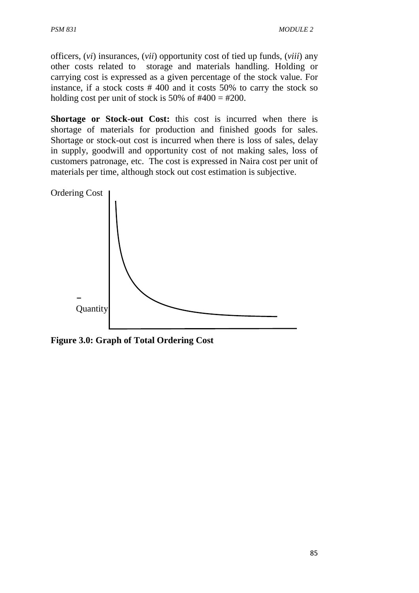officers, (*vi*) insurances, (*vii*) opportunity cost of tied up funds, (*viii*) any other costs related to storage and materials handling. Holding or carrying cost is expressed as a given percentage of the stock value. For instance, if a stock costs # 400 and it costs 50% to carry the stock so holding cost per unit of stock is 50% of  $#400 = #200$ .

**Shortage or Stock-out Cost:** this cost is incurred when there is shortage of materials for production and finished goods for sales. Shortage or stock-out cost is incurred when there is loss of sales, delay in supply, goodwill and opportunity cost of not making sales, loss of customers patronage, etc. The cost is expressed in Naira cost per unit of materials per time, although stock out cost estimation is subjective.



**Figure 3.0: Graph of Total Ordering Cost**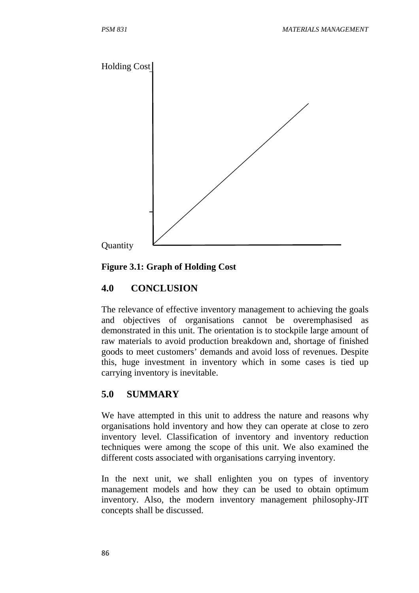

### **Figure 3.1: Graph of Holding Cost**

# **4.0 CONCLUSION**

The relevance of effective inventory management to achieving the goals and objectives of organisations cannot be overemphasised as demonstrated in this unit. The orientation is to stockpile large amount of raw materials to avoid production breakdown and, shortage of finished goods to meet customers' demands and avoid loss of revenues. Despite this, huge investment in inventory which in some cases is tied up carrying inventory is inevitable.

# **5.0 SUMMARY**

We have attempted in this unit to address the nature and reasons why organisations hold inventory and how they can operate at close to zero inventory level. Classification of inventory and inventory reduction techniques were among the scope of this unit. We also examined the different costs associated with organisations carrying inventory.

In the next unit, we shall enlighten you on types of inventory management models and how they can be used to obtain optimum inventory. Also, the modern inventory management philosophy-JIT concepts shall be discussed.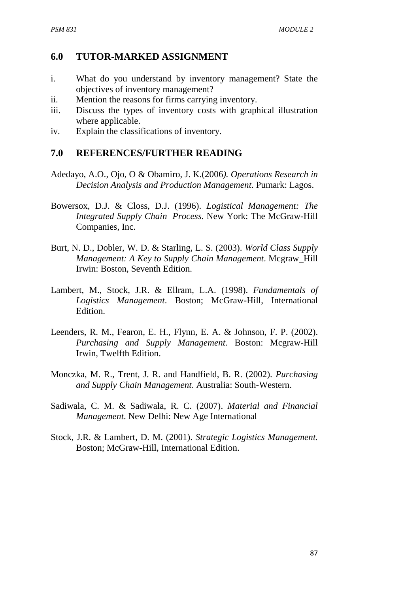## **6.0 TUTOR-MARKED ASSIGNMENT**

- i. What do you understand by inventory management? State the objectives of inventory management?
- ii. Mention the reasons for firms carrying inventory.
- iii. Discuss the types of inventory costs with graphical illustration where applicable.
- iv. Explain the classifications of inventory.

### **7.0 REFERENCES/FURTHER READING**

- Adedayo, A.O., Ojo, O & Obamiro, J. K.(2006*). Operations Research in Decision Analysis and Production Management*. Pumark: Lagos.
- Bowersox, D.J. & Closs, D.J. (1996). *Logistical Management: The Integrated Supply Chain Process.* New York: The McGraw-Hill Companies, Inc.
- Burt, N. D., Dobler, W. D. & Starling, L. S. (2003). *World Class Supply Management: A Key to Supply Chain Management*. Mcgraw\_Hill Irwin: Boston, Seventh Edition.
- Lambert, M., Stock, J.R. & Ellram, L.A. (1998). *Fundamentals of Logistics Management*. Boston; McGraw-Hill, International Edition.
- Leenders, R. M., Fearon, E. H., Flynn, E. A. & Johnson, F. P. (2002). *Purchasing and Supply Management.* Boston: Mcgraw-Hill Irwin, Twelfth Edition.
- Monczka, M. R., Trent, J. R. and Handfield, B. R. (2002). *Purchasing and Supply Chain Management*. Australia: South-Western.
- Sadiwala, C. M. & Sadiwala, R. C. (2007). *Material and Financial Management*. New Delhi: New Age International
- Stock, J.R. & Lambert, D. M. (2001). *Strategic Logistics Management.* Boston; McGraw-Hill, International Edition.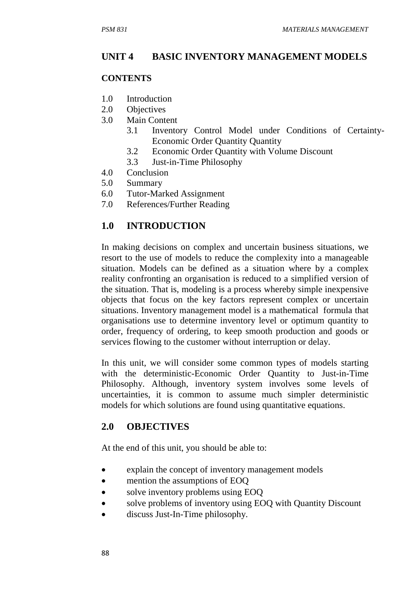#### **UNIT 4 BASIC INVENTORY MANAGEMENT MODELS**

#### **CONTENTS**

- 1.0 Introduction
- 2.0 Objectives
- 3.0 Main Content
	- 3.1 Inventory Control Model under Conditions of Certainty-Economic Order Quantity Quantity
	- 3.2 Economic Order Quantity with Volume Discount
	- 3.3 Just-in-Time Philosophy
- 4.0 Conclusion
- 5.0 Summary
- 6.0 Tutor-Marked Assignment
- 7.0 References/Further Reading

### **1.0 INTRODUCTION**

In making decisions on complex and uncertain business situations, we resort to the use of models to reduce the complexity into a manageable situation. Models can be defined as a situation where by a complex reality confronting an organisation is reduced to a simplified version of the situation. That is, modeling is a process whereby simple inexpensive objects that focus on the key factors represent complex or uncertain situations. Inventory management model is a mathematical formula that organisations use to determine inventory level or optimum quantity to order, frequency of ordering, to keep smooth production and goods or services flowing to the customer without interruption or delay.

In this unit, we will consider some common types of models starting with the deterministic-Economic Order Quantity to Just-in-Time Philosophy. Although, inventory system involves some levels of uncertainties, it is common to assume much simpler deterministic models for which solutions are found using quantitative equations.

#### **2.0 OBJECTIVES**

At the end of this unit, you should be able to:

- explain the concept of inventory management models
- mention the assumptions of EOQ
- solve inventory problems using EOQ
- solve problems of inventory using EOQ with Quantity Discount
- discuss Just-In-Time philosophy.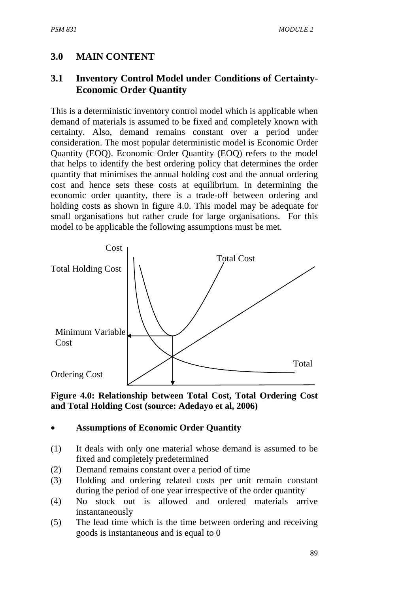# **3.0 MAIN CONTENT**

# **3.1 Inventory Control Model under Conditions of Certainty-Economic Order Quantity**

This is a deterministic inventory control model which is applicable when demand of materials is assumed to be fixed and completely known with certainty. Also, demand remains constant over a period under consideration. The most popular deterministic model is Economic Order Quantity (EOQ). Economic Order Quantity (EOQ) refers to the model that helps to identify the best ordering policy that determines the order quantity that minimises the annual holding cost and the annual ordering cost and hence sets these costs at equilibrium. In determining the economic order quantity, there is a trade-off between ordering and holding costs as shown in figure 4.0. This model may be adequate for small organisations but rather crude for large organisations. For this model to be applicable the following assumptions must be met.



### **Figure 4.0: Relationship between Total Cost, Total Ordering Cost and Total Holding Cost (source: Adedayo et al, 2006)**

### • **Assumptions of Economic Order Quantity**

- (1) It deals with only one material whose demand is assumed to be fixed and completely predetermined
- (2) Demand remains constant over a period of time
- (3) Holding and ordering related costs per unit remain constant during the period of one year irrespective of the order quantity
- (4) No stock out is allowed and ordered materials arrive instantaneously
- (5) The lead time which is the time between ordering and receiving goods is instantaneous and is equal to 0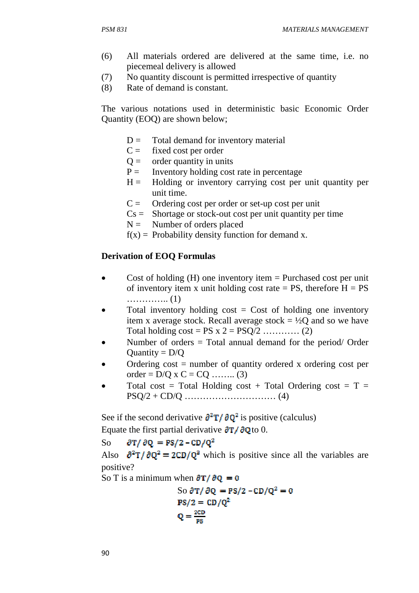- (6) All materials ordered are delivered at the same time, i.e. no piecemeal delivery is allowed
- (7) No quantity discount is permitted irrespective of quantity
- (8) Rate of demand is constant.

The various notations used in deterministic basic Economic Order Quantity (EOQ) are shown below;

- $D =$  Total demand for inventory material
- $C =$  fixed cost per order
- $Q =$  order quantity in units
- $P =$  Inventory holding cost rate in percentage
- $H =$  Holding or inventory carrying cost per unit quantity per unit time.
- $C =$  Ordering cost per order or set-up cost per unit
- $Cs =$  Shortage or stock-out cost per unit quantity per time
- $N =$  Number of orders placed
- $f(x) =$  Probability density function for demand x.

#### **Derivation of EOQ Formulas**

- Cost of holding  $(H)$  one inventory item = Purchased cost per unit of inventory item x unit holding cost rate  $= PS$ , therefore  $H = PS$ ………….. (1)
- Total inventory holding  $cost = Cost$  of holding one inventory item x average stock. Recall average stock  $= \frac{1}{2}Q$  and so we have Total holding  $cost = PS \times 2 = PSQ/2$  ………… (2)
- Number of orders = Total annual demand for the period/ Order Quantity  $= D/Q$
- Ordering  $cost = number of quantity ordered x ordering cost per$ order =  $D/O \times C = CO$  ........ (3)
- Total cost = Total Holding cost + Total Ordering cost =  $T =$ PSQ/2 + CD/Q ………………………… (4)

See if the second derivative  $\frac{\partial^2 T}{\partial Q^2}$  is positive (calculus)

Equate the first partial derivative  $\partial T / \partial Q$  to 0.

 $\partial T / \partial Q = PS/2 - CD/Q^2$ So

Also  $\partial^2 T / \partial Q^2 = 2CD/Q^2$  which is positive since all the variables are positive?

So T is a minimum when  $\partial T / \partial Q = 0$ 

So 
$$
\partial T / \partial Q = PS/2 - CD/Q^2 = 0
$$
  
PS/2 = CD/Q<sup>2</sup>  

$$
Q = \frac{2CD}{PS}
$$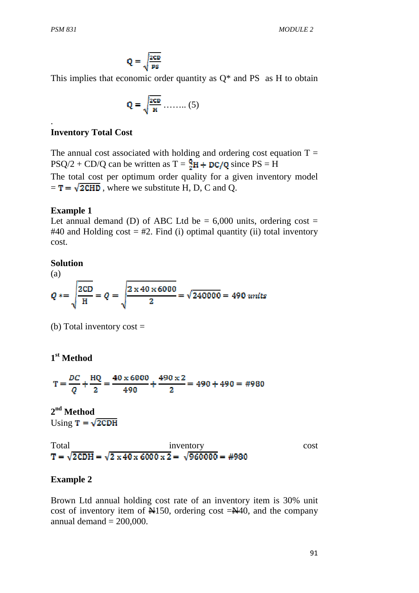.

$$
Q = \sqrt{\frac{2CD}{PS}}
$$

This implies that economic order quantity as  $Q^*$  and PS as H to obtain

$$
\mathbf{Q} = \sqrt{\frac{\text{2CD}}{\mathbf{H}}} \dots \dots \dots (5)
$$

#### **Inventory Total Cost**

The annual cost associated with holding and ordering cost equation  $T =$  $PSQ/2 + CD/Q$  can be written as  $T = \frac{Q}{2}H + DC/Q$  since  $PS = H$ The total cost per optimum order quality for a given inventory model  $=\mathbf{T} = \sqrt{2 \mathbf{C} \mathbf{H} \mathbf{D}}$ , where we substitute H, D, C and Q.

#### **Example 1**

Let annual demand (D) of ABC Ltd be  $= 6,000$  units, ordering cost  $=$ #40 and Holding cost  $=$  #2. Find (i) optimal quantity (ii) total inventory cost.

#### **Solution**

(a)  

$$
Q * = \sqrt{\frac{2CD}{H}} = Q = \sqrt{\frac{2 \times 40 \times 6000}{2}} = \sqrt{240000} = 490 \text{ units}
$$

(b) Total inventory  $cost =$ 

# **1 st Method**

$$
T = \frac{DC}{Q} + \frac{HQ}{2} = \frac{40 \times 6000}{490} + \frac{490 \times 2}{2} = 490 + 490 = #980
$$

**2 nd Method**  Using  $T = \sqrt{2CDH}$ 

Total inventory cost  $T = \sqrt{2 \text{CDH}} = \sqrt{2 \times 40 \times 6000 \times 2} = \sqrt{960000} = #980$ 

#### **Example 2**

Brown Ltd annual holding cost rate of an inventory item is 30% unit cost of inventory item of  $\mathbb{N}150$ , ordering cost  $=\mathbb{N}40$ , and the company annual demand  $= 200,000$ .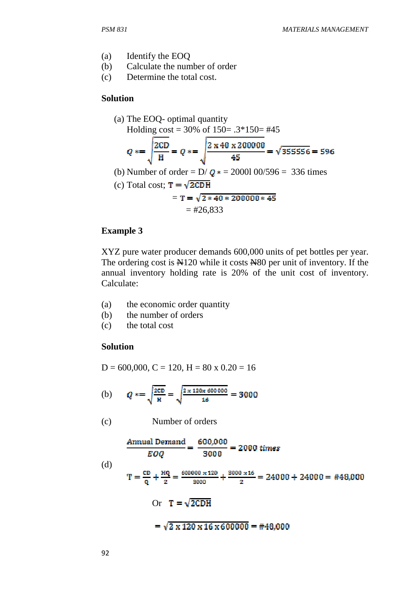- (a) Identify the EOQ
- (b) Calculate the number of order
- (c) Determine the total cost.

#### **Solution**

(a) The EOQ- optimal quantity  
\nHolding cost = 30% of 150= .3\*150= #45  
\n
$$
Q * = \sqrt{\frac{2CD}{H}} = Q * = \sqrt{\frac{2 \times 40 \times 200000}{45}} = \sqrt{355556} = 596
$$
\n(b) Number of order = D/ $Q$ \* = 20001 00/596 = 336 times  
\n(c) Total cost;  $T = \sqrt{2CDH}$   
\n
$$
= T = \sqrt{2 * 40 * 200000 * 45}
$$
\n
$$
= #26,833
$$

### **Example 3**

XYZ pure water producer demands 600,000 units of pet bottles per year. The ordering cost is  $\mathbb{H}120$  while it costs  $\mathbb{H}80$  per unit of inventory. If the annual inventory holding rate is 20% of the unit cost of inventory. Calculate:

- (a) the economic order quantity
- (b) the number of orders
- (c) the total cost

#### **Solution**

$$
D = 600,000, C = 120, H = 80 \times 0.20 = 16
$$

(b) 
$$
Q = \sqrt{\frac{2CD}{H}} = \sqrt{\frac{2 \times 120 \times 600000}{16}} = 3000
$$

(c) Number of orders

Annual Demand

\n
$$
\frac{600,000}{8000} = 2000 \text{ times}
$$
\n(d)

\n
$$
T = \frac{cD}{Q} + \frac{HQ}{2} = \frac{600000 \times 120}{3000} + \frac{3000 \times 16}{2} = 24000 + 24000 = #48,000
$$
\nOr

\n
$$
T = \sqrt{2 CDH}
$$
\n
$$
= \sqrt{2 \times 120 \times 16 \times 600000} = #48,000
$$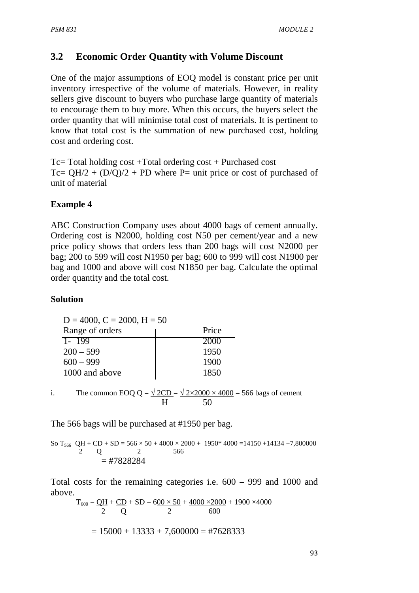# **3.2 Economic Order Quantity with Volume Discount**

One of the major assumptions of EOQ model is constant price per unit inventory irrespective of the volume of materials. However, in reality sellers give discount to buyers who purchase large quantity of materials to encourage them to buy more. When this occurs, the buyers select the order quantity that will minimise total cost of materials. It is pertinent to know that total cost is the summation of new purchased cost, holding cost and ordering cost.

Tc= Total holding cost +Total ordering cost + Purchased cost Tc=  $QH/2 + (D/Q)/2 + PD$  where P= unit price or cost of purchased of unit of material

### **Example 4**

ABC Construction Company uses about 4000 bags of cement annually. Ordering cost is N2000, holding cost N50 per cement/year and a new price policy shows that orders less than 200 bags will cost N2000 per bag; 200 to 599 will cost N1950 per bag; 600 to 999 will cost N1900 per bag and 1000 and above will cost N1850 per bag. Calculate the optimal order quantity and the total cost.

#### **Solution**

 $D = 4000$ ,  $C = 2000$ ,  $H = 50$ Range of orders The Price 1- 199 2000  $200 - 599$  1950  $600 - 999$  1900 1000 and above 1850

i. The common EOQ Q =  $\sqrt{2CD} = \sqrt{2 \times 2000 \times 4000} = 566$  bags of cement H 50

The 566 bags will be purchased at #1950 per bag.

So T<sub>566</sub> 
$$
\frac{QH}{2}
$$
 +  $\frac{CD}{Q}$  + SD =  $\frac{566 \times 50}{2}$  +  $\frac{4000 \times 2000}{566}$  + 1950\* 4000 = 14150 + 14134 + 7,800000  
= #7828284

Total costs for the remaining categories i.e. 600 – 999 and 1000 and above.

$$
T_{600} = \underbrace{OH}_{2} + \underbrace{CD}_{Q} + SD = 6\underbrace{00 \times 50}_{2} + \underbrace{4000 \times 2000}_{600} + 1900 \times 4000
$$
\n
$$
= 15000 + 13333 + 7,600000 = #7628333
$$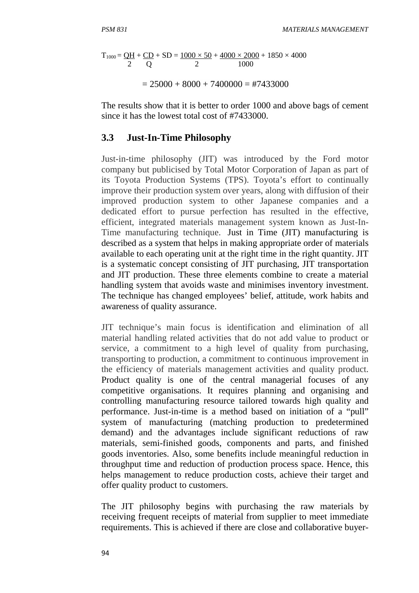$$
T_{1000} = \underbrace{OH}_{2} + \underbrace{CD}_{Q} + SD = \underbrace{1000 \times 50}_{2} + \underbrace{4000 \times 2000}_{1000} + 1850 \times 4000
$$

 $= 25000 + 8000 + 7400000 = 47433000$ 

The results show that it is better to order 1000 and above bags of cement since it has the lowest total cost of #7433000.

### **3.3 Just-In-Time Philosophy**

Just-in-time philosophy (JIT) was introduced by the Ford motor company but publicised by Total Motor Corporation of Japan as part of its Toyota Production Systems (TPS). Toyota's effort to continually improve their production system over years, along with diffusion of their improved production system to other Japanese companies and a dedicated effort to pursue perfection has resulted in the effective, efficient, integrated materials management system known as Just-In-Time manufacturing technique. Just in Time (JIT) manufacturing is described as a system that helps in making appropriate order of materials available to each operating unit at the right time in the right quantity. JIT is a systematic concept consisting of JIT purchasing, JIT transportation and JIT production. These three elements combine to create a material handling system that avoids waste and minimises inventory investment. The technique has changed employees' belief, attitude, work habits and awareness of quality assurance.

JIT technique's main focus is identification and elimination of all material handling related activities that do not add value to product or service, a commitment to a high level of quality from purchasing, transporting to production, a commitment to continuous improvement in the efficiency of materials management activities and quality product. Product quality is one of the central managerial focuses of any competitive organisations. It requires planning and organising and controlling manufacturing resource tailored towards high quality and performance. Just-in-time is a method based on initiation of a "pull" system of manufacturing (matching production to predetermined demand) and the advantages include significant reductions of raw materials, semi-finished goods, components and parts, and finished goods inventories. Also, some benefits include meaningful reduction in throughput time and reduction of production process space. Hence, this helps management to reduce production costs, achieve their target and offer quality product to customers.

The JIT philosophy begins with purchasing the raw materials by receiving frequent receipts of material from supplier to meet immediate requirements. This is achieved if there are close and collaborative buyer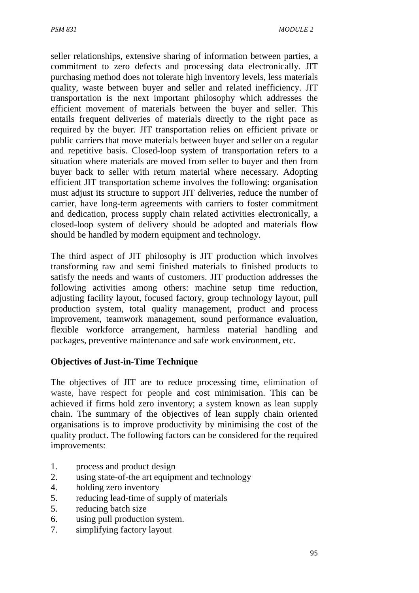seller relationships, extensive sharing of information between parties, a commitment to zero defects and processing data electronically. JIT purchasing method does not tolerate high inventory levels, less materials quality, waste between buyer and seller and related inefficiency. JIT transportation is the next important philosophy which addresses the efficient movement of materials between the buyer and seller. This entails frequent deliveries of materials directly to the right pace as required by the buyer. JIT transportation relies on efficient private or public carriers that move materials between buyer and seller on a regular and repetitive basis. Closed-loop system of transportation refers to a situation where materials are moved from seller to buyer and then from buyer back to seller with return material where necessary. Adopting efficient JIT transportation scheme involves the following: organisation must adjust its structure to support JIT deliveries, reduce the number of carrier, have long-term agreements with carriers to foster commitment and dedication, process supply chain related activities electronically, a closed-loop system of delivery should be adopted and materials flow should be handled by modern equipment and technology.

The third aspect of JIT philosophy is JIT production which involves transforming raw and semi finished materials to finished products to satisfy the needs and wants of customers. JIT production addresses the following activities among others: machine setup time reduction, adjusting facility layout, focused factory, group technology layout, pull production system, total quality management, product and process improvement, teamwork management, sound performance evaluation, flexible workforce arrangement, harmless material handling and packages, preventive maintenance and safe work environment, etc.

### **Objectives of Just-in-Time Technique**

The objectives of JIT are to reduce processing time, elimination of waste, have respect for people and cost minimisation. This can be achieved if firms hold zero inventory; a system known as lean supply chain. The summary of the objectives of lean supply chain oriented organisations is to improve productivity by minimising the cost of the quality product. The following factors can be considered for the required improvements:

- 1. process and product design
- 2. using state-of-the art equipment and technology
- 4. holding zero inventory
- 5. reducing lead-time of supply of materials
- 5. reducing batch size
- 6. using pull production system.
- 7. simplifying factory layout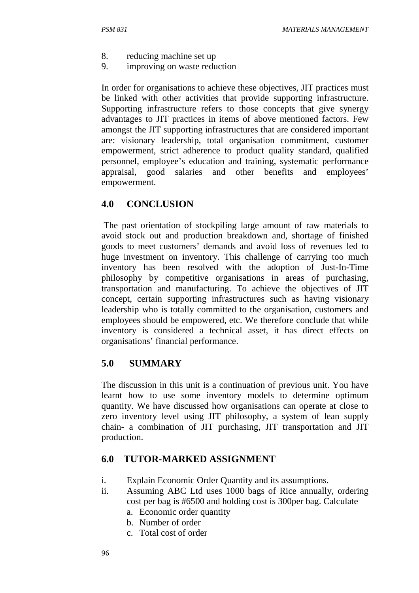- 8. reducing machine set up
- 9. improving on waste reduction

In order for organisations to achieve these objectives, JIT practices must be linked with other activities that provide supporting infrastructure. Supporting infrastructure refers to those concepts that give synergy advantages to JIT practices in items of above mentioned factors. Few amongst the JIT supporting infrastructures that are considered important are: visionary leadership, total organisation commitment, customer empowerment, strict adherence to product quality standard, qualified personnel, employee's education and training, systematic performance appraisal, good salaries and other benefits and employees' empowerment.

## **4.0 CONCLUSION**

 The past orientation of stockpiling large amount of raw materials to avoid stock out and production breakdown and, shortage of finished goods to meet customers' demands and avoid loss of revenues led to huge investment on inventory. This challenge of carrying too much inventory has been resolved with the adoption of Just-In-Time philosophy by competitive organisations in areas of purchasing, transportation and manufacturing. To achieve the objectives of JIT concept, certain supporting infrastructures such as having visionary leadership who is totally committed to the organisation, customers and employees should be empowered, etc. We therefore conclude that while inventory is considered a technical asset, it has direct effects on organisations' financial performance.

### **5.0 SUMMARY**

The discussion in this unit is a continuation of previous unit. You have learnt how to use some inventory models to determine optimum quantity. We have discussed how organisations can operate at close to zero inventory level using JIT philosophy, a system of lean supply chain- a combination of JIT purchasing, JIT transportation and JIT production.

### **6.0 TUTOR-MARKED ASSIGNMENT**

- i. Explain Economic Order Quantity and its assumptions.
- ii. Assuming ABC Ltd uses 1000 bags of Rice annually, ordering cost per bag is #6500 and holding cost is 300per bag. Calculate
	- a. Economic order quantity
	- b. Number of order
	- c. Total cost of order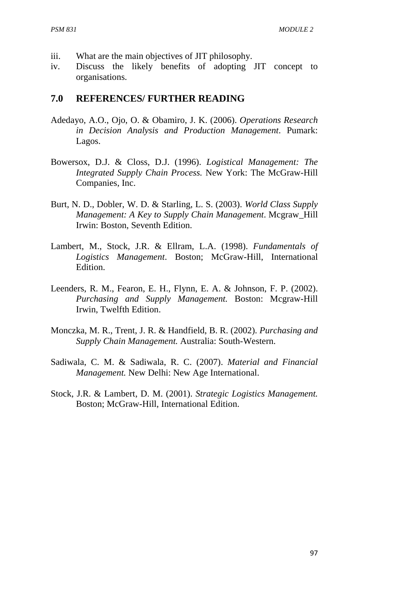- iii. What are the main objectives of JIT philosophy.
- iv. Discuss the likely benefits of adopting JIT concept to organisations.

## **7.0 REFERENCES/ FURTHER READING**

- Adedayo, A.O., Ojo, O. & Obamiro, J. K. (2006). *Operations Research in Decision Analysis and Production Management*. Pumark: Lagos.
- Bowersox, D.J. & Closs, D.J. (1996). *Logistical Management: The Integrated Supply Chain Process.* New York: The McGraw-Hill Companies, Inc.
- Burt, N. D., Dobler, W. D. & Starling, L. S. (2003). *World Class Supply Management: A Key to Supply Chain Management*. Mcgraw\_Hill Irwin: Boston, Seventh Edition.
- Lambert, M., Stock, J.R. & Ellram, L.A. (1998). *Fundamentals of Logistics Management*. Boston; McGraw-Hill, International Edition.
- Leenders, R. M., Fearon, E. H., Flynn, E. A. & Johnson, F. P. (2002). *Purchasing and Supply Management.* Boston: Mcgraw-Hill Irwin, Twelfth Edition.
- Monczka, M. R., Trent, J. R. & Handfield, B. R. (2002). *Purchasing and Supply Chain Management.* Australia: South-Western.
- Sadiwala, C. M. & Sadiwala, R. C. (2007). *Material and Financial Management.* New Delhi: New Age International.
- Stock, J.R. & Lambert, D. M. (2001). *Strategic Logistics Management.* Boston; McGraw-Hill, International Edition.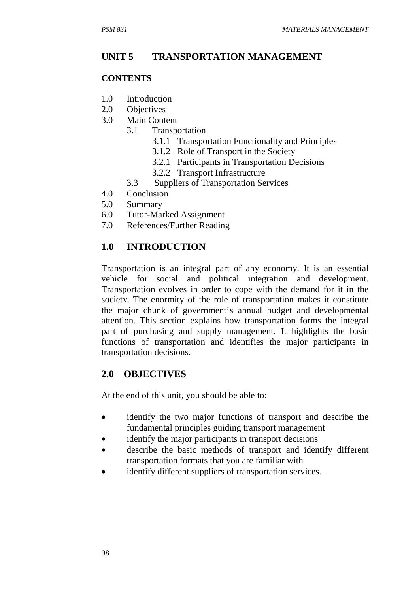# **UNIT 5 TRANSPORTATION MANAGEMENT**

#### **CONTENTS**

- 1.0 Introduction
- 2.0 Objectives
- 3.0 Main Content
	- 3.1 Transportation
		- 3.1.1 Transportation Functionality and Principles
		- 3.1.2 Role of Transport in the Society
		- 3.2.1 Participants in Transportation Decisions
		- 3.2.2 Transport Infrastructure
		- 3.3 Suppliers of Transportation Services
- 4.0 Conclusion
- 5.0 Summary
- 6.0 Tutor-Marked Assignment
- 7.0 References/Further Reading

# **1.0 INTRODUCTION**

Transportation is an integral part of any economy. It is an essential vehicle for social and political integration and development. Transportation evolves in order to cope with the demand for it in the society. The enormity of the role of transportation makes it constitute the major chunk of government's annual budget and developmental attention. This section explains how transportation forms the integral part of purchasing and supply management. It highlights the basic functions of transportation and identifies the major participants in transportation decisions.

# **2.0 OBJECTIVES**

At the end of this unit, you should be able to:

- identify the two major functions of transport and describe the fundamental principles guiding transport management
- identify the major participants in transport decisions
- describe the basic methods of transport and identify different transportation formats that you are familiar with
- identify different suppliers of transportation services.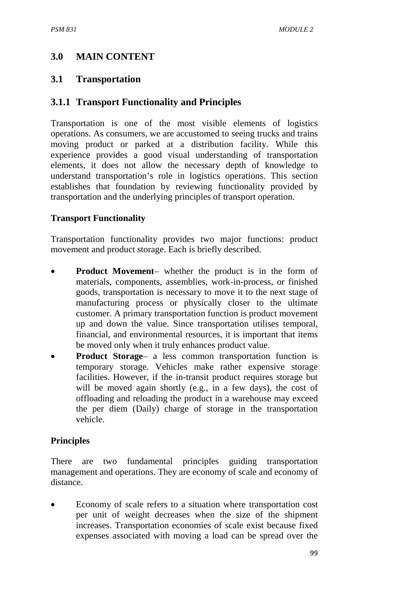# **3.0 MAIN CONTENT**

## **3.1 Transportation**

# **3.1.1 Transport Functionality and Principles**

Transportation is one of the most visible elements of logistics operations. As consumers, we are accustomed to seeing trucks and trains moving product or parked at a distribution facility. While this experience provides a good visual understanding of transportation elements, it does not allow the necessary depth of knowledge to understand transportation's role in logistics operations. This section establishes that foundation by reviewing functionality provided by transportation and the underlying principles of transport operation.

### **Transport Functionality**

Transportation functionality provides two major functions: product movement and product storage. Each is briefly described.

- **Product Movement** whether the product is in the form of materials, components, assemblies, work-in-process, or finished goods, transportation is necessary to move it to the next stage of manufacturing process or physically closer to the ultimate customer. A primary transportation function is product movement up and down the value. Since transportation utilises temporal, financial, and environmental resources, it is important that items be moved only when it truly enhances product value.
- **Product Storage** a less common transportation function is temporary storage. Vehicles make rather expensive storage facilities. However, if the in-transit product requires storage but will be moved again shortly (e.g., in a few days), the cost of offloading and reloading the product in a warehouse may exceed the per diem (Daily) charge of storage in the transportation vehicle.

### **Principles**

There are two fundamental principles guiding transportation management and operations. They are economy of scale and economy of distance.

• Economy of scale refers to a situation where transportation cost per unit of weight decreases when the size of the shipment increases. Transportation economies of scale exist because fixed expenses associated with moving a load can be spread over the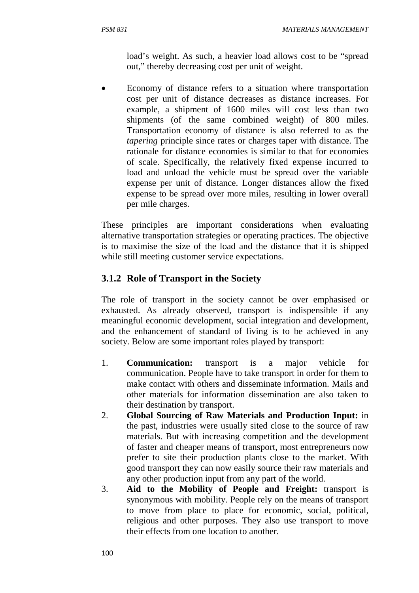load's weight. As such, a heavier load allows cost to be "spread out," thereby decreasing cost per unit of weight.

• Economy of distance refers to a situation where transportation cost per unit of distance decreases as distance increases. For example, a shipment of 1600 miles will cost less than two shipments (of the same combined weight) of 800 miles. Transportation economy of distance is also referred to as the *tapering* principle since rates or charges taper with distance. The rationale for distance economies is similar to that for economies of scale. Specifically, the relatively fixed expense incurred to load and unload the vehicle must be spread over the variable expense per unit of distance. Longer distances allow the fixed expense to be spread over more miles, resulting in lower overall per mile charges.

These principles are important considerations when evaluating alternative transportation strategies or operating practices. The objective is to maximise the size of the load and the distance that it is shipped while still meeting customer service expectations.

## **3.1.2 Role of Transport in the Society**

The role of transport in the society cannot be over emphasised or exhausted. As already observed, transport is indispensible if any meaningful economic development, social integration and development, and the enhancement of standard of living is to be achieved in any society. Below are some important roles played by transport:

- 1. **Communication:** transport is a major vehicle for communication. People have to take transport in order for them to make contact with others and disseminate information. Mails and other materials for information dissemination are also taken to their destination by transport.
- 2. **Global Sourcing of Raw Materials and Production Input:** in the past, industries were usually sited close to the source of raw materials. But with increasing competition and the development of faster and cheaper means of transport, most entrepreneurs now prefer to site their production plants close to the market. With good transport they can now easily source their raw materials and any other production input from any part of the world.
- 3. **Aid to the Mobility of People and Freight:** transport is synonymous with mobility. People rely on the means of transport to move from place to place for economic, social, political, religious and other purposes. They also use transport to move their effects from one location to another.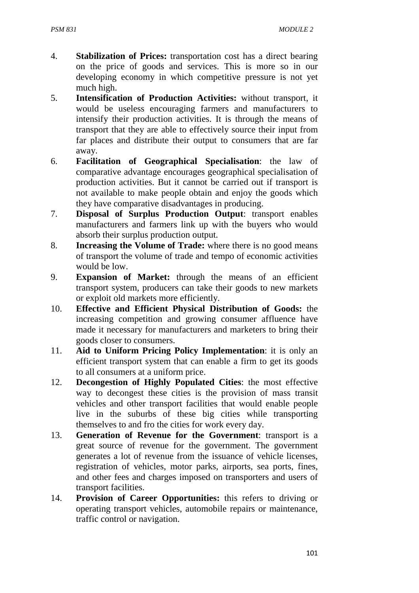- 4. **Stabilization of Prices:** transportation cost has a direct bearing on the price of goods and services. This is more so in our developing economy in which competitive pressure is not yet much high.
- 5. **Intensification of Production Activities:** without transport, it would be useless encouraging farmers and manufacturers to intensify their production activities. It is through the means of transport that they are able to effectively source their input from far places and distribute their output to consumers that are far away.
- 6. **Facilitation of Geographical Specialisation**: the law of comparative advantage encourages geographical specialisation of production activities. But it cannot be carried out if transport is not available to make people obtain and enjoy the goods which they have comparative disadvantages in producing.
- 7. **Disposal of Surplus Production Output**: transport enables manufacturers and farmers link up with the buyers who would absorb their surplus production output.
- 8. **Increasing the Volume of Trade:** where there is no good means of transport the volume of trade and tempo of economic activities would be low.
- 9. **Expansion of Market:** through the means of an efficient transport system, producers can take their goods to new markets or exploit old markets more efficiently.
- 10. **Effective and Efficient Physical Distribution of Goods:** the increasing competition and growing consumer affluence have made it necessary for manufacturers and marketers to bring their goods closer to consumers.
- 11. **Aid to Uniform Pricing Policy Implementation**: it is only an efficient transport system that can enable a firm to get its goods to all consumers at a uniform price.
- 12. **Decongestion of Highly Populated Cities**: the most effective way to decongest these cities is the provision of mass transit vehicles and other transport facilities that would enable people live in the suburbs of these big cities while transporting themselves to and fro the cities for work every day.
- 13. **Generation of Revenue for the Government**: transport is a great source of revenue for the government. The government generates a lot of revenue from the issuance of vehicle licenses, registration of vehicles, motor parks, airports, sea ports, fines, and other fees and charges imposed on transporters and users of transport facilities.
- 14. **Provision of Career Opportunities:** this refers to driving or operating transport vehicles, automobile repairs or maintenance, traffic control or navigation.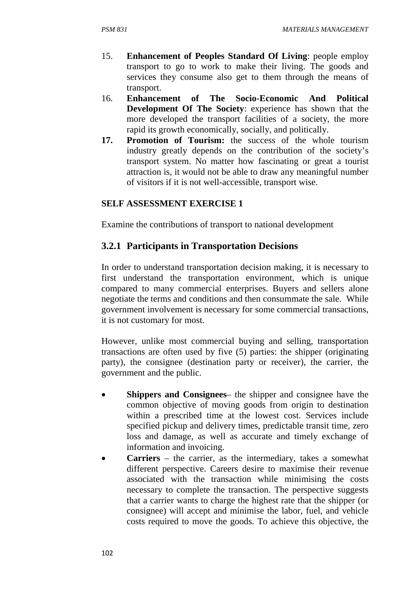- 15. **Enhancement of Peoples Standard Of Living**: people employ transport to go to work to make their living. The goods and services they consume also get to them through the means of transport.
- 16. **Enhancement of The Socio-Economic And Political Development Of The Society**: experience has shown that the more developed the transport facilities of a society, the more rapid its growth economically, socially, and politically.
- **17. Promotion of Tourism:** the success of the whole tourism industry greatly depends on the contribution of the society's transport system. No matter how fascinating or great a tourist attraction is, it would not be able to draw any meaningful number of visitors if it is not well-accessible, transport wise.

#### **SELF ASSESSMENT EXERCISE 1**

Examine the contributions of transport to national development

### **3.2.1 Participants in Transportation Decisions**

In order to understand transportation decision making, it is necessary to first understand the transportation environment, which is unique compared to many commercial enterprises. Buyers and sellers alone negotiate the terms and conditions and then consummate the sale. While government involvement is necessary for some commercial transactions, it is not customary for most.

However, unlike most commercial buying and selling, transportation transactions are often used by five (5) parties: the shipper (originating party), the consignee (destination party or receiver), the carrier, the government and the public.

- **Shippers and Consignees** the shipper and consignee have the common objective of moving goods from origin to destination within a prescribed time at the lowest cost. Services include specified pickup and delivery times, predictable transit time, zero loss and damage, as well as accurate and timely exchange of information and invoicing.
- **Carriers** the carrier, as the intermediary, takes a somewhat different perspective. Careers desire to maximise their revenue associated with the transaction while minimising the costs necessary to complete the transaction. The perspective suggests that a carrier wants to charge the highest rate that the shipper (or consignee) will accept and minimise the labor, fuel, and vehicle costs required to move the goods. To achieve this objective, the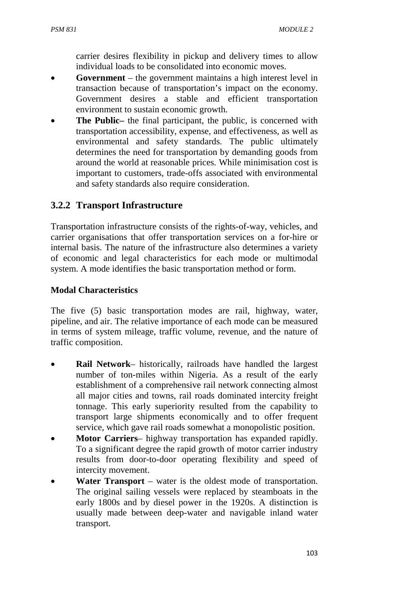carrier desires flexibility in pickup and delivery times to allow individual loads to be consolidated into economic moves.

- **Government** the government maintains a high interest level in transaction because of transportation's impact on the economy. Government desires a stable and efficient transportation environment to sustain economic growth.
- **The Public–** the final participant, the public, is concerned with transportation accessibility, expense, and effectiveness, as well as environmental and safety standards. The public ultimately determines the need for transportation by demanding goods from around the world at reasonable prices. While minimisation cost is important to customers, trade-offs associated with environmental and safety standards also require consideration.

## **3.2.2 Transport Infrastructure**

Transportation infrastructure consists of the rights-of-way, vehicles, and carrier organisations that offer transportation services on a for-hire or internal basis. The nature of the infrastructure also determines a variety of economic and legal characteristics for each mode or multimodal system. A mode identifies the basic transportation method or form.

### **Modal Characteristics**

The five (5) basic transportation modes are rail, highway, water, pipeline, and air. The relative importance of each mode can be measured in terms of system mileage, traffic volume, revenue, and the nature of traffic composition.

- **Rail Network** historically, railroads have handled the largest number of ton-miles within Nigeria. As a result of the early establishment of a comprehensive rail network connecting almost all major cities and towns, rail roads dominated intercity freight tonnage. This early superiority resulted from the capability to transport large shipments economically and to offer frequent service, which gave rail roads somewhat a monopolistic position.
- **Motor Carriers** highway transportation has expanded rapidly. To a significant degree the rapid growth of motor carrier industry results from door-to-door operating flexibility and speed of intercity movement.
- **Water Transport** water is the oldest mode of transportation. The original sailing vessels were replaced by steamboats in the early 1800s and by diesel power in the 1920s. A distinction is usually made between deep-water and navigable inland water transport.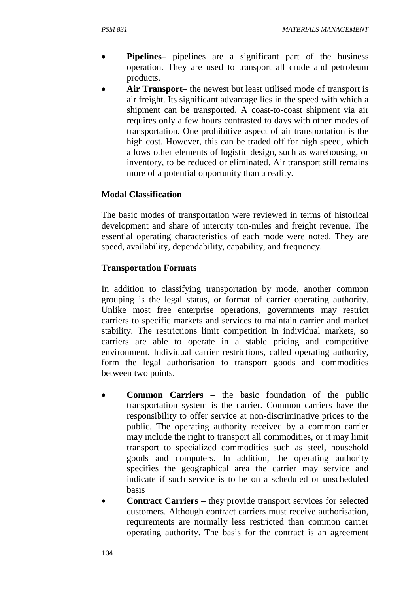- **Pipelines** pipelines are a significant part of the business operation. They are used to transport all crude and petroleum products.
- **Air Transport** the newest but least utilised mode of transport is air freight. Its significant advantage lies in the speed with which a shipment can be transported. A coast-to-coast shipment via air requires only a few hours contrasted to days with other modes of transportation. One prohibitive aspect of air transportation is the high cost. However, this can be traded off for high speed, which allows other elements of logistic design, such as warehousing, or inventory, to be reduced or eliminated. Air transport still remains more of a potential opportunity than a reality.

### **Modal Classification**

The basic modes of transportation were reviewed in terms of historical development and share of intercity ton-miles and freight revenue. The essential operating characteristics of each mode were noted. They are speed, availability, dependability, capability, and frequency.

#### **Transportation Formats**

In addition to classifying transportation by mode, another common grouping is the legal status, or format of carrier operating authority. Unlike most free enterprise operations, governments may restrict carriers to specific markets and services to maintain carrier and market stability. The restrictions limit competition in individual markets, so carriers are able to operate in a stable pricing and competitive environment. Individual carrier restrictions, called operating authority, form the legal authorisation to transport goods and commodities between two points.

- **Common Carriers** the basic foundation of the public transportation system is the carrier. Common carriers have the responsibility to offer service at non-discriminative prices to the public. The operating authority received by a common carrier may include the right to transport all commodities, or it may limit transport to specialized commodities such as steel, household goods and computers. In addition, the operating authority specifies the geographical area the carrier may service and indicate if such service is to be on a scheduled or unscheduled basis
- **Contract Carriers** they provide transport services for selected customers. Although contract carriers must receive authorisation, requirements are normally less restricted than common carrier operating authority. The basis for the contract is an agreement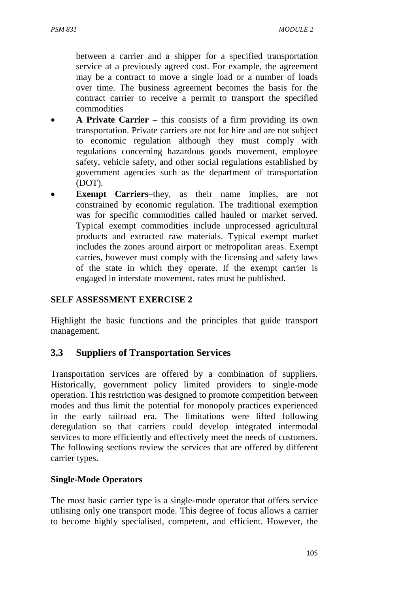between a carrier and a shipper for a specified transportation service at a previously agreed cost. For example, the agreement may be a contract to move a single load or a number of loads over time. The business agreement becomes the basis for the contract carrier to receive a permit to transport the specified commodities

- **A Private Carrier** this consists of a firm providing its own transportation. Private carriers are not for hire and are not subject to economic regulation although they must comply with regulations concerning hazardous goods movement, employee safety, vehicle safety, and other social regulations established by government agencies such as the department of transportation (DOT).
- **Exempt Carriers–they, as their name implies, are not** constrained by economic regulation. The traditional exemption was for specific commodities called hauled or market served. Typical exempt commodities include unprocessed agricultural products and extracted raw materials. Typical exempt market includes the zones around airport or metropolitan areas. Exempt carries, however must comply with the licensing and safety laws of the state in which they operate. If the exempt carrier is engaged in interstate movement, rates must be published.

#### **SELF ASSESSMENT EXERCISE 2**

Highlight the basic functions and the principles that guide transport management.

#### **3.3 Suppliers of Transportation Services**

Transportation services are offered by a combination of suppliers. Historically, government policy limited providers to single-mode operation. This restriction was designed to promote competition between modes and thus limit the potential for monopoly practices experienced in the early railroad era. The limitations were lifted following deregulation so that carriers could develop integrated intermodal services to more efficiently and effectively meet the needs of customers. The following sections review the services that are offered by different carrier types.

#### **Single-Mode Operators**

The most basic carrier type is a single-mode operator that offers service utilising only one transport mode. This degree of focus allows a carrier to become highly specialised, competent, and efficient. However, the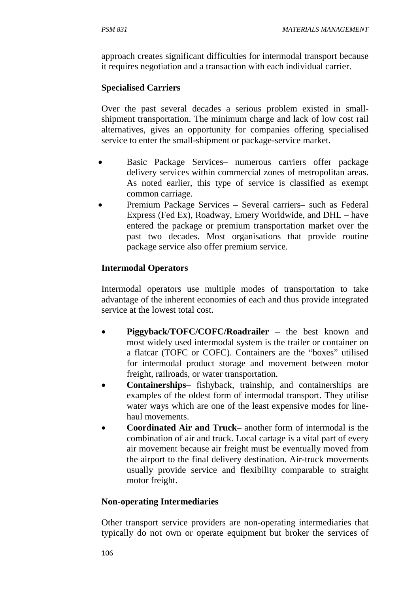approach creates significant difficulties for intermodal transport because it requires negotiation and a transaction with each individual carrier.

#### **Specialised Carriers**

Over the past several decades a serious problem existed in smallshipment transportation. The minimum charge and lack of low cost rail alternatives, gives an opportunity for companies offering specialised service to enter the small-shipment or package-service market.

- Basic Package Services– numerous carriers offer package delivery services within commercial zones of metropolitan areas. As noted earlier, this type of service is classified as exempt common carriage.
- Premium Package Services Several carriers– such as Federal Express (Fed Ex), Roadway, Emery Worldwide, and DHL – have entered the package or premium transportation market over the past two decades. Most organisations that provide routine package service also offer premium service.

### **Intermodal Operators**

Intermodal operators use multiple modes of transportation to take advantage of the inherent economies of each and thus provide integrated service at the lowest total cost.

- **Piggyback/TOFC/COFC/Roadrailer** the best known and most widely used intermodal system is the trailer or container on a flatcar (TOFC or COFC). Containers are the "boxes" utilised for intermodal product storage and movement between motor freight, railroads, or water transportation.
- **Containerships** fishyback, trainship, and containerships are examples of the oldest form of intermodal transport. They utilise water ways which are one of the least expensive modes for linehaul movements.
- **Coordinated Air and Truck** another form of intermodal is the combination of air and truck. Local cartage is a vital part of every air movement because air freight must be eventually moved from the airport to the final delivery destination. Air-truck movements usually provide service and flexibility comparable to straight motor freight.

#### **Non-operating Intermediaries**

Other transport service providers are non-operating intermediaries that typically do not own or operate equipment but broker the services of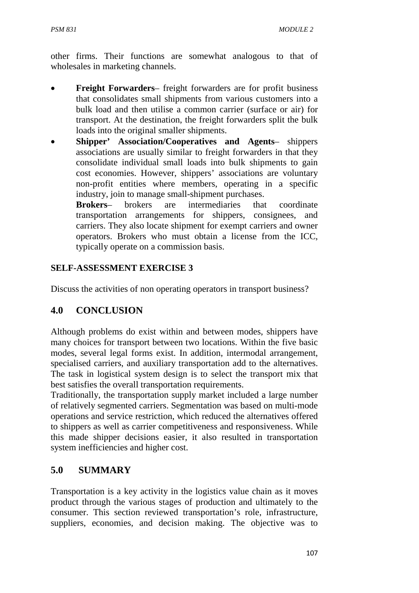other firms. Their functions are somewhat analogous to that of wholesales in marketing channels.

- **Freight Forwarders** freight forwarders are for profit business that consolidates small shipments from various customers into a bulk load and then utilise a common carrier (surface or air) for transport. At the destination, the freight forwarders split the bulk loads into the original smaller shipments.
- **Shipper' Association/Cooperatives and Agents** shippers associations are usually similar to freight forwarders in that they consolidate individual small loads into bulk shipments to gain cost economies. However, shippers' associations are voluntary non-profit entities where members, operating in a specific industry, join to manage small-shipment purchases.

**Brokers**– brokers are intermediaries that coordinate transportation arrangements for shippers, consignees, and carriers. They also locate shipment for exempt carriers and owner operators. Brokers who must obtain a license from the ICC, typically operate on a commission basis.

## **SELF-ASSESSMENT EXERCISE 3**

Discuss the activities of non operating operators in transport business?

## **4.0 CONCLUSION**

Although problems do exist within and between modes, shippers have many choices for transport between two locations. Within the five basic modes, several legal forms exist. In addition, intermodal arrangement, specialised carriers, and auxiliary transportation add to the alternatives. The task in logistical system design is to select the transport mix that best satisfies the overall transportation requirements.

Traditionally, the transportation supply market included a large number of relatively segmented carriers. Segmentation was based on multi-mode operations and service restriction, which reduced the alternatives offered to shippers as well as carrier competitiveness and responsiveness. While this made shipper decisions easier, it also resulted in transportation system inefficiencies and higher cost.

## **5.0 SUMMARY**

Transportation is a key activity in the logistics value chain as it moves product through the various stages of production and ultimately to the consumer. This section reviewed transportation's role, infrastructure, suppliers, economies, and decision making. The objective was to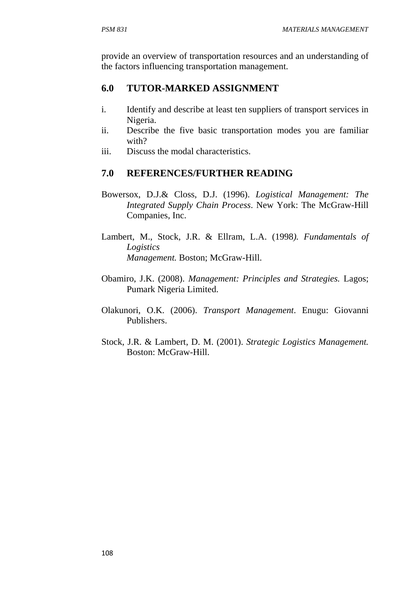provide an overview of transportation resources and an understanding of the factors influencing transportation management.

# **6.0 TUTOR-MARKED ASSIGNMENT**

- i. Identify and describe at least ten suppliers of transport services in Nigeria.
- ii. Describe the five basic transportation modes you are familiar with?
- iii. Discuss the modal characteristics.

# **7.0 REFERENCES/FURTHER READING**

- Bowersox, D.J.& Closs, D.J. (1996). *Logistical Management: The Integrated Supply Chain Process*. New York: The McGraw-Hill Companies, Inc.
- Lambert, M., Stock, J.R. & Ellram, L.A. (1998*). Fundamentals of Logistics Management.* Boston; McGraw-Hill.
- Obamiro, J.K. (2008). *Management: Principles and Strategies.* Lagos; Pumark Nigeria Limited.
- Olakunori, O.K. (2006). *Transport Management*. Enugu: Giovanni Publishers.
- Stock, J.R. & Lambert, D. M. (2001). *Strategic Logistics Management.* Boston: McGraw-Hill.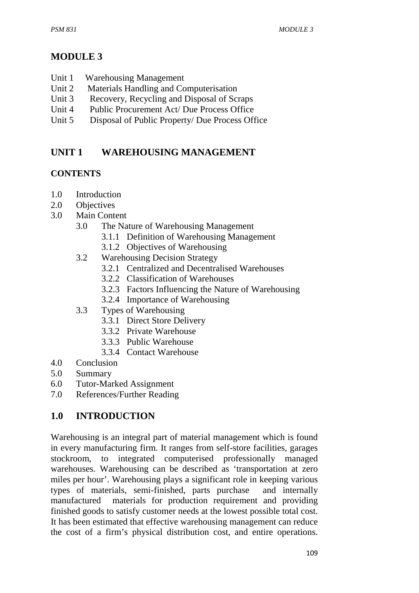# **MODULE 3**

- Unit 1 Warehousing Management
- Unit 2 Materials Handling and Computerisation
- Unit 3 Recovery, Recycling and Disposal of Scraps
- Unit 4 Public Procurement Act/ Due Process Office
- Unit 5 Disposal of Public Property/ Due Process Office

# **UNIT 1 WAREHOUSING MANAGEMENT**

## **CONTENTS**

- 1.0 Introduction
- 2.0 Objectives
- 3.0 Main Content
	- 3.0 The Nature of Warehousing Management
		- 3.1.1 Definition of Warehousing Management
		- 3.1.2 Objectives of Warehousing
	- 3.2 Warehousing Decision Strategy
		- 3.2.1 Centralized and Decentralised Warehouses
		- 3.2.2 Classification of Warehouses
		- 3.2.3 Factors Influencing the Nature of Warehousing
		- 3.2.4 Importance of Warehousing
	- 3.3 Types of Warehousing
		- 3.3.1 Direct Store Delivery
		- 3.3.2 Private Warehouse
		- 3.3.3 Public Warehouse
		- 3.3.4 Contact Warehouse
- 4.0 Conclusion
- 5.0 Summary
- 6.0 Tutor-Marked Assignment
- 7.0 References/Further Reading

## **1.0 INTRODUCTION**

Warehousing is an integral part of material management which is found in every manufacturing firm. It ranges from self-store facilities, garages stockroom, to integrated computerised professionally managed warehouses. Warehousing can be described as 'transportation at zero miles per hour'. Warehousing plays a significant role in keeping various types of materials, semi-finished, parts purchase and internally manufactured materials for production requirement and providing finished goods to satisfy customer needs at the lowest possible total cost. It has been estimated that effective warehousing management can reduce the cost of a firm's physical distribution cost, and entire operations.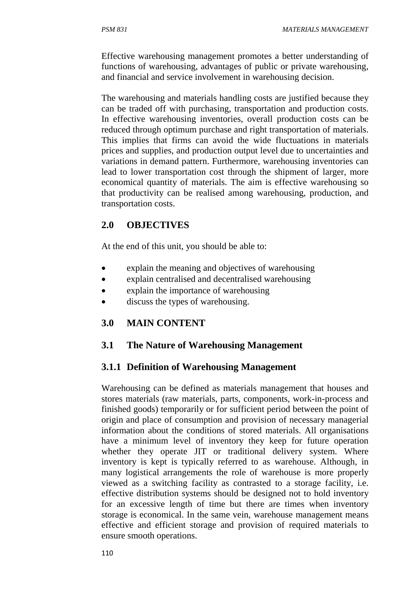Effective warehousing management promotes a better understanding of functions of warehousing, advantages of public or private warehousing, and financial and service involvement in warehousing decision.

The warehousing and materials handling costs are justified because they can be traded off with purchasing, transportation and production costs. In effective warehousing inventories, overall production costs can be reduced through optimum purchase and right transportation of materials. This implies that firms can avoid the wide fluctuations in materials prices and supplies, and production output level due to uncertainties and variations in demand pattern. Furthermore, warehousing inventories can lead to lower transportation cost through the shipment of larger, more economical quantity of materials. The aim is effective warehousing so that productivity can be realised among warehousing, production, and transportation costs.

## **2.0 OBJECTIVES**

At the end of this unit, you should be able to:

- explain the meaning and objectives of warehousing
- explain centralised and decentralised warehousing
- explain the importance of warehousing
- discuss the types of warehousing.

## **3.0 MAIN CONTENT**

### **3.1 The Nature of Warehousing Management**

### **3.1.1 Definition of Warehousing Management**

Warehousing can be defined as materials management that houses and stores materials (raw materials, parts, components, work-in-process and finished goods) temporarily or for sufficient period between the point of origin and place of consumption and provision of necessary managerial information about the conditions of stored materials. All organisations have a minimum level of inventory they keep for future operation whether they operate JIT or traditional delivery system. Where inventory is kept is typically referred to as warehouse. Although, in many logistical arrangements the role of warehouse is more properly viewed as a switching facility as contrasted to a storage facility, i.e. effective distribution systems should be designed not to hold inventory for an excessive length of time but there are times when inventory storage is economical. In the same vein, warehouse management means effective and efficient storage and provision of required materials to ensure smooth operations.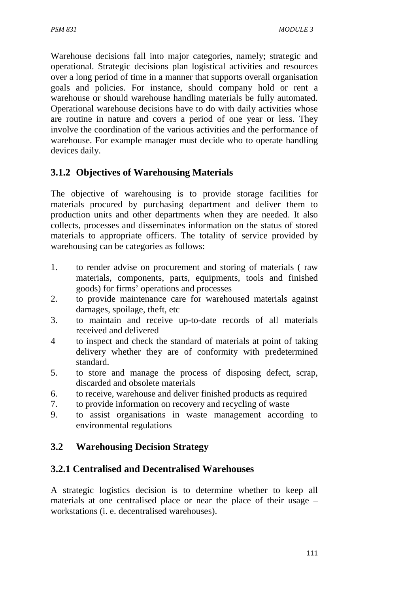Warehouse decisions fall into major categories, namely; strategic and operational. Strategic decisions plan logistical activities and resources over a long period of time in a manner that supports overall organisation goals and policies. For instance, should company hold or rent a warehouse or should warehouse handling materials be fully automated. Operational warehouse decisions have to do with daily activities whose are routine in nature and covers a period of one year or less. They involve the coordination of the various activities and the performance of warehouse. For example manager must decide who to operate handling devices daily.

# **3.1.2 Objectives of Warehousing Materials**

The objective of warehousing is to provide storage facilities for materials procured by purchasing department and deliver them to production units and other departments when they are needed. It also collects, processes and disseminates information on the status of stored materials to appropriate officers. The totality of service provided by warehousing can be categories as follows:

- 1. to render advise on procurement and storing of materials ( raw materials, components, parts, equipments, tools and finished goods) for firms' operations and processes
- 2. to provide maintenance care for warehoused materials against damages, spoilage, theft, etc
- 3. to maintain and receive up-to-date records of all materials received and delivered
- 4 to inspect and check the standard of materials at point of taking delivery whether they are of conformity with predetermined standard.
- 5. to store and manage the process of disposing defect, scrap, discarded and obsolete materials
- 6. to receive, warehouse and deliver finished products as required
- 7. to provide information on recovery and recycling of waste
- 9. to assist organisations in waste management according to environmental regulations

## **3.2 Warehousing Decision Strategy**

## **3.2.1 Centralised and Decentralised Warehouses**

A strategic logistics decision is to determine whether to keep all materials at one centralised place or near the place of their usage – workstations (i. e. decentralised warehouses).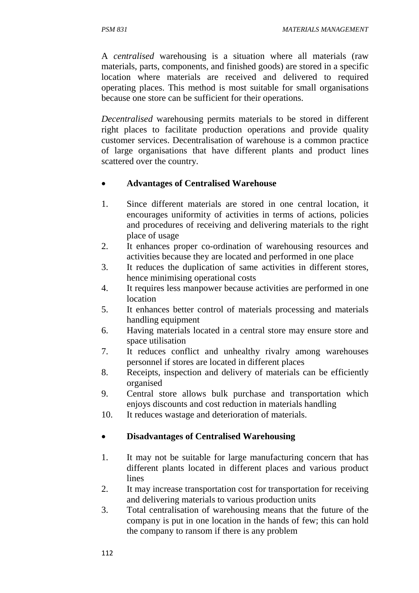A *centralised* warehousing is a situation where all materials (raw materials, parts, components, and finished goods) are stored in a specific location where materials are received and delivered to required operating places. This method is most suitable for small organisations because one store can be sufficient for their operations.

*Decentralised* warehousing permits materials to be stored in different right places to facilitate production operations and provide quality customer services. Decentralisation of warehouse is a common practice of large organisations that have different plants and product lines scattered over the country.

#### • **Advantages of Centralised Warehouse**

- 1. Since different materials are stored in one central location, it encourages uniformity of activities in terms of actions, policies and procedures of receiving and delivering materials to the right place of usage
- 2. It enhances proper co-ordination of warehousing resources and activities because they are located and performed in one place
- 3. It reduces the duplication of same activities in different stores, hence minimising operational costs
- 4. It requires less manpower because activities are performed in one location
- 5. It enhances better control of materials processing and materials handling equipment
- 6. Having materials located in a central store may ensure store and space utilisation
- 7. It reduces conflict and unhealthy rivalry among warehouses personnel if stores are located in different places
- 8. Receipts, inspection and delivery of materials can be efficiently organised
- 9. Central store allows bulk purchase and transportation which enjoys discounts and cost reduction in materials handling
- 10. It reduces wastage and deterioration of materials.

### • **Disadvantages of Centralised Warehousing**

- 1. It may not be suitable for large manufacturing concern that has different plants located in different places and various product lines
- 2. It may increase transportation cost for transportation for receiving and delivering materials to various production units
- 3. Total centralisation of warehousing means that the future of the company is put in one location in the hands of few; this can hold the company to ransom if there is any problem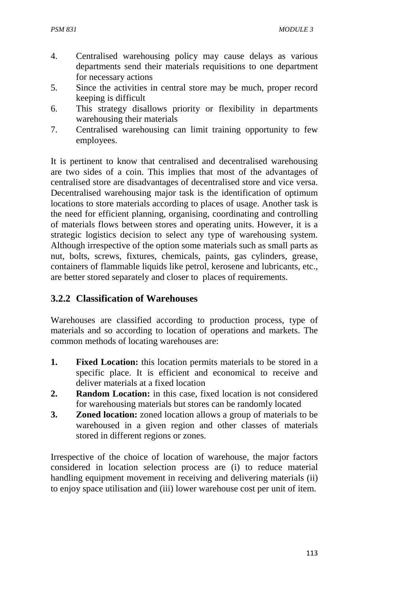- 4. Centralised warehousing policy may cause delays as various departments send their materials requisitions to one department for necessary actions
- 5. Since the activities in central store may be much, proper record keeping is difficult
- 6. This strategy disallows priority or flexibility in departments warehousing their materials
- 7. Centralised warehousing can limit training opportunity to few employees.

It is pertinent to know that centralised and decentralised warehousing are two sides of a coin. This implies that most of the advantages of centralised store are disadvantages of decentralised store and vice versa. Decentralised warehousing major task is the identification of optimum locations to store materials according to places of usage. Another task is the need for efficient planning, organising, coordinating and controlling of materials flows between stores and operating units. However, it is a strategic logistics decision to select any type of warehousing system. Although irrespective of the option some materials such as small parts as nut, bolts, screws, fixtures, chemicals, paints, gas cylinders, grease, containers of flammable liquids like petrol, kerosene and lubricants, etc., are better stored separately and closer to places of requirements.

## **3.2.2 Classification of Warehouses**

Warehouses are classified according to production process, type of materials and so according to location of operations and markets. The common methods of locating warehouses are:

- **1.** Fixed Location: this location permits materials to be stored in a specific place. It is efficient and economical to receive and deliver materials at a fixed location
- **2. Random Location:** in this case, fixed location is not considered for warehousing materials but stores can be randomly located
- **3. Zoned location:** zoned location allows a group of materials to be warehoused in a given region and other classes of materials stored in different regions or zones.

Irrespective of the choice of location of warehouse, the major factors considered in location selection process are (i) to reduce material handling equipment movement in receiving and delivering materials (ii) to enjoy space utilisation and (iii) lower warehouse cost per unit of item.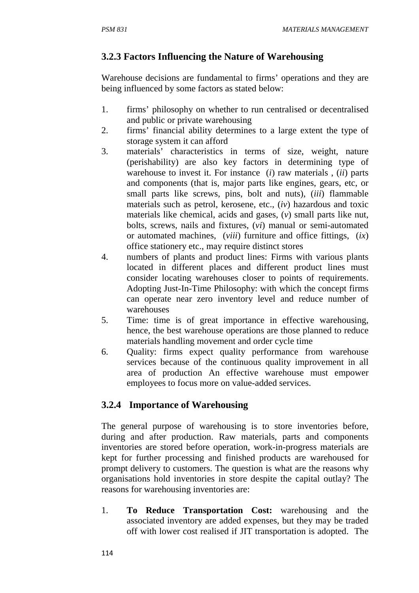# **3.2.3 Factors Influencing the Nature of Warehousing**

Warehouse decisions are fundamental to firms' operations and they are being influenced by some factors as stated below:

- 1. firms' philosophy on whether to run centralised or decentralised and public or private warehousing
- 2. firms' financial ability determines to a large extent the type of storage system it can afford
- 3. materials' characteristics in terms of size, weight, nature (perishability) are also key factors in determining type of warehouse to invest it. For instance (*i*) raw materials , (*ii*) parts and components (that is, major parts like engines, gears, etc, or small parts like screws, pins, bolt and nuts), (*iii*) flammable materials such as petrol, kerosene, etc., (*iv*) hazardous and toxic materials like chemical, acids and gases, (*v*) small parts like nut, bolts, screws, nails and fixtures, (*vi*) manual or semi-automated or automated machines, (*viii*) furniture and office fittings, (*ix*) office stationery etc., may require distinct stores
- 4. numbers of plants and product lines: Firms with various plants located in different places and different product lines must consider locating warehouses closer to points of requirements. Adopting Just-In-Time Philosophy: with which the concept firms can operate near zero inventory level and reduce number of warehouses
- 5. Time: time is of great importance in effective warehousing, hence, the best warehouse operations are those planned to reduce materials handling movement and order cycle time
- 6. Quality: firms expect quality performance from warehouse services because of the continuous quality improvement in all area of production An effective warehouse must empower employees to focus more on value-added services.

## **3.2.4 Importance of Warehousing**

The general purpose of warehousing is to store inventories before, during and after production. Raw materials, parts and components inventories are stored before operation, work-in-progress materials are kept for further processing and finished products are warehoused for prompt delivery to customers. The question is what are the reasons why organisations hold inventories in store despite the capital outlay? The reasons for warehousing inventories are:

1. **To Reduce Transportation Cost:** warehousing and the associated inventory are added expenses, but they may be traded off with lower cost realised if JIT transportation is adopted. The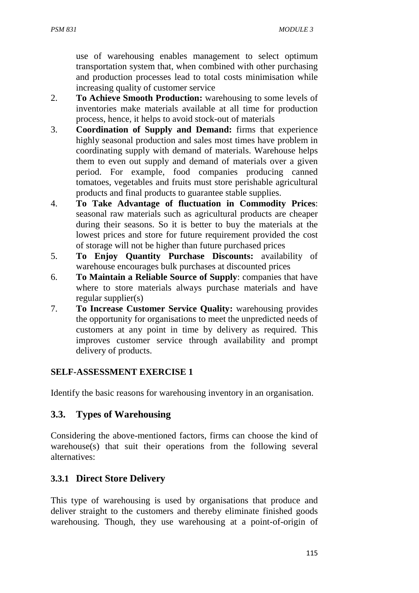use of warehousing enables management to select optimum transportation system that, when combined with other purchasing and production processes lead to total costs minimisation while increasing quality of customer service

- 2. **To Achieve Smooth Production:** warehousing to some levels of inventories make materials available at all time for production process, hence, it helps to avoid stock-out of materials
- 3. **Coordination of Supply and Demand:** firms that experience highly seasonal production and sales most times have problem in coordinating supply with demand of materials. Warehouse helps them to even out supply and demand of materials over a given period. For example, food companies producing canned tomatoes, vegetables and fruits must store perishable agricultural products and final products to guarantee stable supplies.
- 4. **To Take Advantage of fluctuation in Commodity Prices**: seasonal raw materials such as agricultural products are cheaper during their seasons. So it is better to buy the materials at the lowest prices and store for future requirement provided the cost of storage will not be higher than future purchased prices
- 5. **To Enjoy Quantity Purchase Discounts:** availability of warehouse encourages bulk purchases at discounted prices
- 6. **To Maintain a Reliable Source of Supply**: companies that have where to store materials always purchase materials and have regular supplier(s)
- 7. **To Increase Customer Service Quality:** warehousing provides the opportunity for organisations to meet the unpredicted needs of customers at any point in time by delivery as required. This improves customer service through availability and prompt delivery of products.

### **SELF-ASSESSMENT EXERCISE 1**

Identify the basic reasons for warehousing inventory in an organisation.

### **3.3. Types of Warehousing**

Considering the above-mentioned factors, firms can choose the kind of warehouse(s) that suit their operations from the following several alternatives:

### **3.3.1 Direct Store Delivery**

This type of warehousing is used by organisations that produce and deliver straight to the customers and thereby eliminate finished goods warehousing. Though, they use warehousing at a point-of-origin of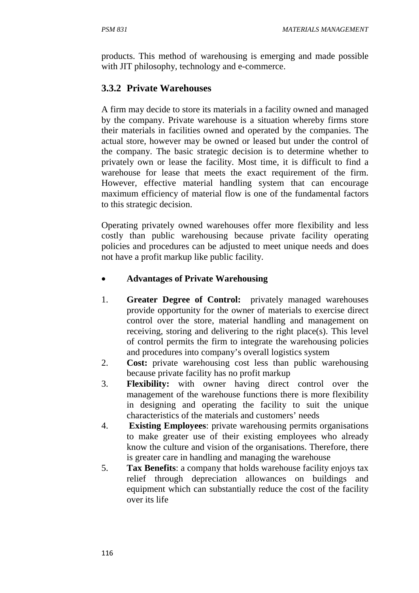products. This method of warehousing is emerging and made possible with JIT philosophy, technology and e-commerce.

## **3.3.2 Private Warehouses**

A firm may decide to store its materials in a facility owned and managed by the company. Private warehouse is a situation whereby firms store their materials in facilities owned and operated by the companies. The actual store, however may be owned or leased but under the control of the company. The basic strategic decision is to determine whether to privately own or lease the facility. Most time, it is difficult to find a warehouse for lease that meets the exact requirement of the firm. However, effective material handling system that can encourage maximum efficiency of material flow is one of the fundamental factors to this strategic decision.

Operating privately owned warehouses offer more flexibility and less costly than public warehousing because private facility operating policies and procedures can be adjusted to meet unique needs and does not have a profit markup like public facility.

### • **Advantages of Private Warehousing**

- 1. **Greater Degree of Control:** privately managed warehouses provide opportunity for the owner of materials to exercise direct control over the store, material handling and management on receiving, storing and delivering to the right place(s). This level of control permits the firm to integrate the warehousing policies and procedures into company's overall logistics system
- 2. **Cost:** private warehousing cost less than public warehousing because private facility has no profit markup
- 3. **Flexibility:** with owner having direct control over the management of the warehouse functions there is more flexibility in designing and operating the facility to suit the unique characteristics of the materials and customers' needs
- 4. **Existing Employees**: private warehousing permits organisations to make greater use of their existing employees who already know the culture and vision of the organisations. Therefore, there is greater care in handling and managing the warehouse
- 5. **Tax Benefits**: a company that holds warehouse facility enjoys tax relief through depreciation allowances on buildings and equipment which can substantially reduce the cost of the facility over its life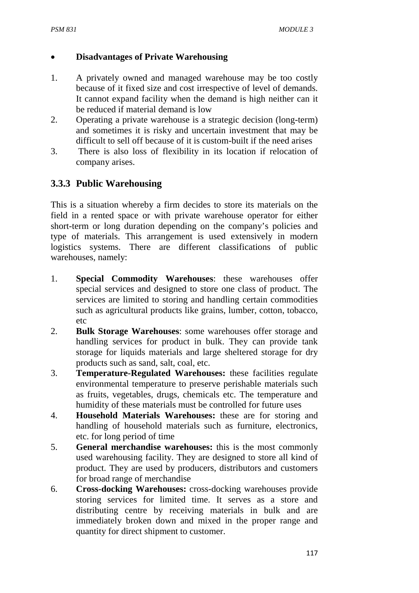### • **Disadvantages of Private Warehousing**

- 1. A privately owned and managed warehouse may be too costly because of it fixed size and cost irrespective of level of demands. It cannot expand facility when the demand is high neither can it be reduced if material demand is low
- 2. Operating a private warehouse is a strategic decision (long-term) and sometimes it is risky and uncertain investment that may be difficult to sell off because of it is custom-built if the need arises
- 3. There is also loss of flexibility in its location if relocation of company arises.

## **3.3.3 Public Warehousing**

This is a situation whereby a firm decides to store its materials on the field in a rented space or with private warehouse operator for either short-term or long duration depending on the company's policies and type of materials. This arrangement is used extensively in modern logistics systems. There are different classifications of public warehouses, namely:

- 1. **Special Commodity Warehouses**: these warehouses offer special services and designed to store one class of product. The services are limited to storing and handling certain commodities such as agricultural products like grains, lumber, cotton, tobacco, etc
- 2. **Bulk Storage Warehouses**: some warehouses offer storage and handling services for product in bulk. They can provide tank storage for liquids materials and large sheltered storage for dry products such as sand, salt, coal, etc.
- 3. **Temperature-Regulated Warehouses:** these facilities regulate environmental temperature to preserve perishable materials such as fruits, vegetables, drugs, chemicals etc. The temperature and humidity of these materials must be controlled for future uses
- 4. **Household Materials Warehouses:** these are for storing and handling of household materials such as furniture, electronics, etc. for long period of time
- 5. **General merchandise warehouses:** this is the most commonly used warehousing facility. They are designed to store all kind of product. They are used by producers, distributors and customers for broad range of merchandise
- 6. **Cross-docking Warehouses:** cross-docking warehouses provide storing services for limited time. It serves as a store and distributing centre by receiving materials in bulk and are immediately broken down and mixed in the proper range and quantity for direct shipment to customer.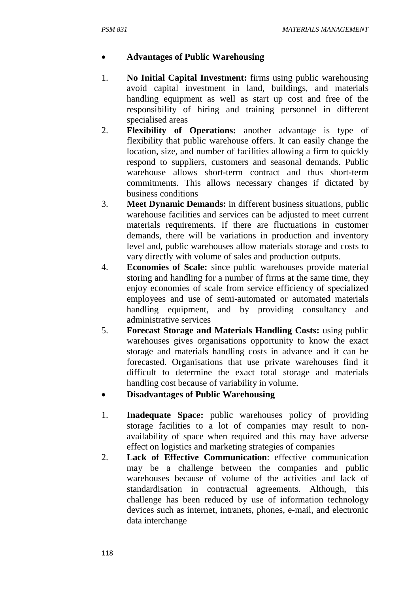#### • **Advantages of Public Warehousing**

- 1. **No Initial Capital Investment:** firms using public warehousing avoid capital investment in land, buildings, and materials handling equipment as well as start up cost and free of the responsibility of hiring and training personnel in different specialised areas
- 2. **Flexibility of Operations:** another advantage is type of flexibility that public warehouse offers. It can easily change the location, size, and number of facilities allowing a firm to quickly respond to suppliers, customers and seasonal demands. Public warehouse allows short-term contract and thus short-term commitments. This allows necessary changes if dictated by business conditions
- 3. **Meet Dynamic Demands:** in different business situations, public warehouse facilities and services can be adjusted to meet current materials requirements. If there are fluctuations in customer demands, there will be variations in production and inventory level and, public warehouses allow materials storage and costs to vary directly with volume of sales and production outputs.
- 4. **Economies of Scale:** since public warehouses provide material storing and handling for a number of firms at the same time, they enjoy economies of scale from service efficiency of specialized employees and use of semi-automated or automated materials handling equipment, and by providing consultancy and administrative services
- 5. **Forecast Storage and Materials Handling Costs:** using public warehouses gives organisations opportunity to know the exact storage and materials handling costs in advance and it can be forecasted. Organisations that use private warehouses find it difficult to determine the exact total storage and materials handling cost because of variability in volume.
- **Disadvantages of Public Warehousing**
- 1. **Inadequate Space:** public warehouses policy of providing storage facilities to a lot of companies may result to nonavailability of space when required and this may have adverse effect on logistics and marketing strategies of companies
- 2. **Lack of Effective Communication**: effective communication may be a challenge between the companies and public warehouses because of volume of the activities and lack of standardisation in contractual agreements. Although, this challenge has been reduced by use of information technology devices such as internet, intranets, phones, e-mail, and electronic data interchange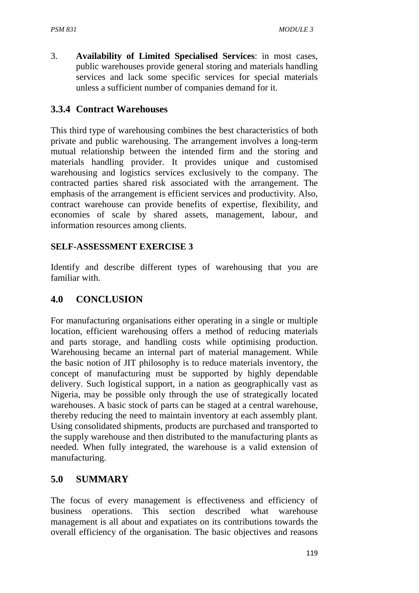3. **Availability of Limited Specialised Services**: in most cases, public warehouses provide general storing and materials handling services and lack some specific services for special materials unless a sufficient number of companies demand for it.

### **3.3.4 Contract Warehouses**

This third type of warehousing combines the best characteristics of both private and public warehousing. The arrangement involves a long-term mutual relationship between the intended firm and the storing and materials handling provider. It provides unique and customised warehousing and logistics services exclusively to the company. The contracted parties shared risk associated with the arrangement. The emphasis of the arrangement is efficient services and productivity. Also, contract warehouse can provide benefits of expertise, flexibility, and economies of scale by shared assets, management, labour, and information resources among clients.

#### **SELF-ASSESSMENT EXERCISE 3**

Identify and describe different types of warehousing that you are familiar with.

#### **4.0 CONCLUSION**

For manufacturing organisations either operating in a single or multiple location, efficient warehousing offers a method of reducing materials and parts storage, and handling costs while optimising production. Warehousing became an internal part of material management. While the basic notion of JIT philosophy is to reduce materials inventory, the concept of manufacturing must be supported by highly dependable delivery. Such logistical support, in a nation as geographically vast as Nigeria, may be possible only through the use of strategically located warehouses. A basic stock of parts can be staged at a central warehouse, thereby reducing the need to maintain inventory at each assembly plant. Using consolidated shipments, products are purchased and transported to the supply warehouse and then distributed to the manufacturing plants as needed. When fully integrated, the warehouse is a valid extension of manufacturing.

#### **5.0 SUMMARY**

The focus of every management is effectiveness and efficiency of business operations. This section described what warehouse management is all about and expatiates on its contributions towards the overall efficiency of the organisation. The basic objectives and reasons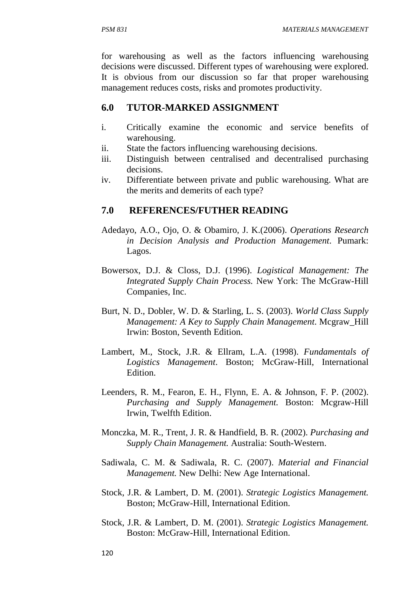for warehousing as well as the factors influencing warehousing decisions were discussed. Different types of warehousing were explored. It is obvious from our discussion so far that proper warehousing management reduces costs, risks and promotes productivity.

## **6.0 TUTOR-MARKED ASSIGNMENT**

- i. Critically examine the economic and service benefits of warehousing.
- ii. State the factors influencing warehousing decisions.
- iii. Distinguish between centralised and decentralised purchasing decisions.
- iv. Differentiate between private and public warehousing. What are the merits and demerits of each type?

### **7.0 REFERENCES/FUTHER READING**

- Adedayo, A.O., Ojo, O. & Obamiro, J. K.(2006). *Operations Research in Decision Analysis and Production Management*. Pumark: Lagos.
- Bowersox, D.J. & Closs, D.J. (1996). *Logistical Management: The Integrated Supply Chain Process.* New York: The McGraw-Hill Companies, Inc.
- Burt, N. D., Dobler, W. D. & Starling, L. S. (2003). *World Class Supply Management: A Key to Supply Chain Management*. Mcgraw\_Hill Irwin: Boston, Seventh Edition.
- Lambert, M., Stock, J.R. & Ellram, L.A. (1998). *Fundamentals of Logistics Management*. Boston; McGraw-Hill, International Edition.
- Leenders, R. M., Fearon, E. H., Flynn, E. A. & Johnson, F. P. (2002). *Purchasing and Supply Management.* Boston: Mcgraw-Hill Irwin, Twelfth Edition.
- Monczka, M. R., Trent, J. R. & Handfield, B. R. (2002). *Purchasing and Supply Chain Management.* Australia: South-Western.
- Sadiwala, C. M. & Sadiwala, R. C. (2007). *Material and Financial Management.* New Delhi: New Age International.
- Stock, J.R. & Lambert, D. M. (2001). *Strategic Logistics Management.* Boston; McGraw-Hill, International Edition.
- Stock, J.R. & Lambert, D. M. (2001). *Strategic Logistics Management.* Boston: McGraw-Hill, International Edition.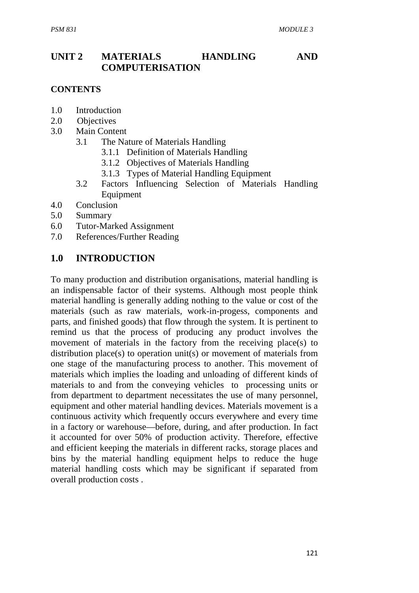## **UNIT 2 MATERIALS HANDLING AND COMPUTERISATION**

#### **CONTENTS**

- 1.0 Introduction
- 2.0 Objectives
- 3.0 Main Content
	- 3.1 The Nature of Materials Handling
		- 3.1.1 Definition of Materials Handling
		- 3.1.2 Objectives of Materials Handling
		- 3.1.3 Types of Material Handling Equipment
	- 3.2 Factors Influencing Selection of Materials Handling Equipment
- 4.0 Conclusion
- 5.0 Summary
- 6.0 Tutor-Marked Assignment
- 7.0 References/Further Reading

### **1.0 INTRODUCTION**

To many production and distribution organisations, material handling is an indispensable factor of their systems. Although most people think material handling is generally adding nothing to the value or cost of the materials (such as raw materials, work-in-progess, components and parts, and finished goods) that flow through the system. It is pertinent to remind us that the process of producing any product involves the movement of materials in the factory from the receiving place(s) to distribution place(s) to operation unit(s) or movement of materials from one stage of the manufacturing process to another. This movement of materials which implies the loading and unloading of different kinds of materials to and from the conveying vehicles to processing units or from department to department necessitates the use of many personnel, equipment and other material handling devices. Materials movement is a continuous activity which frequently occurs everywhere and every time in a factory or warehouse—before, during, and after production. In fact it accounted for over 50% of production activity. Therefore, effective and efficient keeping the materials in different racks, storage places and bins by the material handling equipment helps to reduce the huge material handling costs which may be significant if separated from overall production costs .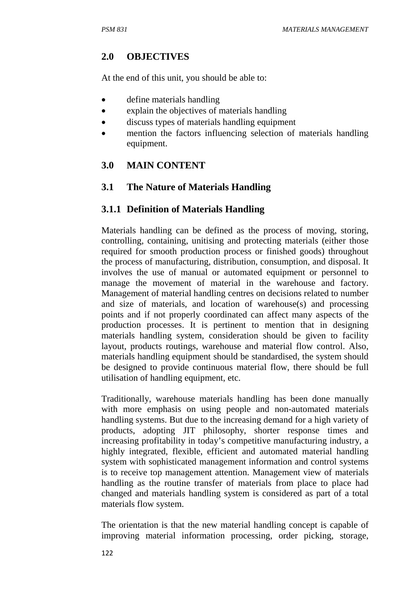### **2.0 OBJECTIVES**

At the end of this unit, you should be able to:

- define materials handling
- explain the objectives of materials handling
- discuss types of materials handling equipment
- mention the factors influencing selection of materials handling equipment.

## **3.0 MAIN CONTENT**

### **3.1 The Nature of Materials Handling**

### **3.1.1 Definition of Materials Handling**

Materials handling can be defined as the process of moving, storing, controlling, containing, unitising and protecting materials (either those required for smooth production process or finished goods) throughout the process of manufacturing, distribution, consumption, and disposal. It involves the use of manual or automated equipment or personnel to manage the movement of material in the warehouse and factory. Management of material handling centres on decisions related to number and size of materials, and location of warehouse(s) and processing points and if not properly coordinated can affect many aspects of the production processes. It is pertinent to mention that in designing materials handling system, consideration should be given to facility layout, products routings, warehouse and material flow control. Also, materials handling equipment should be standardised, the system should be designed to provide continuous material flow, there should be full utilisation of handling equipment, etc.

Traditionally, warehouse materials handling has been done manually with more emphasis on using people and non-automated materials handling systems. But due to the increasing demand for a high variety of products, adopting JIT philosophy, shorter response times and increasing profitability in today's competitive manufacturing industry, a highly integrated, flexible, efficient and automated material handling system with sophisticated management information and control systems is to receive top management attention. Management view of materials handling as the routine transfer of materials from place to place had changed and materials handling system is considered as part of a total materials flow system.

The orientation is that the new material handling concept is capable of improving material information processing, order picking, storage,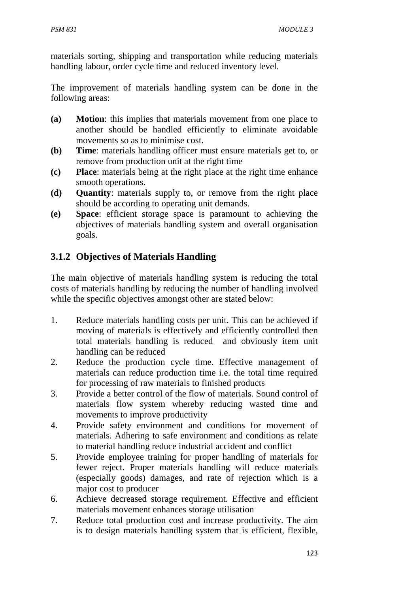materials sorting, shipping and transportation while reducing materials handling labour, order cycle time and reduced inventory level.

The improvement of materials handling system can be done in the following areas:

- **(a) Motion**: this implies that materials movement from one place to another should be handled efficiently to eliminate avoidable movements so as to minimise cost.
- **(b) Time**: materials handling officer must ensure materials get to, or remove from production unit at the right time
- **(c) Place**: materials being at the right place at the right time enhance smooth operations.
- **(d) Quantity**: materials supply to, or remove from the right place should be according to operating unit demands.
- **(e) Space**: efficient storage space is paramount to achieving the objectives of materials handling system and overall organisation goals.

# **3.1.2 Objectives of Materials Handling**

The main objective of materials handling system is reducing the total costs of materials handling by reducing the number of handling involved while the specific objectives amongst other are stated below:

- 1. Reduce materials handling costs per unit. This can be achieved if moving of materials is effectively and efficiently controlled then total materials handling is reduced and obviously item unit handling can be reduced
- 2. Reduce the production cycle time. Effective management of materials can reduce production time i.e. the total time required for processing of raw materials to finished products
- 3. Provide a better control of the flow of materials. Sound control of materials flow system whereby reducing wasted time and movements to improve productivity
- 4. Provide safety environment and conditions for movement of materials. Adhering to safe environment and conditions as relate to material handling reduce industrial accident and conflict
- 5. Provide employee training for proper handling of materials for fewer reject. Proper materials handling will reduce materials (especially goods) damages, and rate of rejection which is a major cost to producer
- 6. Achieve decreased storage requirement. Effective and efficient materials movement enhances storage utilisation
- 7. Reduce total production cost and increase productivity. The aim is to design materials handling system that is efficient, flexible,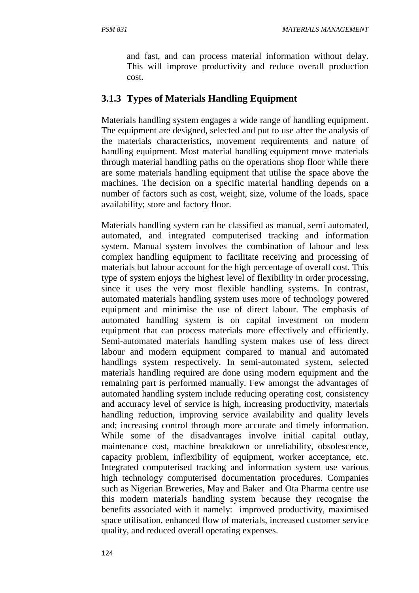and fast, and can process material information without delay. This will improve productivity and reduce overall production cost.

#### **3.1.3 Types of Materials Handling Equipment**

Materials handling system engages a wide range of handling equipment. The equipment are designed, selected and put to use after the analysis of the materials characteristics, movement requirements and nature of handling equipment. Most material handling equipment move materials through material handling paths on the operations shop floor while there are some materials handling equipment that utilise the space above the machines. The decision on a specific material handling depends on a number of factors such as cost, weight, size, volume of the loads, space availability; store and factory floor.

Materials handling system can be classified as manual, semi automated, automated, and integrated computerised tracking and information system. Manual system involves the combination of labour and less complex handling equipment to facilitate receiving and processing of materials but labour account for the high percentage of overall cost. This type of system enjoys the highest level of flexibility in order processing, since it uses the very most flexible handling systems. In contrast, automated materials handling system uses more of technology powered equipment and minimise the use of direct labour. The emphasis of automated handling system is on capital investment on modern equipment that can process materials more effectively and efficiently. Semi-automated materials handling system makes use of less direct labour and modern equipment compared to manual and automated handlings system respectively. In semi-automated system, selected materials handling required are done using modern equipment and the remaining part is performed manually. Few amongst the advantages of automated handling system include reducing operating cost, consistency and accuracy level of service is high, increasing productivity, materials handling reduction, improving service availability and quality levels and; increasing control through more accurate and timely information. While some of the disadvantages involve initial capital outlay, maintenance cost, machine breakdown or unreliability, obsolescence, capacity problem, inflexibility of equipment, worker acceptance, etc. Integrated computerised tracking and information system use various high technology computerised documentation procedures. Companies such as Nigerian Breweries, May and Baker and Ota Pharma centre use this modern materials handling system because they recognise the benefits associated with it namely: improved productivity, maximised space utilisation, enhanced flow of materials, increased customer service quality, and reduced overall operating expenses.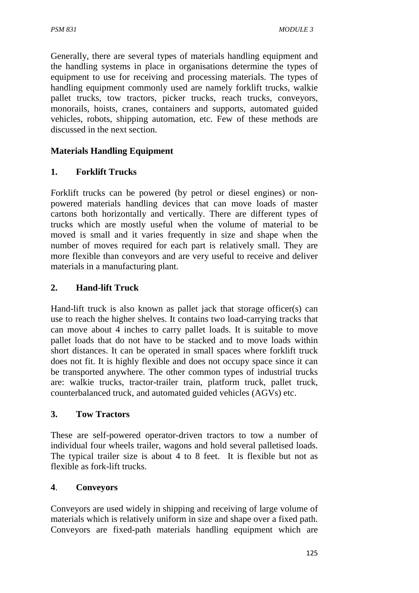Generally, there are several types of materials handling equipment and the handling systems in place in organisations determine the types of equipment to use for receiving and processing materials. The types of handling equipment commonly used are namely forklift trucks, walkie pallet trucks, tow tractors, picker trucks, reach trucks, conveyors, monorails, hoists, cranes, containers and supports, automated guided vehicles, robots, shipping automation, etc. Few of these methods are discussed in the next section.

## **Materials Handling Equipment**

### **1. Forklift Trucks**

Forklift trucks can be powered (by petrol or diesel engines) or nonpowered materials handling devices that can move loads of master cartons both horizontally and vertically. There are different types of trucks which are mostly useful when the volume of material to be moved is small and it varies frequently in size and shape when the number of moves required for each part is relatively small. They are more flexible than conveyors and are very useful to receive and deliver materials in a manufacturing plant.

### **2. Hand-lift Truck**

Hand-lift truck is also known as pallet jack that storage officer(s) can use to reach the higher shelves. It contains two load-carrying tracks that can move about 4 inches to carry pallet loads. It is suitable to move pallet loads that do not have to be stacked and to move loads within short distances. It can be operated in small spaces where forklift truck does not fit. It is highly flexible and does not occupy space since it can be transported anywhere. The other common types of industrial trucks are: walkie trucks, tractor-trailer train, platform truck, pallet truck, counterbalanced truck, and automated guided vehicles (AGVs) etc.

#### **3. Tow Tractors**

These are self-powered operator-driven tractors to tow a number of individual four wheels trailer, wagons and hold several palletised loads. The typical trailer size is about 4 to 8 feet. It is flexible but not as flexible as fork-lift trucks.

#### **4**. **Conveyors**

Conveyors are used widely in shipping and receiving of large volume of materials which is relatively uniform in size and shape over a fixed path. Conveyors are fixed-path materials handling equipment which are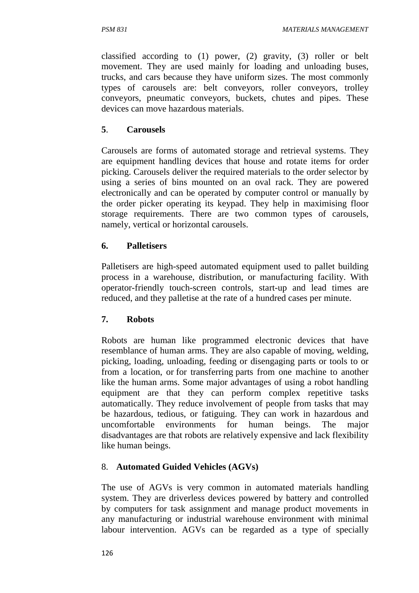classified according to (1) power, (2) gravity, (3) roller or belt movement. They are used mainly for loading and unloading buses, trucks, and cars because they have uniform sizes. The most commonly types of carousels are: belt conveyors, roller conveyors, trolley conveyors, pneumatic conveyors, buckets, chutes and pipes. These devices can move hazardous materials.

### **5**. **Carousels**

Carousels are forms of automated storage and retrieval systems. They are equipment handling devices that house and rotate items for order picking. Carousels deliver the required materials to the order selector by using a series of bins mounted on an oval rack. They are powered electronically and can be operated by computer control or manually by the order picker operating its keypad. They help in maximising floor storage requirements. There are two common types of carousels, namely, vertical or horizontal carousels.

#### **6. Palletisers**

Palletisers are high-speed automated equipment used to pallet building process in a warehouse, distribution, or manufacturing facility. With operator-friendly touch-screen controls, start-up and lead times are reduced, and they palletise at the rate of a hundred cases per minute.

#### **7. Robots**

Robots are human like programmed electronic devices that have resemblance of human arms. They are also capable of moving, welding, picking, loading, unloading, feeding or disengaging parts or tools to or from a location, or for transferring parts from one machine to another like the human arms. Some major advantages of using a robot handling equipment are that they can perform complex repetitive tasks automatically. They reduce involvement of people from tasks that may be hazardous, tedious, or fatiguing. They can work in hazardous and uncomfortable environments for human beings. The major disadvantages are that robots are relatively expensive and lack flexibility like human beings.

### 8. **Automated Guided Vehicles (AGVs)**

The use of AGVs is very common in automated materials handling system. They are driverless devices powered by battery and controlled by computers for task assignment and manage product movements in any manufacturing or industrial warehouse environment with minimal labour intervention. AGVs can be regarded as a type of specially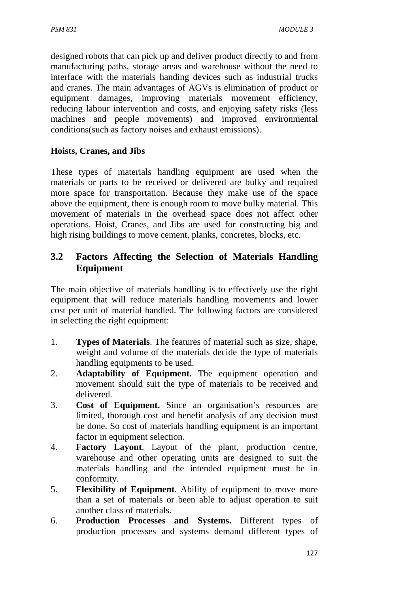designed robots that can pick up and deliver product directly to and from manufacturing paths, storage areas and warehouse without the need to interface with the materials handing devices such as industrial trucks and cranes. The main advantages of AGVs is elimination of product or equipment damages, improving materials movement efficiency, reducing labour intervention and costs, and enjoying safety risks (less machines and people movements) and improved environmental conditions(such as factory noises and exhaust emissions).

### **Hoists, Cranes, and Jibs**

These types of materials handling equipment are used when the materials or parts to be received or delivered are bulky and required more space for transportation. Because they make use of the space above the equipment, there is enough room to move bulky material. This movement of materials in the overhead space does not affect other operations. Hoist, Cranes, and Jibs are used for constructing big and high rising buildings to move cement, planks, concretes, blocks, etc.

## **3.2 Factors Affecting the Selection of Materials Handling Equipment**

The main objective of materials handling is to effectively use the right equipment that will reduce materials handling movements and lower cost per unit of material handled. The following factors are considered in selecting the right equipment:

- 1. **Types of Materials**. The features of material such as size, shape, weight and volume of the materials decide the type of materials handling equipments to be used.
- 2. **Adaptability of Equipment.** The equipment operation and movement should suit the type of materials to be received and delivered.
- 3. **Cost of Equipment.** Since an organisation's resources are limited, thorough cost and benefit analysis of any decision must be done. So cost of materials handling equipment is an important factor in equipment selection.
- 4. **Factory Layout**. Layout of the plant, production centre, warehouse and other operating units are designed to suit the materials handling and the intended equipment must be in conformity.
- 5. **Flexibility of Equipment**. Ability of equipment to move more than a set of materials or been able to adjust operation to suit another class of materials.
- 6. **Production Processes and Systems.** Different types of production processes and systems demand different types of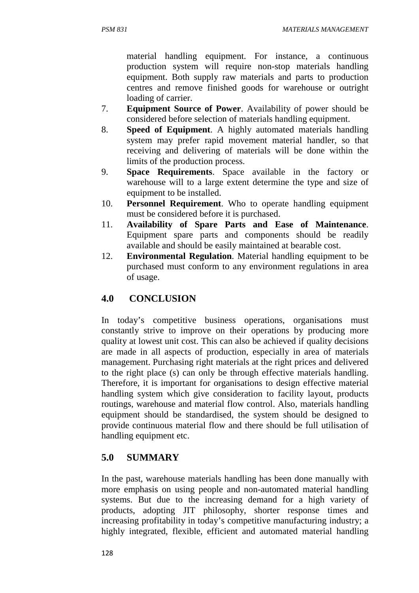material handling equipment. For instance, a continuous production system will require non-stop materials handling equipment. Both supply raw materials and parts to production centres and remove finished goods for warehouse or outright loading of carrier.

- 7. **Equipment Source of Power**. Availability of power should be considered before selection of materials handling equipment.
- 8. **Speed of Equipment**. A highly automated materials handling system may prefer rapid movement material handler, so that receiving and delivering of materials will be done within the limits of the production process.
- 9. **Space Requirements**. Space available in the factory or warehouse will to a large extent determine the type and size of equipment to be installed.
- 10. **Personnel Requirement**. Who to operate handling equipment must be considered before it is purchased.
- 11. **Availability of Spare Parts and Ease of Maintenance**. Equipment spare parts and components should be readily available and should be easily maintained at bearable cost.
- 12. **Environmental Regulation**. Material handling equipment to be purchased must conform to any environment regulations in area of usage.

## **4.0 CONCLUSION**

In today's competitive business operations, organisations must constantly strive to improve on their operations by producing more quality at lowest unit cost. This can also be achieved if quality decisions are made in all aspects of production, especially in area of materials management. Purchasing right materials at the right prices and delivered to the right place (s) can only be through effective materials handling. Therefore, it is important for organisations to design effective material handling system which give consideration to facility layout, products routings, warehouse and material flow control. Also, materials handling equipment should be standardised, the system should be designed to provide continuous material flow and there should be full utilisation of handling equipment etc.

## **5.0 SUMMARY**

In the past, warehouse materials handling has been done manually with more emphasis on using people and non-automated material handling systems. But due to the increasing demand for a high variety of products, adopting JIT philosophy, shorter response times and increasing profitability in today's competitive manufacturing industry; a highly integrated, flexible, efficient and automated material handling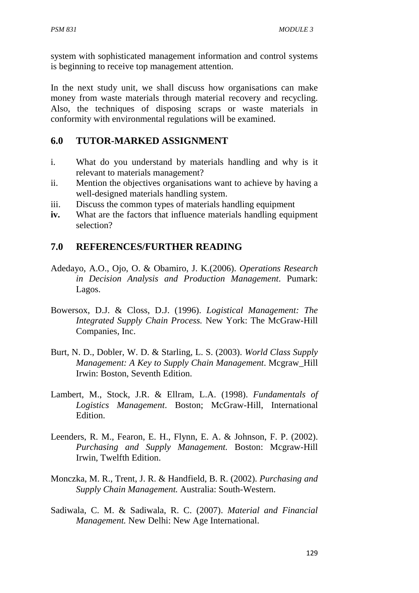system with sophisticated management information and control systems is beginning to receive top management attention.

In the next study unit, we shall discuss how organisations can make money from waste materials through material recovery and recycling. Also, the techniques of disposing scraps or waste materials in conformity with environmental regulations will be examined.

### **6.0 TUTOR-MARKED ASSIGNMENT**

- i. What do you understand by materials handling and why is it relevant to materials management?
- ii. Mention the objectives organisations want to achieve by having a well-designed materials handling system.
- iii. Discuss the common types of materials handling equipment
- **iv.** What are the factors that influence materials handling equipment selection?

### **7.0 REFERENCES/FURTHER READING**

- Adedayo, A.O., Ojo, O. & Obamiro, J. K.(2006). *Operations Research in Decision Analysis and Production Management*. Pumark: Lagos.
- Bowersox, D.J. & Closs, D.J. (1996). *Logistical Management: The Integrated Supply Chain Process.* New York: The McGraw-Hill Companies, Inc.
- Burt, N. D., Dobler, W. D. & Starling, L. S. (2003). *World Class Supply Management: A Key to Supply Chain Management*. Mcgraw\_Hill Irwin: Boston, Seventh Edition.
- Lambert, M., Stock, J.R. & Ellram, L.A. (1998). *Fundamentals of Logistics Management*. Boston; McGraw-Hill, International Edition.
- Leenders, R. M., Fearon, E. H., Flynn, E. A. & Johnson, F. P. (2002). *Purchasing and Supply Management.* Boston: Mcgraw-Hill Irwin, Twelfth Edition.
- Monczka, M. R., Trent, J. R. & Handfield, B. R. (2002). *Purchasing and Supply Chain Management.* Australia: South-Western.
- Sadiwala, C. M. & Sadiwala, R. C. (2007). *Material and Financial Management.* New Delhi: New Age International.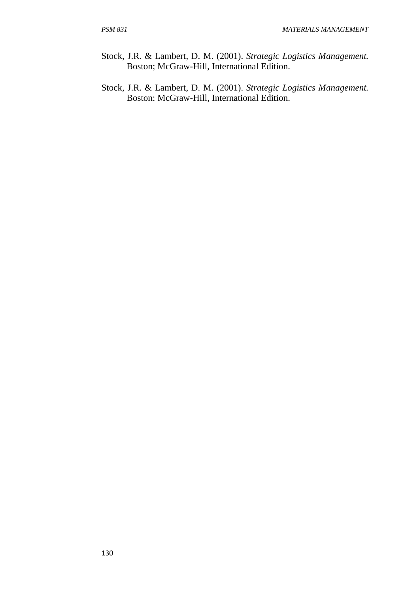- Stock, J.R. & Lambert, D. M. (2001). *Strategic Logistics Management.* Boston; McGraw-Hill, International Edition.
- Stock, J.R. & Lambert, D. M. (2001). *Strategic Logistics Management.* Boston: McGraw-Hill, International Edition.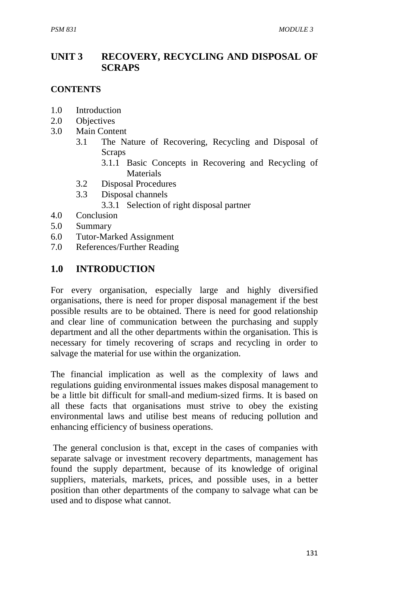## **UNIT 3 RECOVERY, RECYCLING AND DISPOSAL OF SCRAPS**

#### **CONTENTS**

- 1.0 Introduction
- 2.0 Objectives
- 3.0 Main Content
	- 3.1 The Nature of Recovering, Recycling and Disposal of **Scraps** 
		- 3.1.1 Basic Concepts in Recovering and Recycling of Materials
	- 3.2 Disposal Procedures
	- 3.3 Disposal channels
		- 3.3.1 Selection of right disposal partner
- 4.0 Conclusion
- 5.0 Summary
- 6.0 Tutor-Marked Assignment
- 7.0 References/Further Reading

### **1.0 INTRODUCTION**

For every organisation, especially large and highly diversified organisations, there is need for proper disposal management if the best possible results are to be obtained. There is need for good relationship and clear line of communication between the purchasing and supply department and all the other departments within the organisation. This is necessary for timely recovering of scraps and recycling in order to salvage the material for use within the organization.

The financial implication as well as the complexity of laws and regulations guiding environmental issues makes disposal management to be a little bit difficult for small-and medium-sized firms. It is based on all these facts that organisations must strive to obey the existing environmental laws and utilise best means of reducing pollution and enhancing efficiency of business operations.

 The general conclusion is that, except in the cases of companies with separate salvage or investment recovery departments, management has found the supply department, because of its knowledge of original suppliers, materials, markets, prices, and possible uses, in a better position than other departments of the company to salvage what can be used and to dispose what cannot.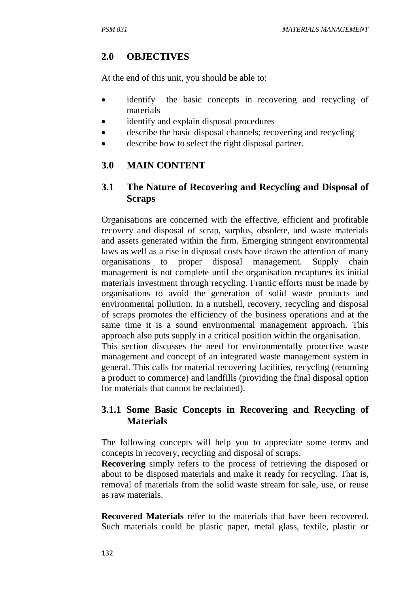# **2.0 OBJECTIVES**

At the end of this unit, you should be able to:

- identify the basic concepts in recovering and recycling of materials
- identify and explain disposal procedures
- describe the basic disposal channels; recovering and recycling
- describe how to select the right disposal partner.

# **3.0 MAIN CONTENT**

## **3.1 The Nature of Recovering and Recycling and Disposal of Scraps**

Organisations are concerned with the effective, efficient and profitable recovery and disposal of scrap, surplus, obsolete, and waste materials and assets generated within the firm. Emerging stringent environmental laws as well as a rise in disposal costs have drawn the attention of many organisations to proper disposal management. Supply chain management is not complete until the organisation recaptures its initial materials investment through recycling. Frantic efforts must be made by organisations to avoid the generation of solid waste products and environmental pollution. In a nutshell, recovery, recycling and disposal of scraps promotes the efficiency of the business operations and at the same time it is a sound environmental management approach. This approach also puts supply in a critical position within the organisation. This section discusses the need for environmentally protective waste

management and concept of an integrated waste management system in general. This calls for material recovering facilities, recycling (returning a product to commerce) and landfills (providing the final disposal option for materials that cannot be reclaimed).

# **3.1.1 Some Basic Concepts in Recovering and Recycling of Materials**

The following concepts will help you to appreciate some terms and concepts in recovery, recycling and disposal of scraps.

**Recovering** simply refers to the process of retrieving the disposed or about to be disposed materials and make it ready for recycling. That is, removal of materials from the solid waste stream for sale, use, or reuse as raw materials.

**Recovered Materials** refer to the materials that have been recovered. Such materials could be plastic paper, metal glass, textile, plastic or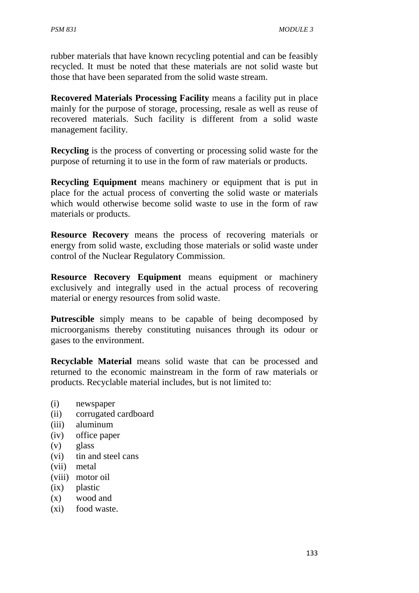rubber materials that have known recycling potential and can be feasibly recycled. It must be noted that these materials are not solid waste but those that have been separated from the solid waste stream.

**Recovered Materials Processing Facility** means a facility put in place mainly for the purpose of storage, processing, resale as well as reuse of recovered materials. Such facility is different from a solid waste management facility.

**Recycling** is the process of converting or processing solid waste for the purpose of returning it to use in the form of raw materials or products.

**Recycling Equipment** means machinery or equipment that is put in place for the actual process of converting the solid waste or materials which would otherwise become solid waste to use in the form of raw materials or products.

**Resource Recovery** means the process of recovering materials or energy from solid waste, excluding those materials or solid waste under control of the Nuclear Regulatory Commission.

**Resource Recovery Equipment** means equipment or machinery exclusively and integrally used in the actual process of recovering material or energy resources from solid waste.

**Putrescible** simply means to be capable of being decomposed by microorganisms thereby constituting nuisances through its odour or gases to the environment.

**Recyclable Material** means solid waste that can be processed and returned to the economic mainstream in the form of raw materials or products. Recyclable material includes, but is not limited to:

- (i) newspaper
- (ii) corrugated cardboard
- (iii) aluminum
- (iv) office paper
- (v) glass
- (vi) tin and steel cans
- (vii) metal
- (viii) motor oil
- (ix) plastic
- (x) wood and
- (xi) food waste.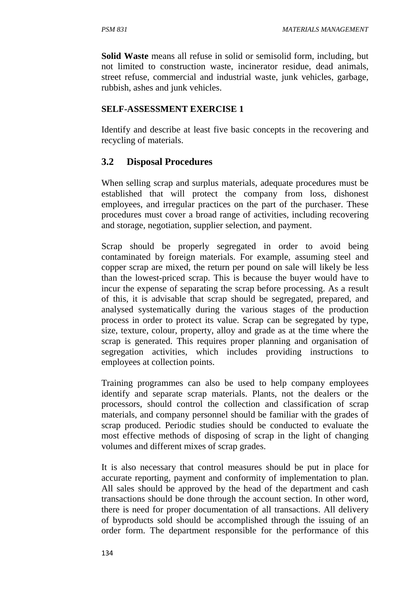**Solid Waste** means all refuse in solid or semisolid form, including, but not limited to construction waste, incinerator residue, dead animals, street refuse, commercial and industrial waste, junk vehicles, garbage, rubbish, ashes and junk vehicles.

#### **SELF-ASSESSMENT EXERCISE 1**

Identify and describe at least five basic concepts in the recovering and recycling of materials.

### **3.2 Disposal Procedures**

When selling scrap and surplus materials, adequate procedures must be established that will protect the company from loss, dishonest employees, and irregular practices on the part of the purchaser. These procedures must cover a broad range of activities, including recovering and storage, negotiation, supplier selection, and payment.

Scrap should be properly segregated in order to avoid being contaminated by foreign materials. For example, assuming steel and copper scrap are mixed, the return per pound on sale will likely be less than the lowest-priced scrap. This is because the buyer would have to incur the expense of separating the scrap before processing. As a result of this, it is advisable that scrap should be segregated, prepared, and analysed systematically during the various stages of the production process in order to protect its value. Scrap can be segregated by type, size, texture, colour, property, alloy and grade as at the time where the scrap is generated. This requires proper planning and organisation of segregation activities, which includes providing instructions to employees at collection points.

Training programmes can also be used to help company employees identify and separate scrap materials. Plants, not the dealers or the processors, should control the collection and classification of scrap materials, and company personnel should be familiar with the grades of scrap produced. Periodic studies should be conducted to evaluate the most effective methods of disposing of scrap in the light of changing volumes and different mixes of scrap grades.

It is also necessary that control measures should be put in place for accurate reporting, payment and conformity of implementation to plan. All sales should be approved by the head of the department and cash transactions should be done through the account section. In other word, there is need for proper documentation of all transactions. All delivery of byproducts sold should be accomplished through the issuing of an order form. The department responsible for the performance of this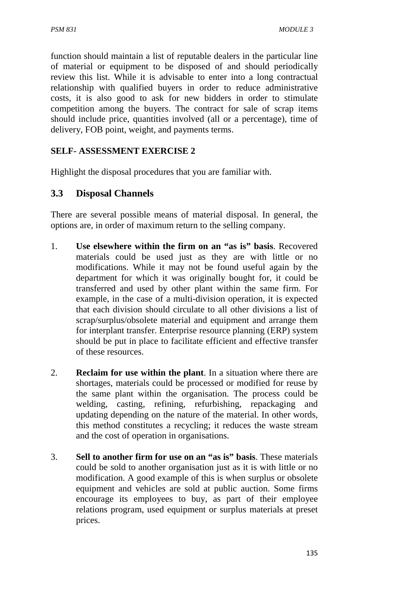function should maintain a list of reputable dealers in the particular line of material or equipment to be disposed of and should periodically review this list. While it is advisable to enter into a long contractual relationship with qualified buyers in order to reduce administrative costs, it is also good to ask for new bidders in order to stimulate competition among the buyers. The contract for sale of scrap items should include price, quantities involved (all or a percentage), time of delivery, FOB point, weight, and payments terms.

### **SELF- ASSESSMENT EXERCISE 2**

Highlight the disposal procedures that you are familiar with.

### **3.3 Disposal Channels**

There are several possible means of material disposal. In general, the options are, in order of maximum return to the selling company.

- 1. **Use elsewhere within the firm on an "as is" basis**. Recovered materials could be used just as they are with little or no modifications. While it may not be found useful again by the department for which it was originally bought for, it could be transferred and used by other plant within the same firm. For example, in the case of a multi-division operation, it is expected that each division should circulate to all other divisions a list of scrap/surplus/obsolete material and equipment and arrange them for interplant transfer. Enterprise resource planning (ERP) system should be put in place to facilitate efficient and effective transfer of these resources.
- 2. **Reclaim for use within the plant**. In a situation where there are shortages, materials could be processed or modified for reuse by the same plant within the organisation. The process could be welding, casting, refining, refurbishing, repackaging and updating depending on the nature of the material. In other words, this method constitutes a recycling; it reduces the waste stream and the cost of operation in organisations.
- 3. **Sell to another firm for use on an "as is" basis**. These materials could be sold to another organisation just as it is with little or no modification. A good example of this is when surplus or obsolete equipment and vehicles are sold at public auction. Some firms encourage its employees to buy, as part of their employee relations program, used equipment or surplus materials at preset prices.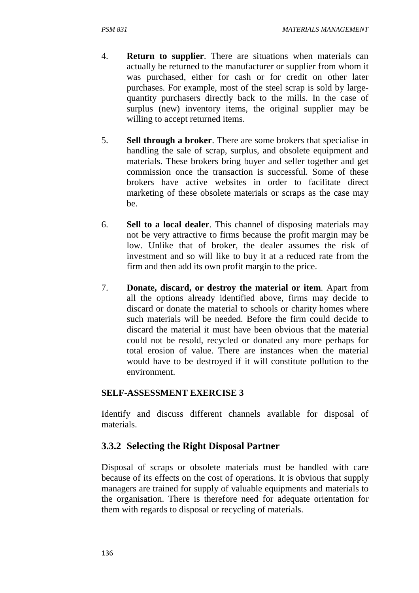- 4. **Return to supplier**. There are situations when materials can actually be returned to the manufacturer or supplier from whom it was purchased, either for cash or for credit on other later purchases. For example, most of the steel scrap is sold by largequantity purchasers directly back to the mills. In the case of surplus (new) inventory items, the original supplier may be willing to accept returned items.
- 5. **Sell through a broker**. There are some brokers that specialise in handling the sale of scrap, surplus, and obsolete equipment and materials. These brokers bring buyer and seller together and get commission once the transaction is successful. Some of these brokers have active websites in order to facilitate direct marketing of these obsolete materials or scraps as the case may be.
- 6. **Sell to a local dealer**. This channel of disposing materials may not be very attractive to firms because the profit margin may be low. Unlike that of broker, the dealer assumes the risk of investment and so will like to buy it at a reduced rate from the firm and then add its own profit margin to the price.
- 7. **Donate, discard, or destroy the material or item**. Apart from all the options already identified above, firms may decide to discard or donate the material to schools or charity homes where such materials will be needed. Before the firm could decide to discard the material it must have been obvious that the material could not be resold, recycled or donated any more perhaps for total erosion of value. There are instances when the material would have to be destroyed if it will constitute pollution to the environment.

### **SELF-ASSESSMENT EXERCISE 3**

Identify and discuss different channels available for disposal of materials.

# **3.3.2 Selecting the Right Disposal Partner**

Disposal of scraps or obsolete materials must be handled with care because of its effects on the cost of operations. It is obvious that supply managers are trained for supply of valuable equipments and materials to the organisation. There is therefore need for adequate orientation for them with regards to disposal or recycling of materials.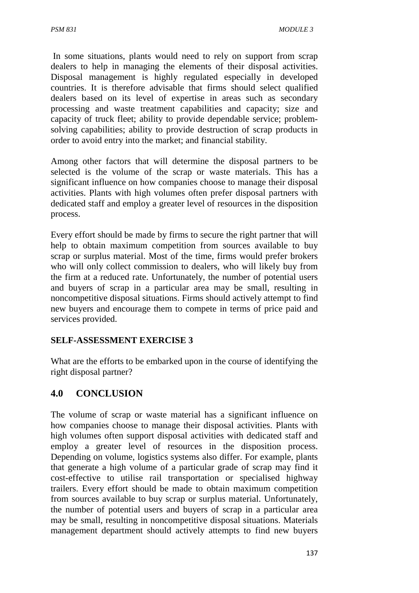In some situations, plants would need to rely on support from scrap dealers to help in managing the elements of their disposal activities. Disposal management is highly regulated especially in developed countries. It is therefore advisable that firms should select qualified dealers based on its level of expertise in areas such as secondary processing and waste treatment capabilities and capacity; size and capacity of truck fleet; ability to provide dependable service; problemsolving capabilities; ability to provide destruction of scrap products in order to avoid entry into the market; and financial stability.

Among other factors that will determine the disposal partners to be selected is the volume of the scrap or waste materials. This has a significant influence on how companies choose to manage their disposal activities. Plants with high volumes often prefer disposal partners with dedicated staff and employ a greater level of resources in the disposition process.

Every effort should be made by firms to secure the right partner that will help to obtain maximum competition from sources available to buy scrap or surplus material. Most of the time, firms would prefer brokers who will only collect commission to dealers, who will likely buy from the firm at a reduced rate. Unfortunately, the number of potential users and buyers of scrap in a particular area may be small, resulting in noncompetitive disposal situations. Firms should actively attempt to find new buyers and encourage them to compete in terms of price paid and services provided.

### **SELF-ASSESSMENT EXERCISE 3**

What are the efforts to be embarked upon in the course of identifying the right disposal partner?

# **4.0 CONCLUSION**

The volume of scrap or waste material has a significant influence on how companies choose to manage their disposal activities. Plants with high volumes often support disposal activities with dedicated staff and employ a greater level of resources in the disposition process. Depending on volume, logistics systems also differ. For example, plants that generate a high volume of a particular grade of scrap may find it cost-effective to utilise rail transportation or specialised highway trailers. Every effort should be made to obtain maximum competition from sources available to buy scrap or surplus material. Unfortunately, the number of potential users and buyers of scrap in a particular area may be small, resulting in noncompetitive disposal situations. Materials management department should actively attempts to find new buyers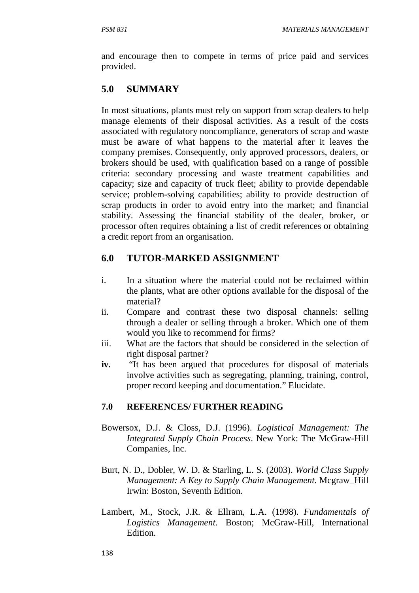and encourage then to compete in terms of price paid and services provided.

# **5.0 SUMMARY**

In most situations, plants must rely on support from scrap dealers to help manage elements of their disposal activities. As a result of the costs associated with regulatory noncompliance, generators of scrap and waste must be aware of what happens to the material after it leaves the company premises. Consequently, only approved processors, dealers, or brokers should be used, with qualification based on a range of possible criteria: secondary processing and waste treatment capabilities and capacity; size and capacity of truck fleet; ability to provide dependable service; problem-solving capabilities; ability to provide destruction of scrap products in order to avoid entry into the market; and financial stability. Assessing the financial stability of the dealer, broker, or processor often requires obtaining a list of credit references or obtaining a credit report from an organisation.

# **6.0 TUTOR-MARKED ASSIGNMENT**

- i. In a situation where the material could not be reclaimed within the plants, what are other options available for the disposal of the material?
- ii. Compare and contrast these two disposal channels: selling through a dealer or selling through a broker. Which one of them would you like to recommend for firms?
- iii. What are the factors that should be considered in the selection of right disposal partner?
- **iv.** "It has been argued that procedures for disposal of materials involve activities such as segregating, planning, training, control, proper record keeping and documentation." Elucidate.

### **7.0 REFERENCES/ FURTHER READING**

- Bowersox, D.J. & Closs, D.J. (1996). *Logistical Management: The Integrated Supply Chain Process*. New York: The McGraw-Hill Companies, Inc.
- Burt, N. D., Dobler, W. D. & Starling, L. S. (2003). *World Class Supply Management: A Key to Supply Chain Management*. Mcgraw\_Hill Irwin: Boston, Seventh Edition.
- Lambert, M., Stock, J.R. & Ellram, L.A. (1998). *Fundamentals of Logistics Management*. Boston; McGraw-Hill, International Edition.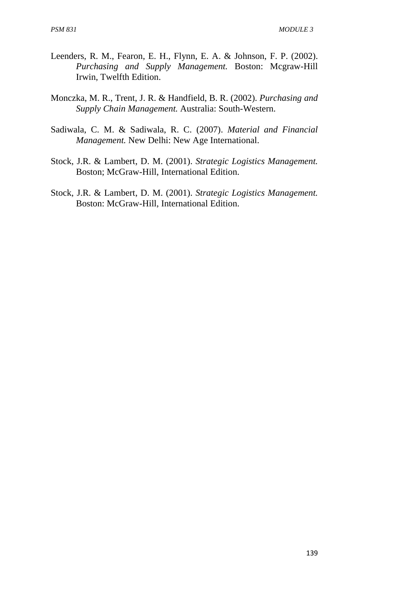- Leenders, R. M., Fearon, E. H., Flynn, E. A. & Johnson, F. P. (2002). *Purchasing and Supply Management.* Boston: Mcgraw-Hill Irwin, Twelfth Edition.
- Monczka, M. R., Trent, J. R. & Handfield, B. R. (2002). *Purchasing and Supply Chain Management.* Australia: South-Western.
- Sadiwala, C. M. & Sadiwala, R. C. (2007). *Material and Financial Management.* New Delhi: New Age International.
- Stock, J.R. & Lambert, D. M. (2001). *Strategic Logistics Management.* Boston; McGraw-Hill, International Edition.
- Stock, J.R. & Lambert, D. M. (2001). *Strategic Logistics Management.* Boston: McGraw-Hill, International Edition.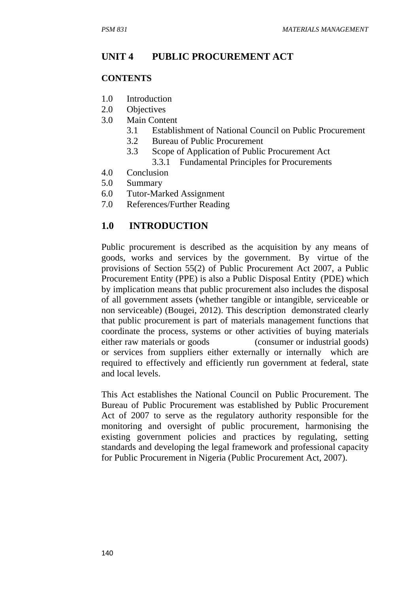### **UNIT 4 PUBLIC PROCUREMENT ACT**

#### **CONTENTS**

- 1.0 Introduction
- 2.0 Objectives
- 3.0 Main Content
	- 3.1 Establishment of National Council on Public Procurement
	- 3.2 Bureau of Public Procurement
	- 3.3 Scope of Application of Public Procurement Act 3.3.1 Fundamental Principles for Procurements
- 4.0 Conclusion
- 5.0 Summary
- 6.0 Tutor-Marked Assignment
- 7.0 References/Further Reading

### **1.0 INTRODUCTION**

Public procurement is described as the acquisition by any means of goods, works and services by the government. By virtue of the provisions of Section 55(2) of Public Procurement Act 2007, a Public Procurement Entity (PPE) is also a Public Disposal Entity (PDE) which by implication means that public procurement also includes the disposal of all government assets (whether tangible or intangible, serviceable or non serviceable) (Bougei, 2012). This description demonstrated clearly that public procurement is part of materials management functions that coordinate the process, systems or other activities of buying materials either raw materials or goods (consumer or industrial goods) or services from suppliers either externally or internally which are required to effectively and efficiently run government at federal, state and local levels.

This Act establishes the National Council on Public Procurement. The Bureau of Public Procurement was established by Public Procurement Act of 2007 to serve as the regulatory authority responsible for the monitoring and oversight of public procurement, harmonising the existing government policies and practices by regulating, setting standards and developing the legal framework and professional capacity for Public Procurement in Nigeria (Public Procurement Act, 2007).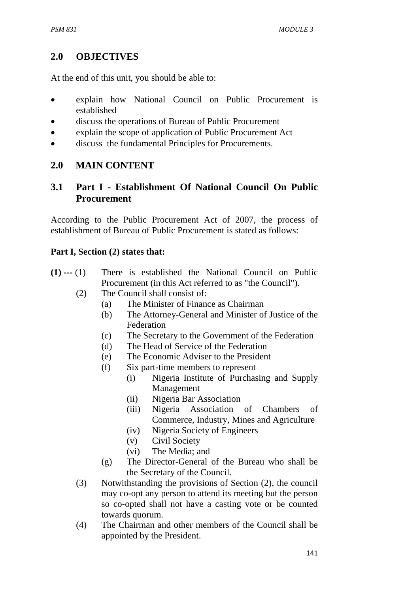# **2.0 OBJECTIVES**

At the end of this unit, you should be able to:

- explain how National Council on Public Procurement is established
- discuss the operations of Bureau of Public Procurement
- explain the scope of application of Public Procurement Act
- discuss the fundamental Principles for Procurements.

# **2.0 MAIN CONTENT**

# **3.1 Part I - Establishment Of National Council On Public Procurement**

According to the Public Procurement Act of 2007, the process of establishment of Bureau of Public Procurement is stated as follows:

# **Part I, Section (2) states that:**

- **(1) ---** (1)There is established the National Council on Public Procurement (in this Act referred to as "the Council").
	- (2) The Council shall consist of:
		- (a) The Minister of Finance as Chairman
		- (b) The Attorney-General and Minister of Justice of the Federation
		- (c) The Secretary to the Government of the Federation
		- (d) The Head of Service of the Federation
		- (e) The Economic Adviser to the President
		- (f) Six part-time members to represent
			- (i) Nigeria Institute of Purchasing and Supply Management
				- (ii) Nigeria Bar Association
				- (iii) Nigeria Association of Chambers of Commerce, Industry, Mines and Agriculture
				- (iv) Nigeria Society of Engineers
			- (v) Civil Society
			- (vi) The Media; and
		- (g) The Director-General of the Bureau who shall be the Secretary of the Council.
	- (3) Notwithstanding the provisions of Section (2), the council may co-opt any person to attend its meeting but the person so co-opted shall not have a casting vote or be counted towards quorum.
	- (4) The Chairman and other members of the Council shall be appointed by the President.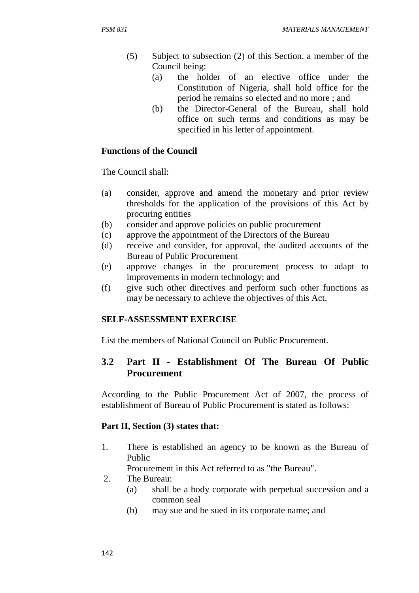- (5) Subject to subsection (2) of this Section. a member of the Council being:
	- (a) the holder of an elective office under the Constitution of Nigeria, shall hold office for the period he remains so elected and no more ; and
	- (b) the Director-General of the Bureau, shall hold office on such terms and conditions as may be specified in his letter of appointment.

### **Functions of the Council**

The Council shall:

- (a) consider, approve and amend the monetary and prior review thresholds for the application of the provisions of this Act by procuring entities
- (b) consider and approve policies on public procurement
- (c) approve the appointment of the Directors of the Bureau
- (d) receive and consider, for approval, the audited accounts of the Bureau of Public Procurement
- (e) approve changes in the procurement process to adapt to improvements in modern technology; and
- (f) give such other directives and perform such other functions as may be necessary to achieve the objectives of this Act.

# **SELF-ASSESSMENT EXERCISE**

List the members of National Council on Public Procurement.

# **3.2 Part II - Establishment Of The Bureau Of Public Procurement**

According to the Public Procurement Act of 2007, the process of establishment of Bureau of Public Procurement is stated as follows:

### **Part II, Section (3) states that:**

1. There is established an agency to be known as the Bureau of Public

Procurement in this Act referred to as "the Bureau".

- 2. The Bureau:
	- (a) shall be a body corporate with perpetual succession and a common seal
	- (b) may sue and be sued in its corporate name; and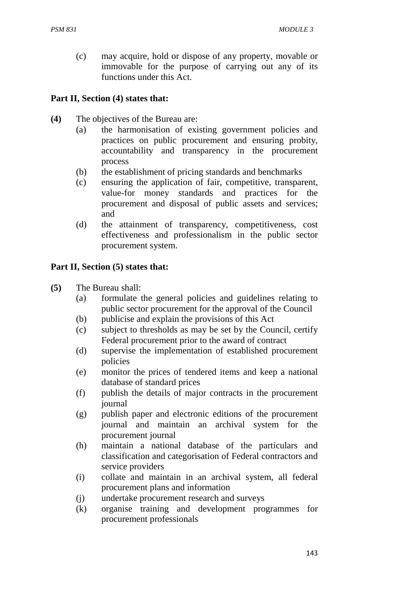(c) may acquire, hold or dispose of any property, movable or immovable for the purpose of carrying out any of its functions under this Act.

### **Part II, Section (4) states that:**

- **(4)** The objectives of the Bureau are:
	- (a) the harmonisation of existing government policies and practices on public procurement and ensuring probity, accountability and transparency in the procurement process
	- (b) the establishment of pricing standards and benchmarks
	- (c) ensuring the application of fair, competitive, transparent, value-for money standards and practices for the procurement and disposal of public assets and services; and
	- (d) the attainment of transparency, competitiveness, cost effectiveness and professionalism in the public sector procurement system.

#### **Part II, Section (5) states that:**

- **(5)** The Bureau shall:
	- (a) formulate the general policies and guidelines relating to public sector procurement for the approval of the Council
	- (b) publicise and explain the provisions of this Act
	- (c) subject to thresholds as may be set by the Council, certify Federal procurement prior to the award of contract
	- (d) supervise the implementation of established procurement policies
	- (e) monitor the prices of tendered items and keep a national database of standard prices
	- (f) publish the details of major contracts in the procurement journal
	- (g) publish paper and electronic editions of the procurement journal and maintain an archival system for the procurement journal
	- (h) maintain a national database of the particulars and classification and categorisation of Federal contractors and service providers
	- (i) collate and maintain in an archival system, all federal procurement plans and information
	- (j) undertake procurement research and surveys
	- (k) organise training and development programmes for procurement professionals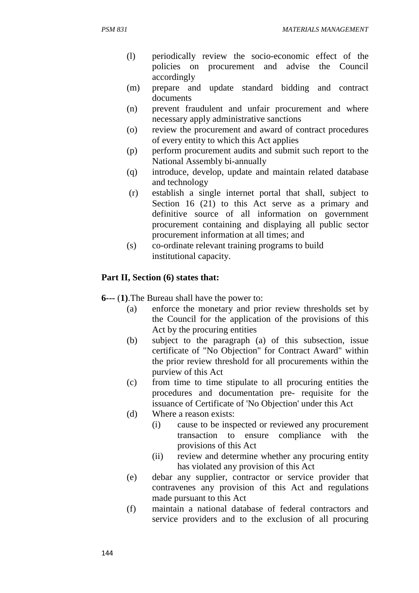- (l) periodically review the socio-economic effect of the policies on procurement and advise the Council accordingly
- (m) prepare and update standard bidding and contract documents
- (n) prevent fraudulent and unfair procurement and where necessary apply administrative sanctions
- (o) review the procurement and award of contract procedures of every entity to which this Act applies
- (p) perform procurement audits and submit such report to the National Assembly bi-annually
- (q) introduce, develop, update and maintain related database and technology
- (r) establish a single internet portal that shall, subject to Section 16 (21) to this Act serve as a primary and definitive source of all information on government procurement containing and displaying all public sector procurement information at all times; and
- (s) co-ordinate relevant training programs to build institutional capacity.

#### **Part II, Section (6) states that:**

- **6---** (**1)**.The Bureau shall have the power to:
	- (a) enforce the monetary and prior review thresholds set by the Council for the application of the provisions of this Act by the procuring entities
	- (b) subject to the paragraph (a) of this subsection, issue certificate of "No Objection" for Contract Award" within the prior review threshold for all procurements within the purview of this Act
	- (c) from time to time stipulate to all procuring entities the procedures and documentation pre- requisite for the issuance of Certificate of 'No Objection' under this Act
	- (d) Where a reason exists:
		- (i) cause to be inspected or reviewed any procurement transaction to ensure compliance with the provisions of this Act
		- (ii) review and determine whether any procuring entity has violated any provision of this Act
	- (e) debar any supplier, contractor or service provider that contravenes any provision of this Act and regulations made pursuant to this Act
	- (f) maintain a national database of federal contractors and service providers and to the exclusion of all procuring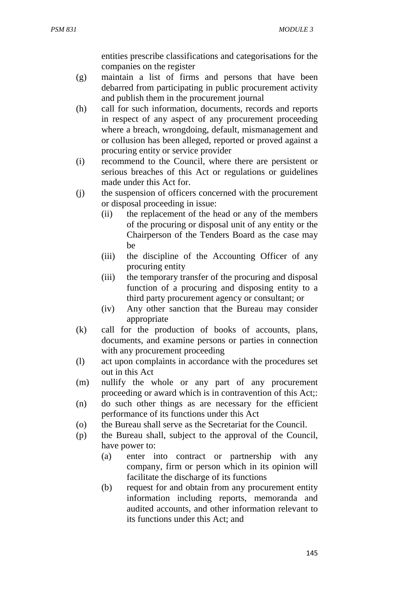entities prescribe classifications and categorisations for the companies on the register

- (g) maintain a list of firms and persons that have been debarred from participating in public procurement activity and publish them in the procurement journal
- (h) call for such information, documents, records and reports in respect of any aspect of any procurement proceeding where a breach, wrongdoing, default, mismanagement and or collusion has been alleged, reported or proved against a procuring entity or service provider
- (i) recommend to the Council, where there are persistent or serious breaches of this Act or regulations or guidelines made under this Act for.
- (j) the suspension of officers concerned with the procurement or disposal proceeding in issue:
	- (ii) the replacement of the head or any of the members of the procuring or disposal unit of any entity or the Chairperson of the Tenders Board as the case may be
	- (iii) the discipline of the Accounting Officer of any procuring entity
	- (iii) the temporary transfer of the procuring and disposal function of a procuring and disposing entity to a third party procurement agency or consultant; or
	- (iv) Any other sanction that the Bureau may consider appropriate
- (k) call for the production of books of accounts, plans, documents, and examine persons or parties in connection with any procurement proceeding
- (l) act upon complaints in accordance with the procedures set out in this Act
- (m) nullify the whole or any part of any procurement proceeding or award which is in contravention of this Act;:
- (n) do such other things as are necessary for the efficient performance of its functions under this Act
- (o) the Bureau shall serve as the Secretariat for the Council.
- (p) the Bureau shall, subject to the approval of the Council, have power to:
	- (a) enter into contract or partnership with any company, firm or person which in its opinion will facilitate the discharge of its functions
	- (b) request for and obtain from any procurement entity information including reports, memoranda and audited accounts, and other information relevant to its functions under this Act; and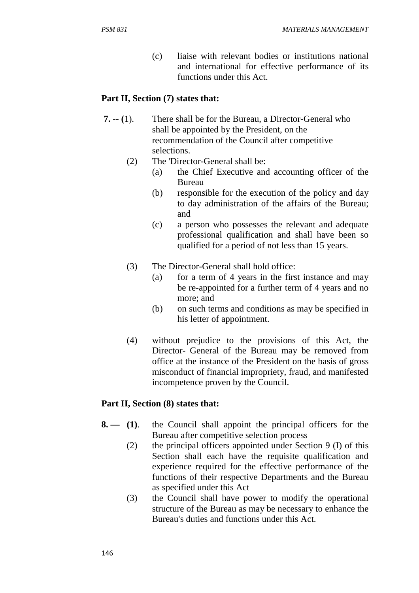(c) liaise with relevant bodies or institutions national and international for effective performance of its functions under this Act.

#### **Part II, Section (7) states that:**

- **7. -- (**1). There shall be for the Bureau, a Director-General who shall be appointed by the President, on the recommendation of the Council after competitive selections.
	- (2) The 'Director-General shall be:
		- (a) the Chief Executive and accounting officer of the Bureau
		- (b) responsible for the execution of the policy and day to day administration of the affairs of the Bureau; and
		- (c) a person who possesses the relevant and adequate professional qualification and shall have been so qualified for a period of not less than 15 years.
	- (3) The Director-General shall hold office:
		- (a) for a term of 4 years in the first instance and may be re-appointed for a further term of 4 years and no more; and
		- (b) on such terms and conditions as may be specified in his letter of appointment.
	- (4) without prejudice to the provisions of this Act, the Director- General of the Bureau may be removed from office at the instance of the President on the basis of gross misconduct of financial impropriety, fraud, and manifested incompetence proven by the Council.

#### **Part II, Section (8) states that:**

- **8. (1)**. the Council shall appoint the principal officers for the Bureau after competitive selection process
	- (2) the principal officers appointed under Section 9 (I) of this Section shall each have the requisite qualification and experience required for the effective performance of the functions of their respective Departments and the Bureau as specified under this Act
	- (3) the Council shall have power to modify the operational structure of the Bureau as may be necessary to enhance the Bureau's duties and functions under this Act.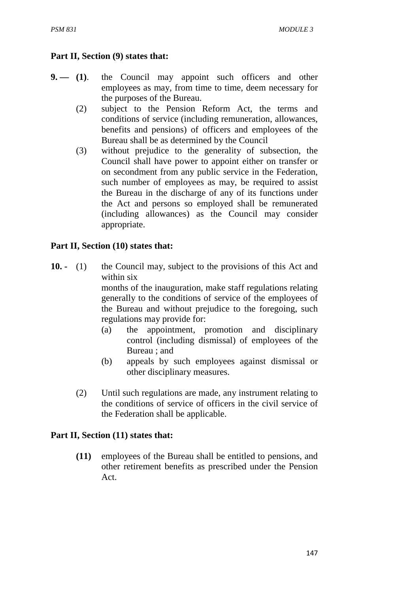### **Part II, Section (9) states that:**

- **9. (1)**. the Council may appoint such officers and other employees as may, from time to time, deem necessary for the purposes of the Bureau.
	- (2) subject to the Pension Reform Act, the terms and conditions of service (including remuneration, allowances, benefits and pensions) of officers and employees of the Bureau shall be as determined by the Council
	- (3) without prejudice to the generality of subsection, the Council shall have power to appoint either on transfer or on secondment from any public service in the Federation, such number of employees as may, be required to assist the Bureau in the discharge of any of its functions under the Act and persons so employed shall be remunerated (including allowances) as the Council may consider appropriate.

### **Part II, Section (10) states that:**

- **10.** (1)the Council may, subject to the provisions of this Act and within six months of the inauguration, make staff regulations relating generally to the conditions of service of the employees of the Bureau and without prejudice to the foregoing, such regulations may provide for:
	- (a) the appointment, promotion and disciplinary control (including dismissal) of employees of the Bureau ; and
	- (b) appeals by such employees against dismissal or other disciplinary measures.
	- (2) Until such regulations are made, any instrument relating to the conditions of service of officers in the civil service of the Federation shall be applicable.

### Part II, Section (11) states that:

**(11)** employees of the Bureau shall be entitled to pensions, and other retirement benefits as prescribed under the Pension Act.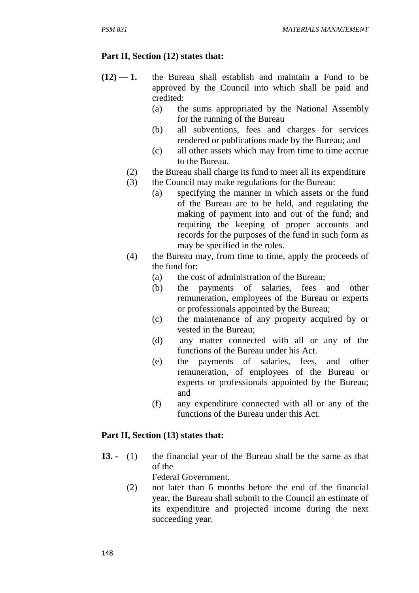### Part II, Section (12) states that:

- **(12) 1.** the Bureau shall establish and maintain a Fund to be approved by the Council into which shall be paid and credited:
	- (a) the sums appropriated by the National Assembly for the running of the Bureau
	- (b) all subventions, fees and charges for services rendered or publications made by the Bureau; and
	- (c) all other assets which may from time to time accrue to the Bureau.
	- (2) the Bureau shall charge its fund to meet all its expenditure
	- (3) the Council may make regulations for the Bureau:
		- (a) specifying the manner in which assets or the fund of the Bureau are to be held, and regulating the making of payment into and out of the fund; and requiring the keeping of proper accounts and records for the purposes of the fund in such form as may be specified in the rules.
	- (4) the Bureau may, from time to time, apply the proceeds of the fund for:
		- (a) the cost of administration of the Bureau;
		- (b) the payments of salaries, fees and other remuneration, employees of the Bureau or experts or professionals appointed by the Bureau;
		- (c) the maintenance of any property acquired by or vested in the Bureau;
		- (d) any matter connected with all or any of the functions of the Bureau under his Act.
		- (e) the payments of salaries, fees, and other remuneration, of employees of the Bureau or experts or professionals appointed by the Bureau; and
		- (f) any expenditure connected with all or any of the functions of the Bureau under this Act.

### Part II, Section (13) states that:

**13. -** (1) the financial year of the Bureau shall be the same as that of the

Federal Government.

(2) not later than 6 months before the end of the financial year, the Bureau shall submit to the Council an estimate of its expenditure and projected income during the next succeeding year.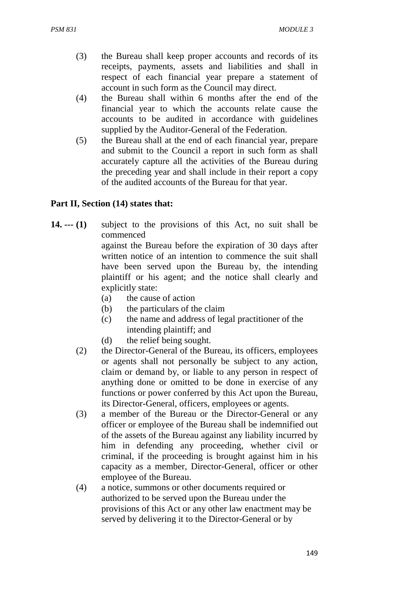- (3) the Bureau shall keep proper accounts and records of its receipts, payments, assets and liabilities and shall in respect of each financial year prepare a statement of account in such form as the Council may direct.
- (4) the Bureau shall within 6 months after the end of the financial year to which the accounts relate cause the accounts to be audited in accordance with guidelines supplied by the Auditor-General of the Federation.
- (5) the Bureau shall at the end of each financial year, prepare and submit to the Council a report in such form as shall accurately capture all the activities of the Bureau during the preceding year and shall include in their report a copy of the audited accounts of the Bureau for that year.

### Part II, Section (14) states that:

- **14. --- (1)** subject to the provisions of this Act, no suit shall be commenced against the Bureau before the expiration of 30 days after written notice of an intention to commence the suit shall have been served upon the Bureau by, the intending plaintiff or his agent; and the notice shall clearly and explicitly state:
	- (a) the cause of action
	- (b) the particulars of the claim
	- (c) the name and address of legal practitioner of the intending plaintiff; and
	- (d) the relief being sought.
	- (2) the Director-General of the Bureau, its officers, employees or agents shall not personally be subject to any action, claim or demand by, or liable to any person in respect of anything done or omitted to be done in exercise of any functions or power conferred by this Act upon the Bureau, its Director-General, officers, employees or agents.
	- (3) a member of the Bureau or the Director-General or any officer or employee of the Bureau shall be indemnified out of the assets of the Bureau against any liability incurred by him in defending any proceeding, whether civil or criminal, if the proceeding is brought against him in his capacity as a member, Director-General, officer or other employee of the Bureau.
	- (4) a notice, summons or other documents required or authorized to be served upon the Bureau under the provisions of this Act or any other law enactment may be served by delivering it to the Director-General or by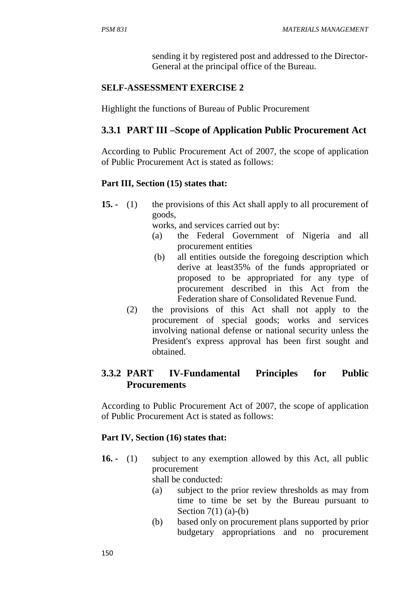sending it by registered post and addressed to the Director-General at the principal office of the Bureau.

# **SELF-ASSESSMENT EXERCISE 2**

Highlight the functions of Bureau of Public Procurement

# **3.3.1 PART III –Scope of Application Public Procurement Act**

According to Public Procurement Act of 2007, the scope of application of Public Procurement Act is stated as follows:

# **Part III, Section (15) states that:**

**15. -** (1)the provisions of this Act shall apply to all procurement of goods,

works, and services carried out by:

- (a) the Federal Government of Nigeria and all procurement entities
- (b) all entities outside the foregoing description which derive at least35% of the funds appropriated or proposed to be appropriated for any type of procurement described in this Act from the Federation share of Consolidated Revenue Fund.
- (2) the provisions of this Act shall not apply to the procurement of special goods; works and services involving national defense or national security unless the President's express approval has been first sought and obtained.

# **3.3.2 PART IV-Fundamental Principles for Public Procurements**

According to Public Procurement Act of 2007, the scope of application of Public Procurement Act is stated as follows:

# Part IV, Section (16) states that:

**16. -** (1) subject to any exemption allowed by this Act, all public procurement

shall be conducted:

- (a) subject to the prior review thresholds as may from time to time be set by the Bureau pursuant to Section  $7(1)$  (a)-(b)
- (b) based only on procurement plans supported by prior budgetary appropriations and no procurement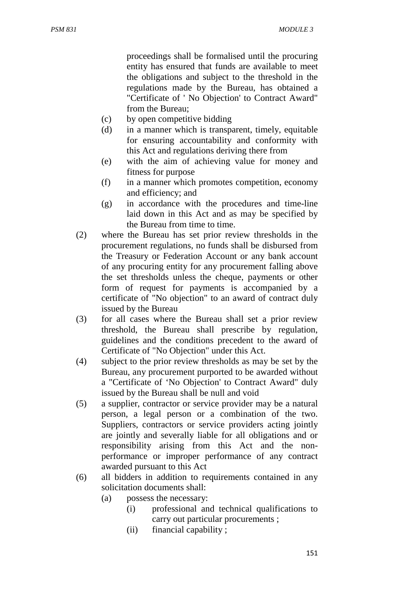proceedings shall be formalised until the procuring entity has ensured that funds are available to meet the obligations and subject to the threshold in the regulations made by the Bureau, has obtained a "Certificate of ' No Objection' to Contract Award" from the Bureau;

- (c) by open competitive bidding
- (d) in a manner which is transparent, timely, equitable for ensuring accountability and conformity with this Act and regulations deriving there from
- (e) with the aim of achieving value for money and fitness for purpose
- (f) in a manner which promotes competition, economy and efficiency; and
- (g) in accordance with the procedures and time-line laid down in this Act and as may be specified by the Bureau from time to time.
- (2) where the Bureau has set prior review thresholds in the procurement regulations, no funds shall be disbursed from the Treasury or Federation Account or any bank account of any procuring entity for any procurement falling above the set thresholds unless the cheque, payments or other form of request for payments is accompanied by a certificate of "No objection" to an award of contract duly issued by the Bureau
- (3) for all cases where the Bureau shall set a prior review threshold, the Bureau shall prescribe by regulation, guidelines and the conditions precedent to the award of Certificate of "No Objection" under this Act.
- (4) subject to the prior review thresholds as may be set by the Bureau, any procurement purported to be awarded without a "Certificate of 'No Objection' to Contract Award" duly issued by the Bureau shall be null and void
- (5) a supplier, contractor or service provider may be a natural person, a legal person or a combination of the two. Suppliers, contractors or service providers acting jointly are jointly and severally liable for all obligations and or responsibility arising from this Act and the nonperformance or improper performance of any contract awarded pursuant to this Act
- (6)all bidders in addition to requirements contained in any solicitation documents shall:
	- (a) possess the necessary:
		- (i) professional and technical qualifications to carry out particular procurements ;
		- (ii) financial capability ;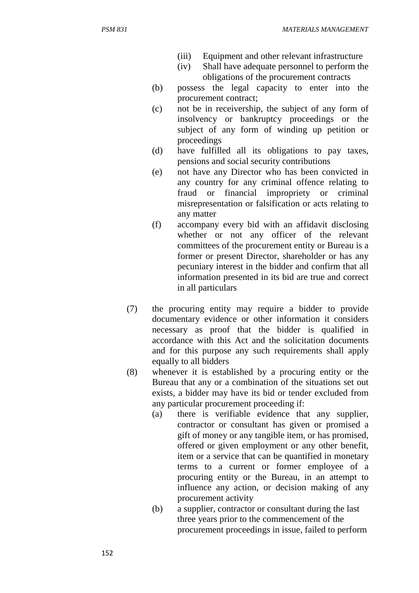- (iii) Equipment and other relevant infrastructure
- (iv) Shall have adequate personnel to perform the obligations of the procurement contracts
- (b) possess the legal capacity to enter into the procurement contract;
- (c) not be in receivership, the subject of any form of insolvency or bankruptcy proceedings or the subject of any form of winding up petition or proceedings
- (d) have fulfilled all its obligations to pay taxes, pensions and social security contributions
- (e) not have any Director who has been convicted in any country for any criminal offence relating to fraud or financial impropriety or criminal misrepresentation or falsification or acts relating to any matter
- (f) accompany every bid with an affidavit disclosing whether or not any officer of the relevant committees of the procurement entity or Bureau is a former or present Director, shareholder or has any pecuniary interest in the bidder and confirm that all information presented in its bid are true and correct in all particulars
- (7) the procuring entity may require a bidder to provide documentary evidence or other information it considers necessary as proof that the bidder is qualified in accordance with this Act and the solicitation documents and for this purpose any such requirements shall apply equally to all bidders
- (8) whenever it is established by a procuring entity or the Bureau that any or a combination of the situations set out exists, a bidder may have its bid or tender excluded from any particular procurement proceeding if:
	- (a) there is verifiable evidence that any supplier, contractor or consultant has given or promised a gift of money or any tangible item, or has promised, offered or given employment or any other benefit, item or a service that can be quantified in monetary terms to a current or former employee of a procuring entity or the Bureau, in an attempt to influence any action, or decision making of any procurement activity
	- (b) a supplier, contractor or consultant during the last three years prior to the commencement of the procurement proceedings in issue, failed to perform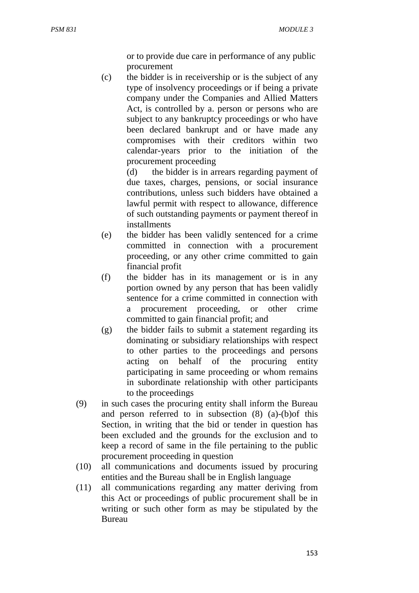or to provide due care in performance of any public procurement

(c) the bidder is in receivership or is the subject of any type of insolvency proceedings or if being a private company under the Companies and Allied Matters Act, is controlled by a. person or persons who are subject to any bankruptcy proceedings or who have been declared bankrupt and or have made any compromises with their creditors within two calendar-years prior to the initiation of the procurement proceeding

> (d) the bidder is in arrears regarding payment of due taxes, charges, pensions, or social insurance contributions, unless such bidders have obtained a lawful permit with respect to allowance, difference of such outstanding payments or payment thereof in installments

- (e) the bidder has been validly sentenced for a crime committed in connection with a procurement proceeding, or any other crime committed to gain financial profit
- (f) the bidder has in its management or is in any portion owned by any person that has been validly sentence for a crime committed in connection with a procurement proceeding, or other crime committed to gain financial profit; and
- (g) the bidder fails to submit a statement regarding its dominating or subsidiary relationships with respect to other parties to the proceedings and persons acting on behalf of the procuring entity participating in same proceeding or whom remains in subordinate relationship with other participants to the proceedings
- (9) in such cases the procuring entity shall inform the Bureau and person referred to in subsection (8) (a)-(b)of this Section, in writing that the bid or tender in question has been excluded and the grounds for the exclusion and to keep a record of same in the file pertaining to the public procurement proceeding in question
- (10) all communications and documents issued by procuring entities and the Bureau shall be in English language
- (11) all communications regarding any matter deriving from this Act or proceedings of public procurement shall be in writing or such other form as may be stipulated by the Bureau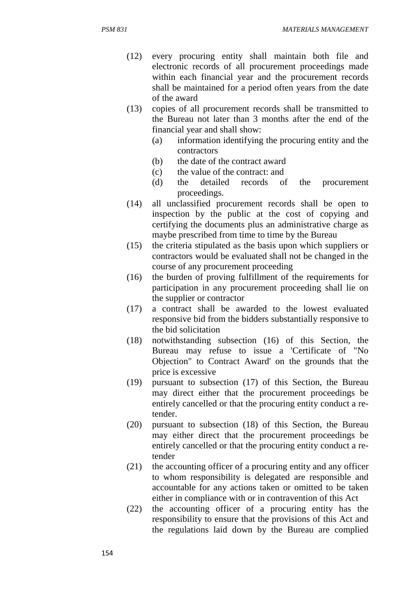- (12) every procuring entity shall maintain both file and electronic records of all procurement proceedings made within each financial year and the procurement records shall be maintained for a period often years from the date of the award
- (13) copies of all procurement records shall be transmitted to the Bureau not later than 3 months after the end of the financial year and shall show:
	- (a) information identifying the procuring entity and the contractors
	- (b) the date of the contract award
	- (c) the value of the contract: and
	- (d) the detailed records of the procurement proceedings.
- (14) all unclassified procurement records shall be open to inspection by the public at the cost of copying and certifying the documents plus an administrative charge as maybe prescribed from time to time by the Bureau
- (15) the criteria stipulated as the basis upon which suppliers or contractors would be evaluated shall not be changed in the course of any procurement proceeding
- (16) the burden of proving fulfillment of the requirements for participation in any procurement proceeding shall lie on the supplier or contractor
- (17) a contract shall be awarded to the lowest evaluated responsive bid from the bidders substantially responsive to the bid solicitation
- (18) notwithstanding subsection (16) of this Section, the Bureau may refuse to issue a 'Certificate of "No Objection" to Contract Award' on the grounds that the price is excessive
- (19) pursuant to subsection (17) of this Section, the Bureau may direct either that the procurement proceedings be entirely cancelled or that the procuring entity conduct a retender.
- (20) pursuant to subsection (18) of this Section, the Bureau may either direct that the procurement proceedings be entirely cancelled or that the procuring entity conduct a retender
- (21) the accounting officer of a procuring entity and any officer to whom responsibility is delegated are responsible and accountable for any actions taken or omitted to be taken either in compliance with or in contravention of this Act
- (22) the accounting officer of a procuring entity has the responsibility to ensure that the provisions of this Act and the regulations laid down by the Bureau are complied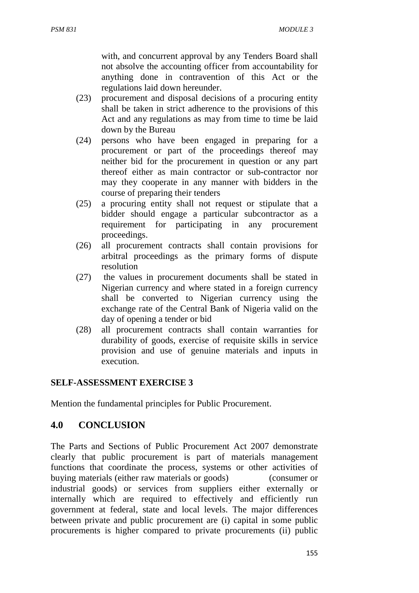with, and concurrent approval by any Tenders Board shall not absolve the accounting officer from accountability for anything done in contravention of this Act or the regulations laid down hereunder.

- (23) procurement and disposal decisions of a procuring entity shall be taken in strict adherence to the provisions of this Act and any regulations as may from time to time be laid down by the Bureau
- (24) persons who have been engaged in preparing for a procurement or part of the proceedings thereof may neither bid for the procurement in question or any part thereof either as main contractor or sub-contractor nor may they cooperate in any manner with bidders in the course of preparing their tenders
- (25) a procuring entity shall not request or stipulate that a bidder should engage a particular subcontractor as a requirement for participating in any procurement proceedings.
- (26) all procurement contracts shall contain provisions for arbitral proceedings as the primary forms of dispute resolution
- (27) the values in procurement documents shall be stated in Nigerian currency and where stated in a foreign currency shall be converted to Nigerian currency using the exchange rate of the Central Bank of Nigeria valid on the day of opening a tender or bid
- (28) all procurement contracts shall contain warranties for durability of goods, exercise of requisite skills in service provision and use of genuine materials and inputs in execution.

### **SELF-ASSESSMENT EXERCISE 3**

Mention the fundamental principles for Public Procurement.

# **4.0 CONCLUSION**

The Parts and Sections of Public Procurement Act 2007 demonstrate clearly that public procurement is part of materials management functions that coordinate the process, systems or other activities of buying materials (either raw materials or goods) (consumer or industrial goods) or services from suppliers either externally or internally which are required to effectively and efficiently run government at federal, state and local levels. The major differences between private and public procurement are (i) capital in some public procurements is higher compared to private procurements (ii) public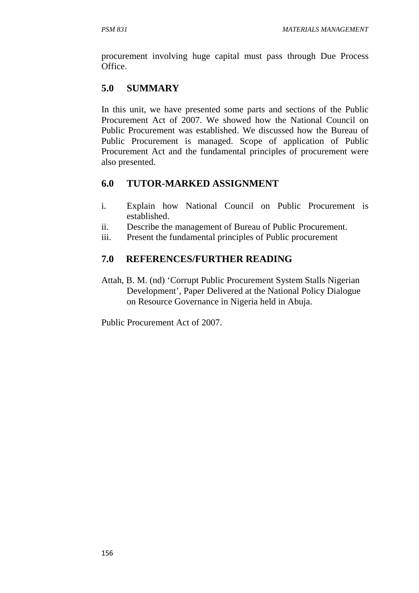procurement involving huge capital must pass through Due Process Office.

# **5.0 SUMMARY**

In this unit, we have presented some parts and sections of the Public Procurement Act of 2007. We showed how the National Council on Public Procurement was established. We discussed how the Bureau of Public Procurement is managed. Scope of application of Public Procurement Act and the fundamental principles of procurement were also presented.

# **6.0 TUTOR-MARKED ASSIGNMENT**

- i. Explain how National Council on Public Procurement is established.
- ii. Describe the management of Bureau of Public Procurement.
- iii. Present the fundamental principles of Public procurement

# **7.0 REFERENCES/FURTHER READING**

Attah, B. M. (nd) 'Corrupt Public Procurement System Stalls Nigerian Development', Paper Delivered at the National Policy Dialogue on Resource Governance in Nigeria held in Abuja.

Public Procurement Act of 2007.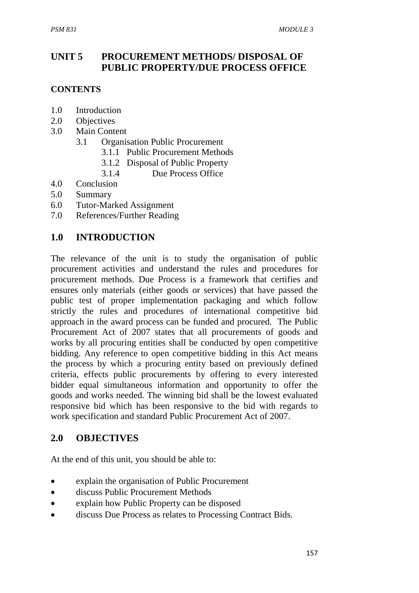# **UNIT 5 PROCUREMENT METHODS/ DISPOSAL OF PUBLIC PROPERTY/DUE PROCESS OFFICE**

### **CONTENTS**

- 1.0 Introduction
- 2.0 Objectives
- 3.0 Main Content
	- 3.1 Organisation Public Procurement
		- 3.1.1 Public Procurement Methods
		- 3.1.2 Disposal of Public Property
		- 3.1.4 Due Process Office
- 4.0 Conclusion
- 5.0 Summary
- 6.0 Tutor-Marked Assignment
- 7.0 References/Further Reading

### **1.0 INTRODUCTION**

The relevance of the unit is to study the organisation of public procurement activities and understand the rules and procedures for procurement methods. Due Process is a framework that certifies and ensures only materials (either goods or services) that have passed the public test of proper implementation packaging and which follow strictly the rules and procedures of international competitive bid approach in the award process can be funded and procured. The Public Procurement Act of 2007 states that all procurements of goods and works by all procuring entities shall be conducted by open competitive bidding. Any reference to open competitive bidding in this Act means the process by which a procuring entity based on previously defined criteria, effects public procurements by offering to every interested bidder equal simultaneous information and opportunity to offer the goods and works needed. The winning bid shall be the lowest evaluated responsive bid which has been responsive to the bid with regards to work specification and standard Public Procurement Act of 2007.

# **2.0 OBJECTIVES**

At the end of this unit, you should be able to:

- explain the organisation of Public Procurement
- discuss Public Procurement Methods
- explain how Public Property can be disposed
- discuss Due Process as relates to Processing Contract Bids.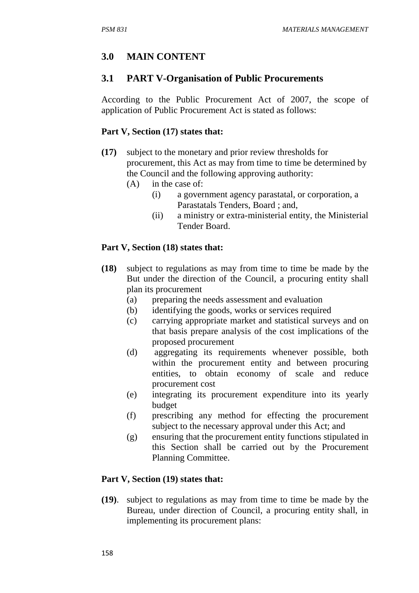# **3.0 MAIN CONTENT**

### **3.1 PART V-Organisation of Public Procurements**

According to the Public Procurement Act of 2007, the scope of application of Public Procurement Act is stated as follows:

### Part V, Section (17) states that:

- **(17)** subject to the monetary and prior review thresholds for procurement, this Act as may from time to time be determined by the Council and the following approving authority:
	- (A) in the case of:
		- (i) a government agency parastatal, or corporation, a Parastatals Tenders, Board ; and,
		- (ii) a ministry or extra-ministerial entity, the Ministerial Tender Board.

#### **Part V, Section (18) states that:**

- **(18)** subject to regulations as may from time to time be made by the But under the direction of the Council, a procuring entity shall plan its procurement
	- (a) preparing the needs assessment and evaluation
	- (b) identifying the goods, works or services required
	- (c) carrying appropriate market and statistical surveys and on that basis prepare analysis of the cost implications of the proposed procurement
	- (d) aggregating its requirements whenever possible, both within the procurement entity and between procuring entities, to obtain economy of scale and reduce procurement cost
	- (e) integrating its procurement expenditure into its yearly budget
	- (f) prescribing any method for effecting the procurement subject to the necessary approval under this Act; and
	- (g) ensuring that the procurement entity functions stipulated in this Section shall be carried out by the Procurement Planning Committee.

#### **Part V, Section (19) states that:**

**(19)**. subject to regulations as may from time to time be made by the Bureau, under direction of Council, a procuring entity shall, in implementing its procurement plans: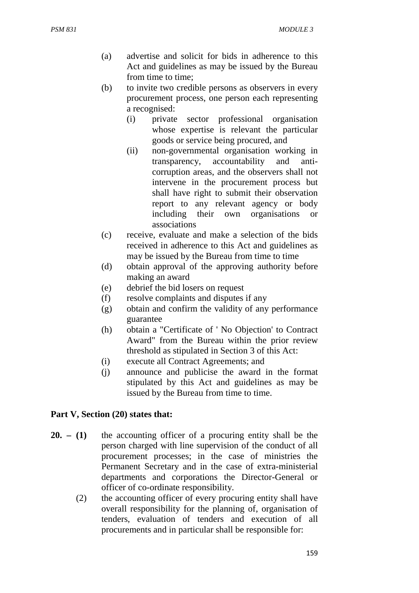- (a) advertise and solicit for bids in adherence to this Act and guidelines as may be issued by the Bureau from time to time;
- (b) to invite two credible persons as observers in every procurement process, one person each representing a recognised:
	- (i) private sector professional organisation whose expertise is relevant the particular goods or service being procured, and
	- (ii) non-governmental organisation working in transparency, accountability and anticorruption areas, and the observers shall not intervene in the procurement process but shall have right to submit their observation report to any relevant agency or body including their own organisations or associations
- (c) receive, evaluate and make a selection of the bids received in adherence to this Act and guidelines as may be issued by the Bureau from time to time
- (d) obtain approval of the approving authority before making an award
- (e) debrief the bid losers on request
- (f) resolve complaints and disputes if any
- (g) obtain and confirm the validity of any performance guarantee
- (h) obtain a "Certificate of ' No Objection' to Contract Award" from the Bureau within the prior review threshold as stipulated in Section 3 of this Act:
- (i) execute all Contract Agreements; and
- (j) announce and publicise the award in the format stipulated by this Act and guidelines as may be issued by the Bureau from time to time.

### **Part V, Section (20) states that:**

- **20. (1)** the accounting officer of a procuring entity shall be the person charged with line supervision of the conduct of all procurement processes; in the case of ministries the Permanent Secretary and in the case of extra-ministerial departments and corporations the Director-General or officer of co-ordinate responsibility.
	- (2) the accounting officer of every procuring entity shall have overall responsibility for the planning of, organisation of tenders, evaluation of tenders and execution of all procurements and in particular shall be responsible for: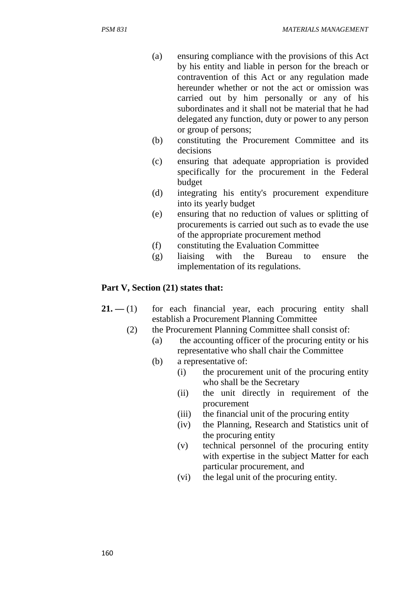- (a) ensuring compliance with the provisions of this Act by his entity and liable in person for the breach or contravention of this Act or any regulation made hereunder whether or not the act or omission was carried out by him personally or any of his subordinates and it shall not be material that he had delegated any function, duty or power to any person or group of persons;
- (b) constituting the Procurement Committee and its decisions
- (c) ensuring that adequate appropriation is provided specifically for the procurement in the Federal budget
- (d) integrating his entity's procurement expenditure into its yearly budget
- (e) ensuring that no reduction of values or splitting of procurements is carried out such as to evade the use of the appropriate procurement method
- (f) constituting the Evaluation Committee
- (g) liaising with the Bureau to ensure the implementation of its regulations.

### Part V, Section (21) states that:

- $21. (1)$  for each financial year, each procuring entity shall establish a Procurement Planning Committee
	- (2) the Procurement Planning Committee shall consist of:
		- (a) the accounting officer of the procuring entity or his representative who shall chair the Committee
		- (b) a representative of:
			- (i) the procurement unit of the procuring entity who shall be the Secretary
			- (ii) the unit directly in requirement of the procurement
			- (iii) the financial unit of the procuring entity
			- (iv) the Planning, Research and Statistics unit of the procuring entity
			- (v) technical personnel of the procuring entity with expertise in the subject Matter for each particular procurement, and
			- (vi) the legal unit of the procuring entity.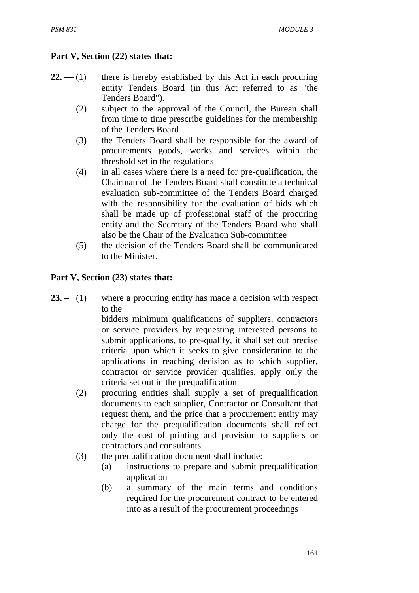## **Part V, Section (22) states that:**

- $22. (1)$  there is hereby established by this Act in each procuring entity Tenders Board (in this Act referred to as "the Tenders Board").
	- (2) subject to the approval of the Council, the Bureau shall from time to time prescribe guidelines for the membership of the Tenders Board
	- (3) the Tenders Board shall be responsible for the award of procurements goods, works and services within the threshold set in the regulations
	- (4) in all cases where there is a need for pre-qualification, the Chairman of the Tenders Board shall constitute a technical evaluation sub-committee of the Tenders Board charged with the responsibility for the evaluation of bids which shall be made up of professional staff of the procuring entity and the Secretary of the Tenders Board who shall also be the Chair of the Evaluation Sub-committee
	- (5) the decision of the Tenders Board shall be communicated to the Minister.

### **Part V, Section (23) states that:**

23. – (1) where a procuring entity has made a decision with respect to the

bidders minimum qualifications of suppliers, contractors or service providers by requesting interested persons to submit applications, to pre-qualify, it shall set out precise criteria upon which it seeks to give consideration to the applications in reaching decision as to which supplier, contractor or service provider qualifies, apply only the criteria set out in the prequalification

- (2) procuring entities shall supply a set of prequalification documents to each supplier, Contractor or Consultant that request them, and the price that a procurement entity may charge for the prequalification documents shall reflect only the cost of printing and provision to suppliers or contractors and consultants
- (3) the prequalification document shall include:
	- (a) instructions to prepare and submit prequalification application
	- (b) a summary of the main terms and conditions required for the procurement contract to be entered into as a result of the procurement proceedings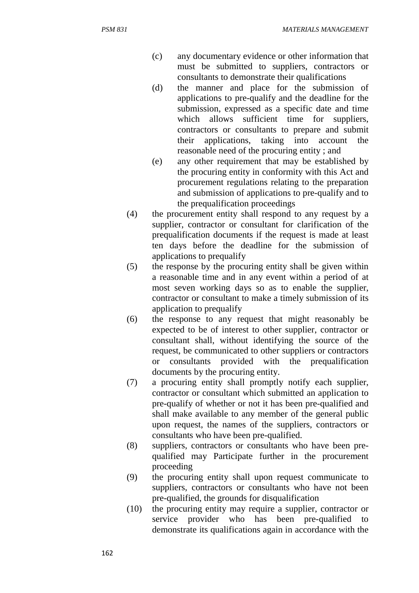- (c) any documentary evidence or other information that must be submitted to suppliers, contractors or consultants to demonstrate their qualifications
- (d) the manner and place for the submission of applications to pre-qualify and the deadline for the submission, expressed as a specific date and time which allows sufficient time for suppliers, contractors or consultants to prepare and submit their applications, taking into account the reasonable need of the procuring entity ; and
- (e) any other requirement that may be established by the procuring entity in conformity with this Act and procurement regulations relating to the preparation and submission of applications to pre-qualify and to the prequalification proceedings
- (4) the procurement entity shall respond to any request by a supplier, contractor or consultant for clarification of the prequalification documents if the request is made at least ten days before the deadline for the submission of applications to prequalify
- (5) the response by the procuring entity shall be given within a reasonable time and in any event within a period of at most seven working days so as to enable the supplier, contractor or consultant to make a timely submission of its application to prequalify
- (6) the response to any request that might reasonably be expected to be of interest to other supplier, contractor or consultant shall, without identifying the source of the request, be communicated to other suppliers or contractors or consultants provided with the prequalification documents by the procuring entity.
- (7) a procuring entity shall promptly notify each supplier, contractor or consultant which submitted an application to pre-qualify of whether or not it has been pre-qualified and shall make available to any member of the general public upon request, the names of the suppliers, contractors or consultants who have been pre-qualified.
- (8) suppliers, contractors or consultants who have been prequalified may Participate further in the procurement proceeding
- (9) the procuring entity shall upon request communicate to suppliers, contractors or consultants who have not been pre-qualified, the grounds for disqualification
- (10) the procuring entity may require a supplier, contractor or service provider who has been pre-qualified to demonstrate its qualifications again in accordance with the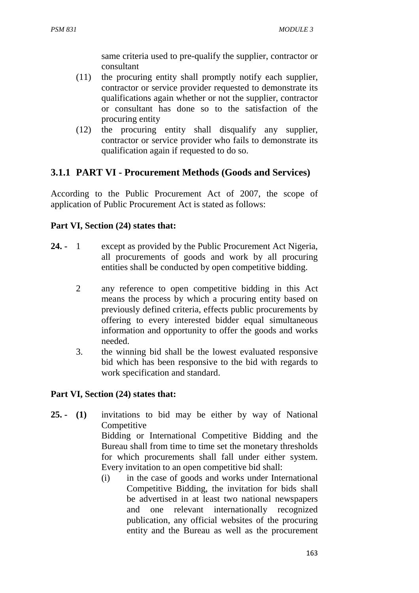same criteria used to pre-qualify the supplier, contractor or consultant

- (11) the procuring entity shall promptly notify each supplier, contractor or service provider requested to demonstrate its qualifications again whether or not the supplier, contractor or consultant has done so to the satisfaction of the procuring entity
- (12) the procuring entity shall disqualify any supplier, contractor or service provider who fails to demonstrate its qualification again if requested to do so.

# **3.1.1 PART VI - Procurement Methods (Goods and Services)**

According to the Public Procurement Act of 2007, the scope of application of Public Procurement Act is stated as follows:

### **Part VI, Section (24) states that:**

- **24.** 1 except as provided by the Public Procurement Act Nigeria, all procurements of goods and work by all procuring entities shall be conducted by open competitive bidding.
	- 2 any reference to open competitive bidding in this Act means the process by which a procuring entity based on previously defined criteria, effects public procurements by offering to every interested bidder equal simultaneous information and opportunity to offer the goods and works needed.
	- 3. the winning bid shall be the lowest evaluated responsive bid which has been responsive to the bid with regards to work specification and standard.

### **Part VI, Section (24) states that:**

- **25. (1)** invitations to bid may be either by way of National **Competitive** Bidding or International Competitive Bidding and the Bureau shall from time to time set the monetary thresholds for which procurements shall fall under either system. Every invitation to an open competitive bid shall:
	- (i) in the case of goods and works under International Competitive Bidding, the invitation for bids shall be advertised in at least two national newspapers and one relevant internationally recognized publication, any official websites of the procuring entity and the Bureau as well as the procurement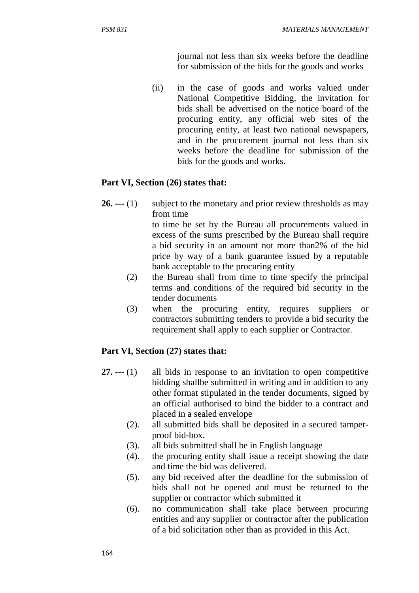journal not less than six weeks before the deadline for submission of the bids for the goods and works

(ii) in the case of goods and works valued under National Competitive Bidding, the invitation for bids shall be advertised on the notice board of the procuring entity, any official web sites of the procuring entity, at least two national newspapers, and in the procurement journal not less than six weeks before the deadline for submission of the bids for the goods and works.

### **Part VI, Section (26) states that:**

**26.** --- (1) subject to the monetary and prior review thresholds as may from time

to time be set by the Bureau all procurements valued in excess of the sums prescribed by the Bureau shall require a bid security in an amount not more than2% of the bid price by way of a bank guarantee issued by a reputable bank acceptable to the procuring entity

- (2) the Bureau shall from time to time specify the principal terms and conditions of the required bid security in the tender documents
- (3) when the procuring entity, requires suppliers or contractors submitting tenders to provide a bid security the requirement shall apply to each supplier or Contractor.

### Part VI, Section (27) states that:

- **27. ---** (1) all bids in response to an invitation to open competitive bidding shallbe submitted in writing and in addition to any other format stipulated in the tender documents, signed by an official authorised to bind the bidder to a contract and placed in a sealed envelope
	- (2). all submitted bids shall be deposited in a secured tamperproof bid-box.
	- (3). all bids submitted shall be in English language
	- (4). the procuring entity shall issue a receipt showing the date and time the bid was delivered.
	- (5). any bid received after the deadline for the submission of bids shall not be opened and must be returned to the supplier or contractor which submitted it
	- (6). no communication shall take place between procuring entities and any supplier or contractor after the publication of a bid solicitation other than as provided in this Act.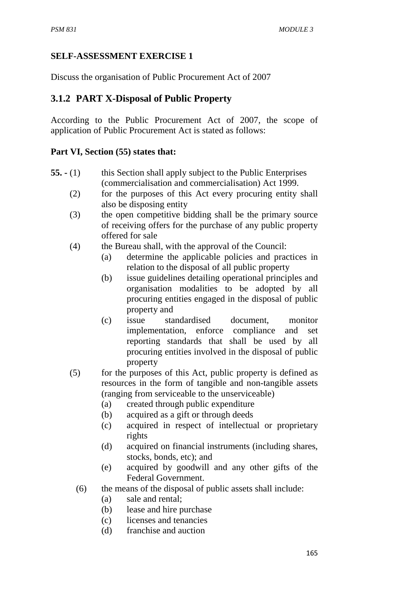### **SELF-ASSESSMENT EXERCISE 1**

Discuss the organisation of Public Procurement Act of 2007

# **3.1.2 PART X-Disposal of Public Property**

According to the Public Procurement Act of 2007, the scope of application of Public Procurement Act is stated as follows:

### **Part VI, Section (55) states that:**

- **55.** (1)this Section shall apply subject to the Public Enterprises (commercialisation and commercialisation) Act 1999.
	- (2) for the purposes of this Act every procuring entity shall also be disposing entity
	- (3) the open competitive bidding shall be the primary source of receiving offers for the purchase of any public property offered for sale
	- (4) the Bureau shall, with the approval of the Council:
		- (a) determine the applicable policies and practices in relation to the disposal of all public property
		- (b) issue guidelines detailing operational principles and organisation modalities to be adopted by all procuring entities engaged in the disposal of public property and
		- (c) issue standardised document, monitor implementation, enforce compliance and set reporting standards that shall be used by all procuring entities involved in the disposal of public property
	- (5) for the purposes of this Act, public property is defined as resources in the form of tangible and non-tangible assets (ranging from serviceable to the unserviceable)
		- (a) created through public expenditure
		- (b) acquired as a gift or through deeds
		- (c) acquired in respect of intellectual or proprietary rights
		- (d) acquired on financial instruments (including shares, stocks, bonds, etc); and
		- (e) acquired by goodwill and any other gifts of the Federal Government.
		- (6) the means of the disposal of public assets shall include:
			- (a) sale and rental;
			- (b) lease and hire purchase
			- (c) licenses and tenancies
			- (d) franchise and auction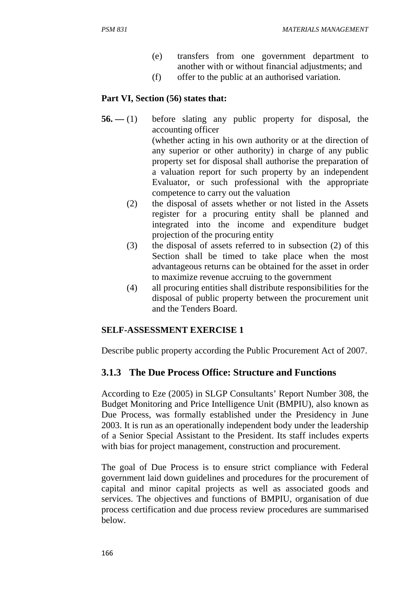- (e) transfers from one government department to another with or without financial adjustments; and
- (f) offer to the public at an authorised variation.

### **Part VI, Section (56) states that:**

- **56.** (1) before slating any public property for disposal, the accounting officer (whether acting in his own authority or at the direction of any superior or other authority) in charge of any public property set for disposal shall authorise the preparation of a valuation report for such property by an independent Evaluator, or such professional with the appropriate competence to carry out the valuation
	- (2) the disposal of assets whether or not listed in the Assets register for a procuring entity shall be planned and integrated into the income and expenditure budget projection of the procuring entity
	- (3) the disposal of assets referred to in subsection (2) of this Section shall be timed to take place when the most advantageous returns can be obtained for the asset in order to maximize revenue accruing to the government
	- (4) all procuring entities shall distribute responsibilities for the disposal of public property between the procurement unit and the Tenders Board.

#### **SELF-ASSESSMENT EXERCISE 1**

Describe public property according the Public Procurement Act of 2007.

### **3.1.3 The Due Process Office: Structure and Functions**

According to Eze (2005) in SLGP Consultants' Report Number 308, the Budget Monitoring and Price Intelligence Unit (BMPIU), also known as Due Process, was formally established under the Presidency in June 2003. It is run as an operationally independent body under the leadership of a Senior Special Assistant to the President. Its staff includes experts with bias for project management, construction and procurement.

The goal of Due Process is to ensure strict compliance with Federal government laid down guidelines and procedures for the procurement of capital and minor capital projects as well as associated goods and services. The objectives and functions of BMPIU, organisation of due process certification and due process review procedures are summarised below.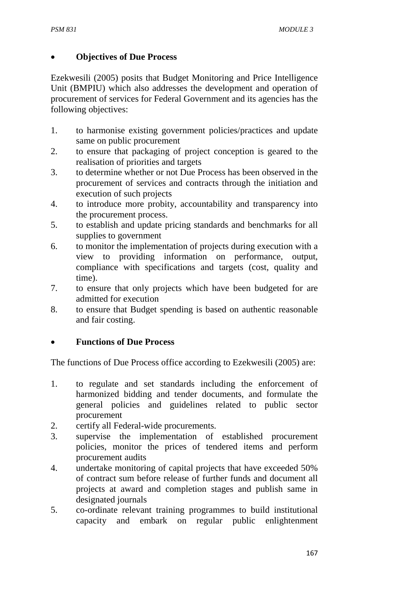## • **Objectives of Due Process**

Ezekwesili (2005) posits that Budget Monitoring and Price Intelligence Unit (BMPIU) which also addresses the development and operation of procurement of services for Federal Government and its agencies has the following objectives:

- 1. to harmonise existing government policies/practices and update same on public procurement
- 2. to ensure that packaging of project conception is geared to the realisation of priorities and targets
- 3. to determine whether or not Due Process has been observed in the procurement of services and contracts through the initiation and execution of such projects
- 4. to introduce more probity, accountability and transparency into the procurement process.
- 5. to establish and update pricing standards and benchmarks for all supplies to government
- 6. to monitor the implementation of projects during execution with a view to providing information on performance, output, compliance with specifications and targets (cost, quality and time).
- 7. to ensure that only projects which have been budgeted for are admitted for execution
- 8. to ensure that Budget spending is based on authentic reasonable and fair costing.

# • **Functions of Due Process**

The functions of Due Process office according to Ezekwesili (2005) are:

- 1. to regulate and set standards including the enforcement of harmonized bidding and tender documents, and formulate the general policies and guidelines related to public sector procurement
- 2. certify all Federal-wide procurements.
- 3. supervise the implementation of established procurement policies, monitor the prices of tendered items and perform procurement audits
- 4. undertake monitoring of capital projects that have exceeded 50% of contract sum before release of further funds and document all projects at award and completion stages and publish same in designated journals
- 5. co-ordinate relevant training programmes to build institutional capacity and embark on regular public enlightenment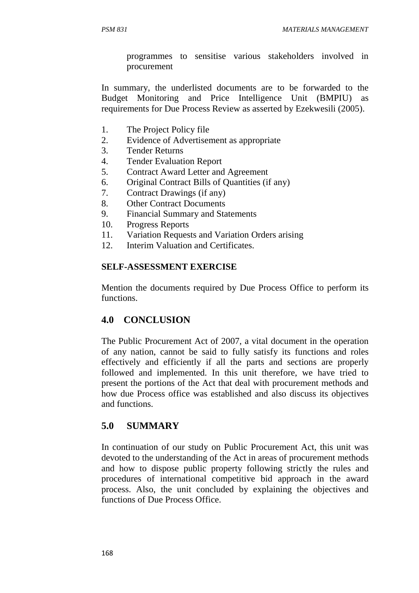programmes to sensitise various stakeholders involved in procurement

In summary, the underlisted documents are to be forwarded to the Budget Monitoring and Price Intelligence Unit (BMPIU) as requirements for Due Process Review as asserted by Ezekwesili (2005).

- 1. The Project Policy file
- 2. Evidence of Advertisement as appropriate
- 3. Tender Returns
- 4. Tender Evaluation Report
- 5. Contract Award Letter and Agreement
- 6. Original Contract Bills of Quantities (if any)
- 7. Contract Drawings (if any)
- 8. Other Contract Documents
- 9. Financial Summary and Statements
- 10. Progress Reports
- 11. Variation Requests and Variation Orders arising
- 12. Interim Valuation and Certificates.

### **SELF-ASSESSMENT EXERCISE**

Mention the documents required by Due Process Office to perform its functions.

# **4.0 CONCLUSION**

The Public Procurement Act of 2007, a vital document in the operation of any nation, cannot be said to fully satisfy its functions and roles effectively and efficiently if all the parts and sections are properly followed and implemented. In this unit therefore, we have tried to present the portions of the Act that deal with procurement methods and how due Process office was established and also discuss its objectives and functions.

# **5.0 SUMMARY**

In continuation of our study on Public Procurement Act, this unit was devoted to the understanding of the Act in areas of procurement methods and how to dispose public property following strictly the rules and procedures of international competitive bid approach in the award process. Also, the unit concluded by explaining the objectives and functions of Due Process Office.